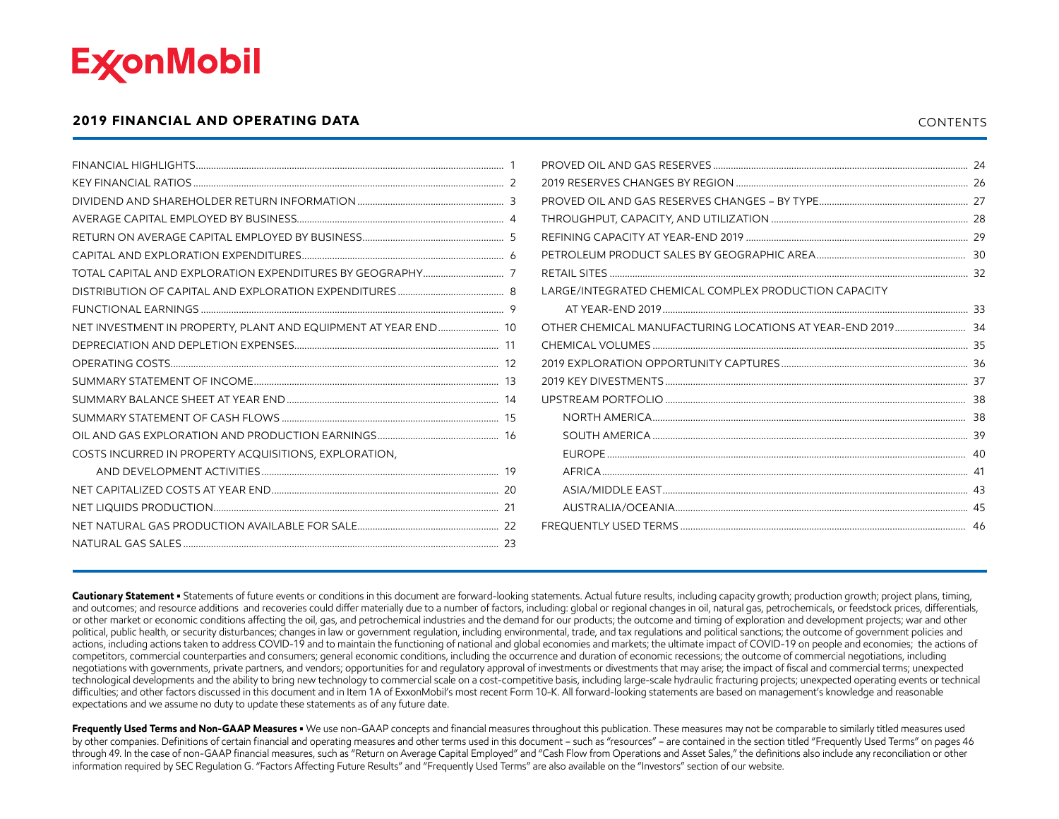<span id="page-0-0"></span>

#### **2019 FINANCIAL AND OPERATING DATA** CONTENTS

|                                                                 | LARGE/INTEGRATED CHEMICAL COMPLEX PRODUCTION CAPACITY |  |
|-----------------------------------------------------------------|-------------------------------------------------------|--|
|                                                                 |                                                       |  |
| NET INVESTMENT IN PROPERTY, PLANT AND EQUIPMENT AT YEAR END  10 |                                                       |  |
|                                                                 |                                                       |  |
|                                                                 |                                                       |  |
|                                                                 |                                                       |  |
|                                                                 |                                                       |  |
|                                                                 |                                                       |  |
|                                                                 |                                                       |  |
| COSTS INCURRED IN PROPERTY ACQUISITIONS, EXPLORATION,           |                                                       |  |
|                                                                 |                                                       |  |
|                                                                 |                                                       |  |
|                                                                 |                                                       |  |
|                                                                 |                                                       |  |
|                                                                 |                                                       |  |

Cautionary Statement • Statements of future events or conditions in this document are forward-looking statements. Actual future results, including capacity growth; production growth; project plans, timing, and outcomes; and resource additions and recoveries could differ materially due to a number of factors, including: global or regional changes in oil, natural gas, petrochemicals, or feedstock prices, differentials, or other market or economic conditions affecting the oil, gas, and petrochemical industries and the demand for our products; the outcome and timing of exploration and development projects; war and other political, public health, or security disturbances; changes in law or government regulation, including environmental, trade, and tax regulations and political sanctions; the outcome of government policies and actions, including actions taken to address COVID-19 and to maintain the functioning of national and global economies and markets; the ultimate impact of COVID-19 on people and economies; the actions of competitors, commercial counterparties and consumers; general economic conditions, including the occurrence and duration of economic recessions; the outcome of commercial negotiations, including negotiations with governments, private partners, and vendors; opportunities for and regulatory approval of investments or divestments that may arise; the impact of fiscal and commercial terms; unexpected technological developments and the ability to bring new technology to commercial scale on a cost-competitive basis, including large-scale hydraulic fracturing projects; unexpected operating events or technical difficulties; and other factors discussed in this document and in Item 1A of ExxonMobil's most recent Form 10-K. All forward-looking statements are based on management's knowledge and reasonable expectations and we assume no duty to update these statements as of any future date.

Frequently Used Terms and Non-GAAP Measures • We use non-GAAP concepts and financial measures throughout this publication. These measures may not be comparable to similarly titled measures used by other companies. Definitions of certain financial and operating measures and other terms used in this document – such as "resources" – are contained in the section titled "Frequently Used Terms" on pages 46 through 49. In the case of non-GAAP financial measures, such as "Return on Average Capital Employed" and "Cash Flow from Operations and Asset Sales," the definitions also include any reconciliation or other information required by SEC Regulation G. "Factors Affecting Future Results" and "Frequently Used Terms" are also available on the "Investors" section of our website.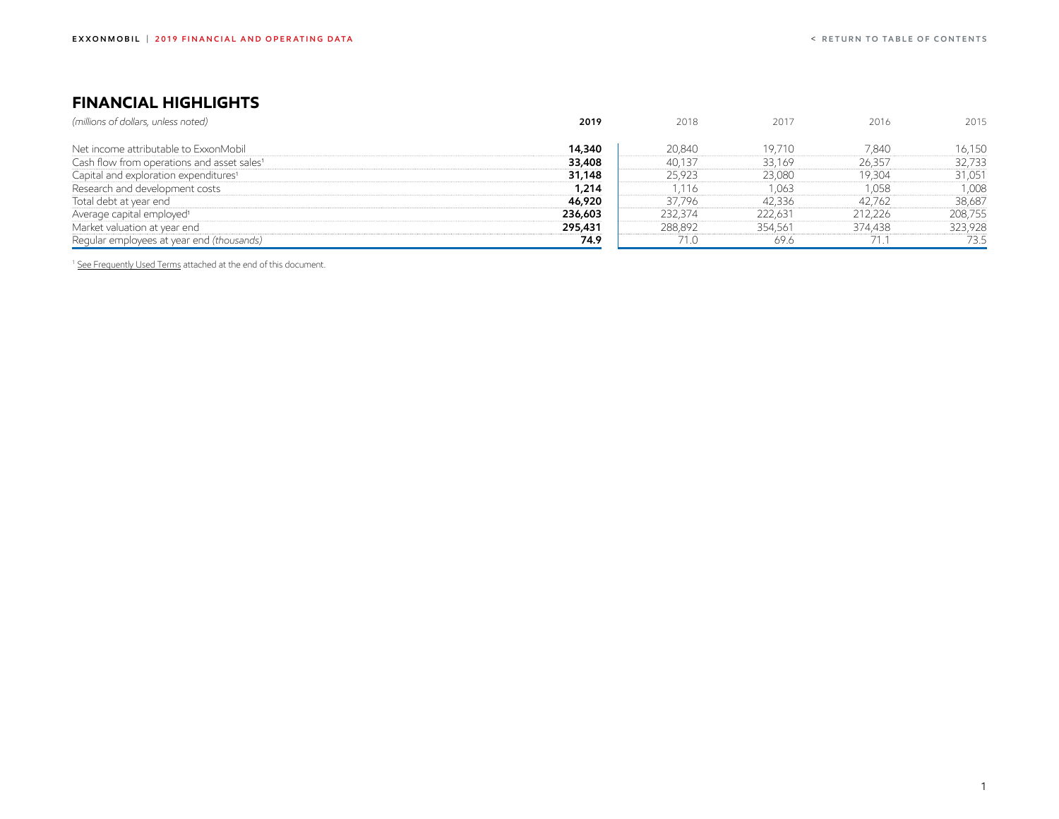# <span id="page-1-0"></span>**FINANCIAL HIGHLIGHTS**

| 2019    | 2018    | 2017    | 2016    | 2015    |
|---------|---------|---------|---------|---------|
|         |         |         |         |         |
| 14,340  | 20,840  | 19,710  | 7,840   | 16,150  |
| 33,408  | 40,137  | 33,169  | 26,357  | 32,733  |
| 31,148  | 25,923  | 23,080  | 19,304  | 31,051  |
| 1,214   | 116.    | 1,063   | 1,058   | 1,008   |
| 46,920  | 37,796  | 42,336  | 42,762  | 38,687  |
| 236,603 | 232.374 | 222,631 | 212,226 | 208,755 |
| 295,431 | 288,892 | 354,561 | 374,438 | 323,928 |
| 74.9    | 71.0    | 69.6    |         | 73.5    |
|         |         |         |         |         |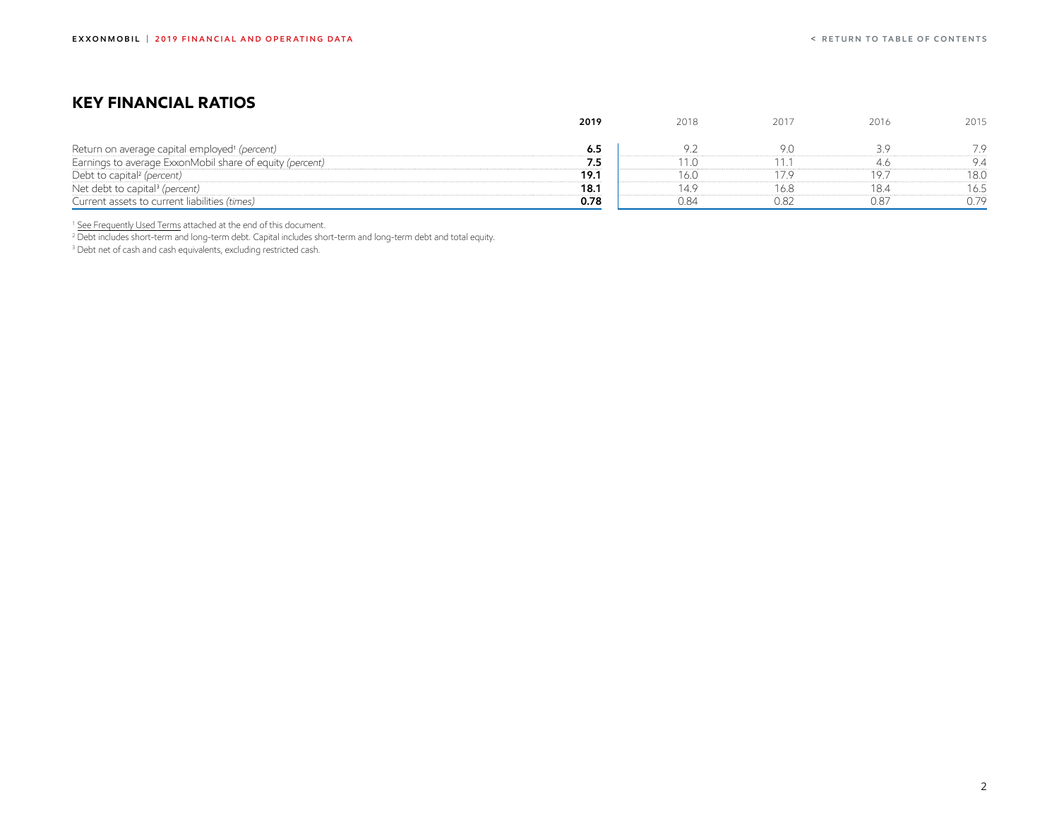## <span id="page-2-0"></span>**KEY FINANCIAL RATIOS**

|                                                           | 2019 | 2018 | 2017 | 2016 | 2015 |
|-----------------------------------------------------------|------|------|------|------|------|
| Return on average capital employed <sup>1</sup> (percent) | 6.5  |      |      |      |      |
| Earnings to average ExxonMobil share of equity (percent)  | 7.5  |      |      |      | 94   |
| Debt to capital <sup>2</sup> (percent)                    | 19.1 | 16.O |      |      | 18.O |
| Net debt to capital <sup>3</sup> (percent)                | 18.1 |      | 16.8 | 18.4 | 16.5 |
| Current assets to current liabilities (times)             | 0.78 | 0.84 | 0.82 | 0.87 | 7C   |

<sup>1</sup> [See Frequently Used Terms](#page-46-0) attached at the end of this document.

2 Debt includes short-term and long-term debt. Capital includes short-term and long-term debt and total equity.

3 Debt net of cash and cash equivalents, excluding restricted cash.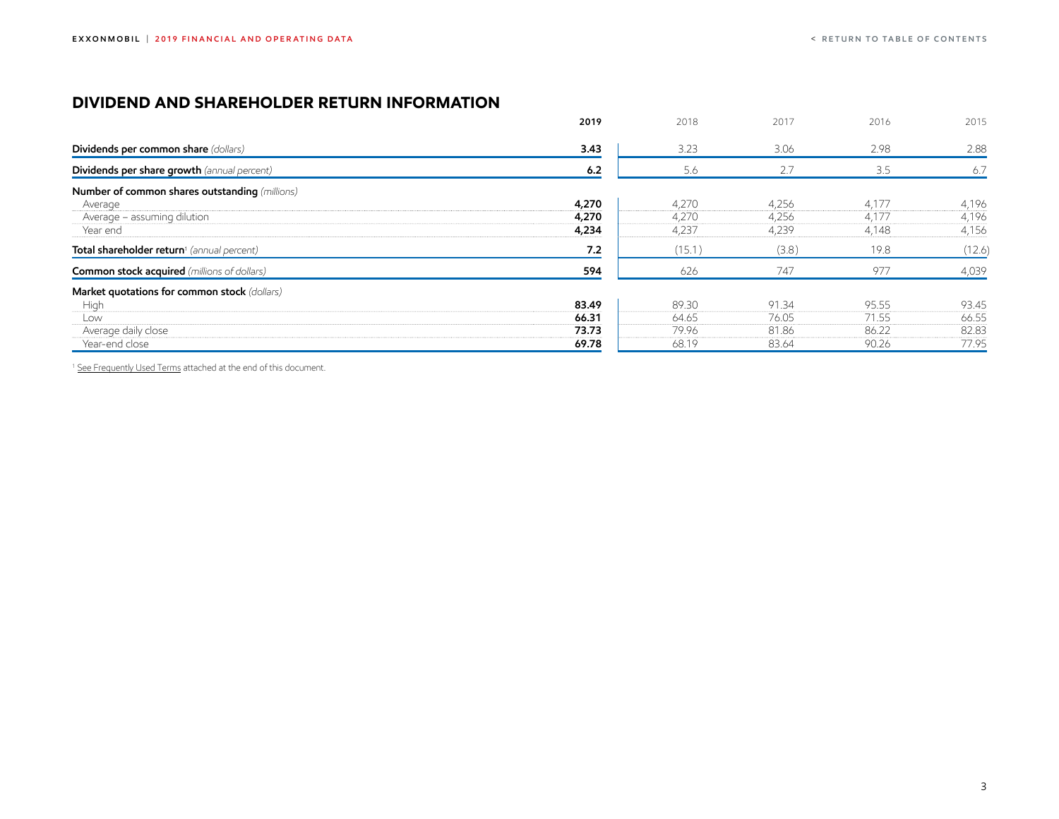## <span id="page-3-0"></span>**DIVIDEND AND SHAREHOLDER RETURN INFORMATION**

| 2019  | 2018                    | 2017                    | 2016                    | 2015                    |
|-------|-------------------------|-------------------------|-------------------------|-------------------------|
| 3.43  | 3.23                    | 3.06                    | 2.98                    | 2.88                    |
| 6.2   | 5.6                     | 2.7                     | 3.5                     | 6.7                     |
|       |                         |                         |                         |                         |
|       |                         |                         |                         | 4,196                   |
|       |                         |                         |                         | 4,196                   |
|       |                         |                         |                         | 4,156                   |
| 7.2   | (15.1)                  | (3.8)                   | 19.8                    | (12.6)                  |
| 594   | 626                     | 747                     | 977                     | 4,039                   |
|       |                         |                         |                         |                         |
| 83.49 | 89.30                   | 91.34                   | 95.55                   | 93.45                   |
| 66.31 | 64.65                   | 76.05                   | 71.55                   | 66.55                   |
| 73.73 | 79.96                   | 81.86                   | 86.22                   | 82.83                   |
| 69.78 | 68.19                   | 83.64                   | 90.26                   | 77.95                   |
|       | 4,270<br>4,270<br>4,234 | 4,270<br>4,270<br>4,237 | 4,256<br>4,256<br>4,239 | 4,177<br>4,177<br>4,148 |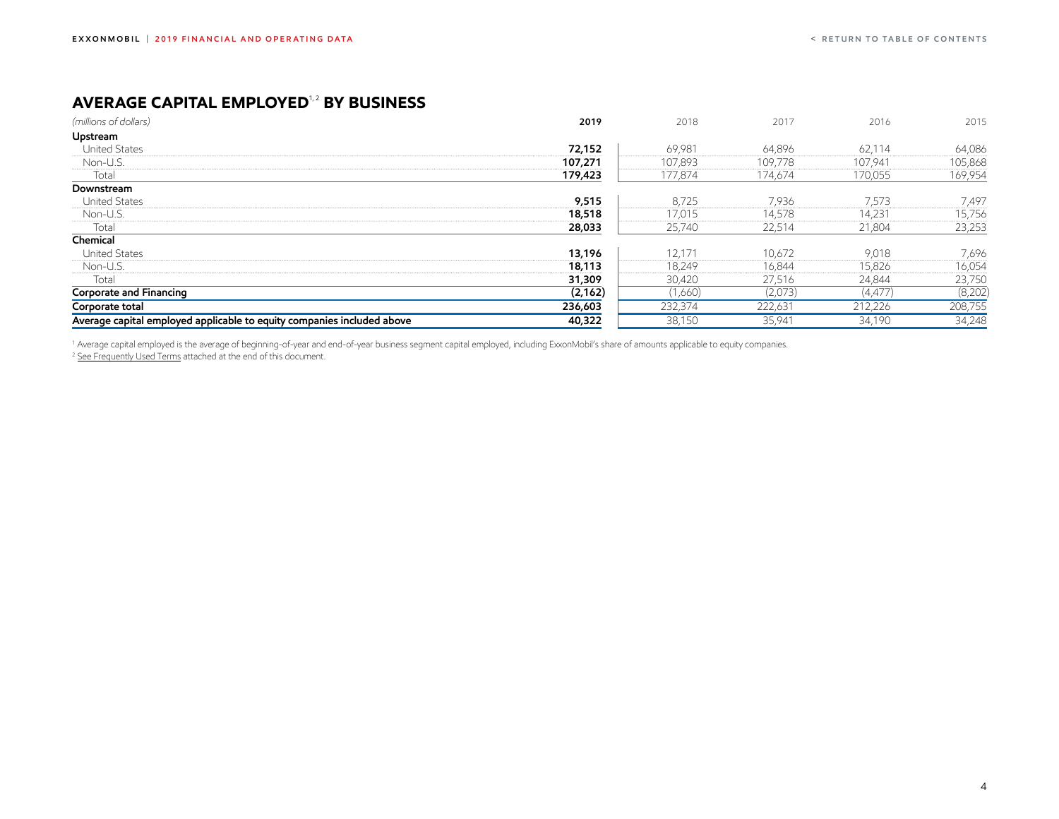# <span id="page-4-0"></span>**AVERAGE CAPITAL EMPLOYED<sup>1,2</sup> BY BUSINESS**

| (millions of dollars)                                                  | 2019     | 2018    | 2017    | 2016     | 2015    |
|------------------------------------------------------------------------|----------|---------|---------|----------|---------|
| Upstream                                                               |          |         |         |          |         |
| <b>United States</b>                                                   | 72,152   | 69,981  | 64,896  | 62,114   | 64,086  |
| Non-U.S.                                                               | 107,271  | 107,893 | 109,778 | 107,941  | 105,868 |
| Total                                                                  | 179,423  | 177,874 | 174,674 | 170,055  | 169,954 |
| Downstream                                                             |          |         |         |          |         |
| <b>United States</b>                                                   | 9,515    | 8,725   | 7,936   | 7,573    | 7,497   |
| Non-U.S.                                                               | 18,518   | 17,015  | 14,578  | 14,231   | 15,756  |
| Total                                                                  | 28,033   | 25,740  | 22,514  | 21,804   | 23,253  |
| Chemical                                                               |          |         |         |          |         |
| <b>United States</b>                                                   | 13,196   | 12,171  | 10,672  | 9,018    | 7,696   |
| Non-U.S.                                                               | 18,113   | 18,249  | 16,844  | 15,826   | 16,054  |
| Total                                                                  | 31,309   | 30,420  | 27,516  | 24,844   | 23,750  |
| Corporate and Financing                                                | (2, 162) | (1,660) | (2,073) | (4, 477) | (8,202) |
| Corporate total                                                        | 236,603  | 232,374 | 222,631 | 212,226  | 208,755 |
| Average capital employed applicable to equity companies included above | 40,322   | 38,150  | 35,941  | 34,190   | 34,248  |

<sup>1</sup> Average capital employed is the average of beginning-of-year and end-of-year business segment capital employed, including ExxonMobil's share of amounts applicable to equity companies. <sup>2</sup> <u>[See Frequently Used Terms](#page-46-0)</u> attached at the end of this document.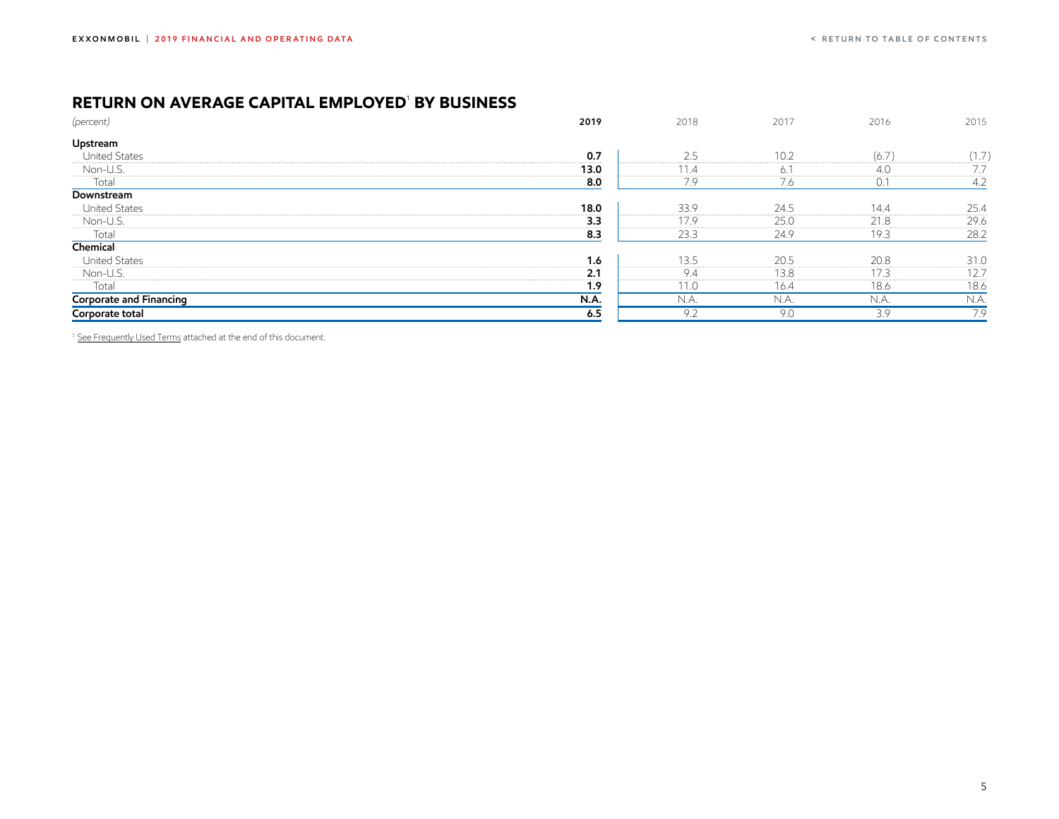### <span id="page-5-0"></span>**RETURN ON AVERAGE CAPITAL EMPLOYED**<sup>1</sup>  **BY BUSINESS**

| (percent)               | 2019        | 2018 | 2017 | 2016  | 2015  |
|-------------------------|-------------|------|------|-------|-------|
| Upstream                |             |      |      |       |       |
| <b>United States</b>    | 0.7         | 2.5  | 10.2 | (6.7) | (1.7) |
| Non-U.S.                | 13.0        | 11.4 | 6.1  | 4.0   | 7.7   |
| Total                   | 8.0         | 7.9  | 7.6  | 0.1   | 4.2   |
| Downstream              |             |      |      |       |       |
| <b>United States</b>    | 18.0        | 33.9 | 24.5 | 14.4  | 25.4  |
| Non-U.S.                | 3.3         | 17.9 | 25.0 | 21.8  | 29.6  |
| Total                   | 8.3         | 23.3 | 24.9 | 19.3  | 28.2  |
| Chemical                |             |      |      |       |       |
| <b>United States</b>    | 1.6         | 13.5 | 20.5 | 20.8  | 31.0  |
| Non-U.S.                | 2.1         | 9.4  | 13.8 | 17.3  | 12.7  |
| Total                   | 1.9         | 11.0 | 16.4 | 18.6  | 18.6  |
| Corporate and Financing | <b>N.A.</b> | N.A. | N.A. | N.A.  | N.A.  |
| Corporate total         | 6.5         | 9.2  | 9.0  | 3.9   | 7.9   |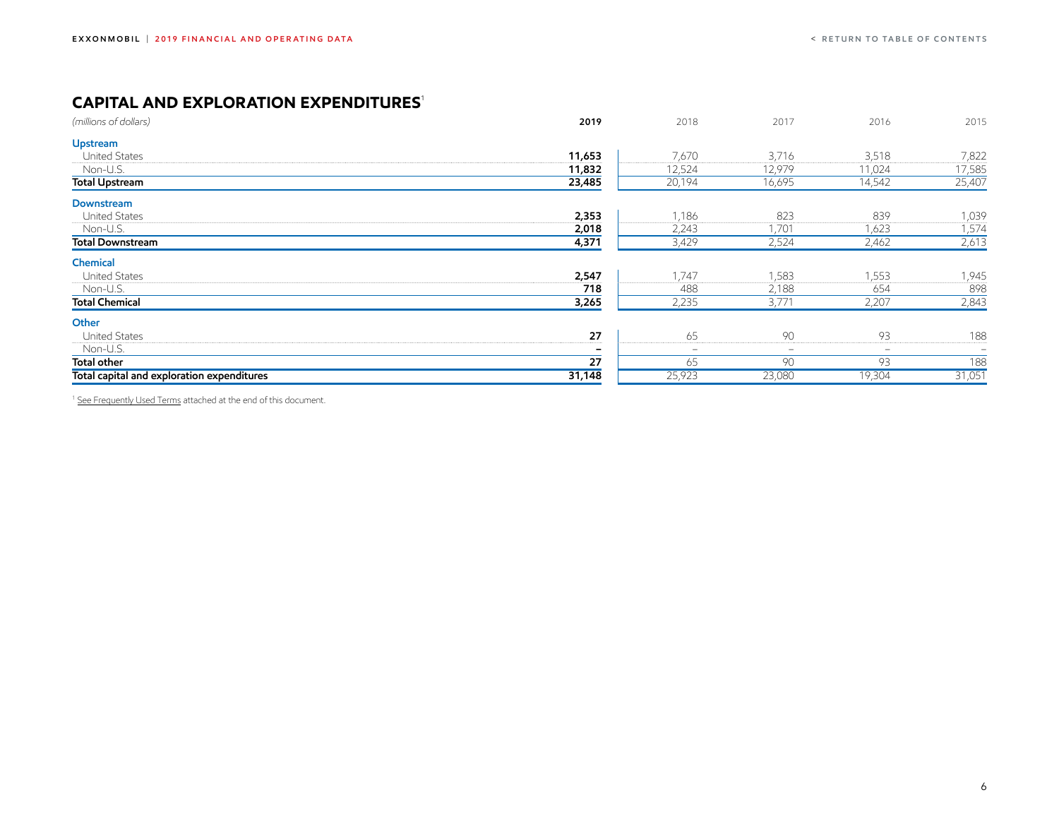## <span id="page-6-0"></span>**CAPITAL AND EXPLORATION EXPENDITURES<sup>1</sup>**

| (millions of dollars)                      | 2019   | 2018                         | 2017     | 2016                            | 2015              |
|--------------------------------------------|--------|------------------------------|----------|---------------------------------|-------------------|
| Upstream                                   |        |                              |          |                                 |                   |
| <b>United States</b>                       | 11,653 | 7,670                        | 3,716    | 3,518                           | 7,822             |
| Non-U.S.                                   | 11,832 | 12,524                       | 12,979   | 11,024                          | 17,585            |
| <b>Total Upstream</b>                      | 23,485 | 20,194                       | 16,695   | 14,542                          | 25,407            |
| Downstream                                 |        |                              |          |                                 |                   |
| <b>United States</b>                       | 2,353  | 1,186                        | 823      | 839                             | 1,039             |
| Non-U.S.                                   | 2,018  | 2,243                        | 1,701    | 1,623                           | 1,574             |
| <b>Total Downstream</b>                    | 4,371  | 3,429                        | 2,524    | 2,462                           | 2,613             |
| Chemical                                   |        |                              |          |                                 |                   |
| <b>United States</b>                       | 2,547  | 1,747                        | 1,583    | 1,553                           | 1,945             |
| Non-U.S.                                   | 718    | 488                          | 2,188    | 654                             | 898               |
| <b>Total Chemical</b>                      | 3,265  | 2,235                        | 3,771    | 2,207                           | 2,843             |
| Other                                      |        |                              |          |                                 |                   |
| <b>United States</b>                       | 27     | 65                           | 90<br>   | 93                              | 188               |
| Non-U.S.                                   | -      | $\qquad \qquad \blacksquare$ | $\equiv$ | $\hspace{0.1mm}-\hspace{0.1mm}$ | $\qquad \qquad =$ |
| <b>Total other</b>                         | 27     | 65                           | 90       | 93                              | 188               |
| Total capital and exploration expenditures | 31,148 | 25,923                       | 23,080   | 19,304                          | 31,051            |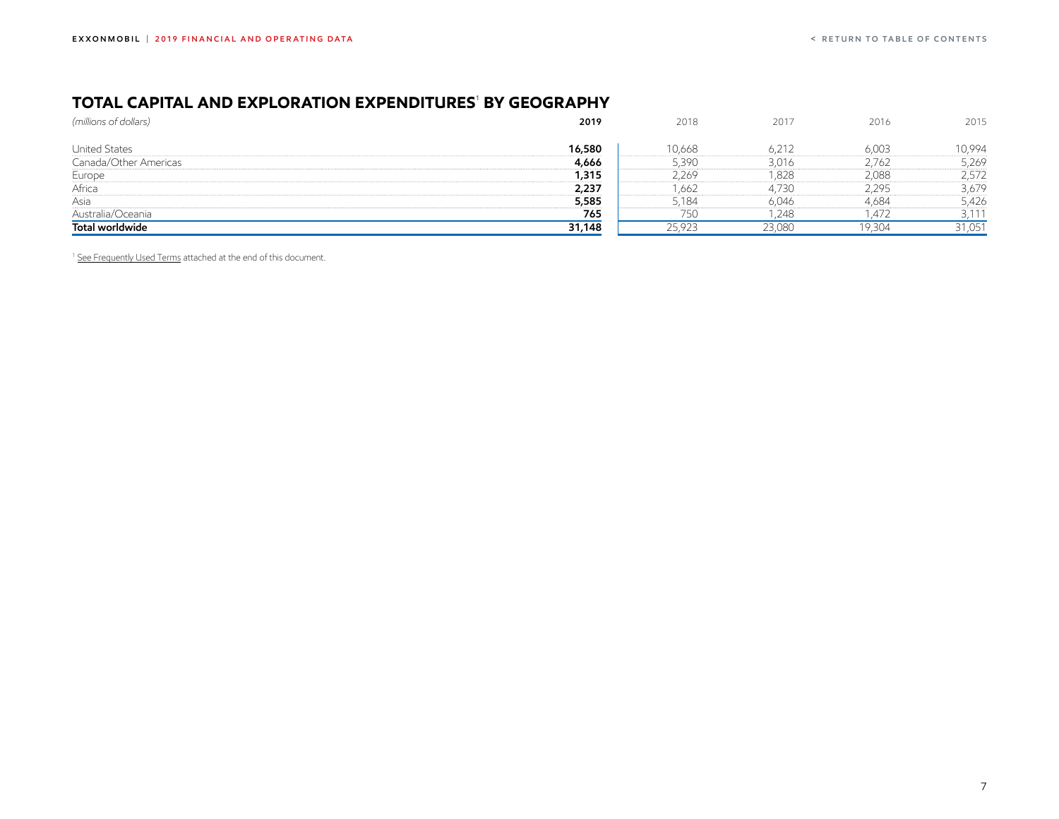#### <span id="page-7-0"></span>**TOTAL CAPITAL AND EXPLORATION EXPENDITURES**<sup>1</sup>  **BY GEOGRAPHY**

| (millions of dollars) | 2019   | 2018   | 2017   | 2016   | 2015   |
|-----------------------|--------|--------|--------|--------|--------|
|                       |        |        |        |        |        |
| <b>United States</b>  | 16,580 | 10,668 | 6,212  | 6,003  | 10.994 |
| Canada/Other Americas | 4,666  | 5,390  | 3,016  | 2,762  | 5,269  |
| Europe                | 1,315  | 2,269  | 1,828  | 2,088  | 2,572  |
| Africa                | 2,237  | .662   | 4,730  | 2,295  | 3,679  |
| Asia                  | 5,585  | 5,184  | 6,046  | 4,684  | 5,426  |
| Australia/Oceania     | 765    | 750    | 248    | 1.472  | 3,111  |
| Total worldwide       | 31,148 | 25,923 | 23,080 | 19,304 | 31,051 |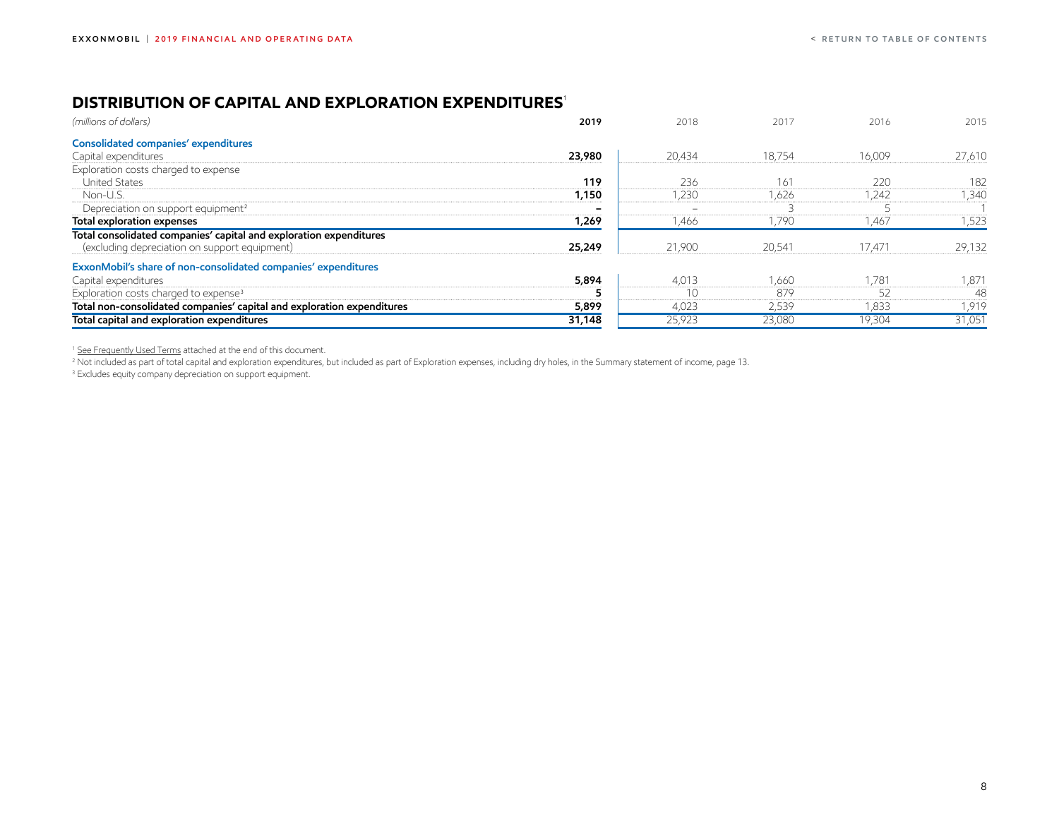## <span id="page-8-0"></span>**DISTRIBUTION OF CAPITAL AND EXPLORATION EXPENDITURES**<sup>1</sup>

| (millions of dollars)                                                                                               | 2019   | 2018   | 2017   | 2016   | 2015   |
|---------------------------------------------------------------------------------------------------------------------|--------|--------|--------|--------|--------|
| Consolidated companies' expenditures                                                                                |        |        |        |        |        |
| Capital expenditures                                                                                                | 23,980 | 20,434 | 18,754 | 16,009 | 27,610 |
| Exploration costs charged to expense                                                                                |        |        |        |        |        |
| <b>United States</b>                                                                                                | 119    | 236    | 161    | 220    | 182    |
| Non-U.S.                                                                                                            | 1,150  | ,230   | ,626   | 1,242  | 1,340  |
| Depreciation on support equipment <sup>2</sup>                                                                      |        |        |        |        |        |
| Total exploration expenses                                                                                          | 1,269  | 1,466  | 1,790  | 1,467  | 1,523  |
| Total consolidated companies' capital and exploration expenditures<br>(excluding depreciation on support equipment) | 25,249 | 21,900 | 20,541 | 17,471 | 29,132 |
| ExxonMobil's share of non-consolidated companies' expenditures                                                      |        |        |        |        |        |
| Capital expenditures                                                                                                | 5,894  | 4,013  | 1,660  | 1,781  | 1,871  |
| Exploration costs charged to expense <sup>3</sup>                                                                   |        | 10     | 879    | 52     | 48     |
| Total non-consolidated companies' capital and exploration expenditures                                              | 5,899  | 4,023  | 2,539  | 1,833  | 1,919  |
| Total capital and exploration expenditures                                                                          | 31,148 | 25,923 | 23,080 | 19,304 | 31,051 |

<sup>1</sup> [See Frequently Used Terms](#page-46-0) attached at the end of this document.

<sup>2</sup> Not included as part of total capital and exploration expenditures, but included as part of Exploration expenses, including dry holes, in the Summary statement of income, page 13.

<sup>3</sup> Excludes equity company depreciation on support equipment.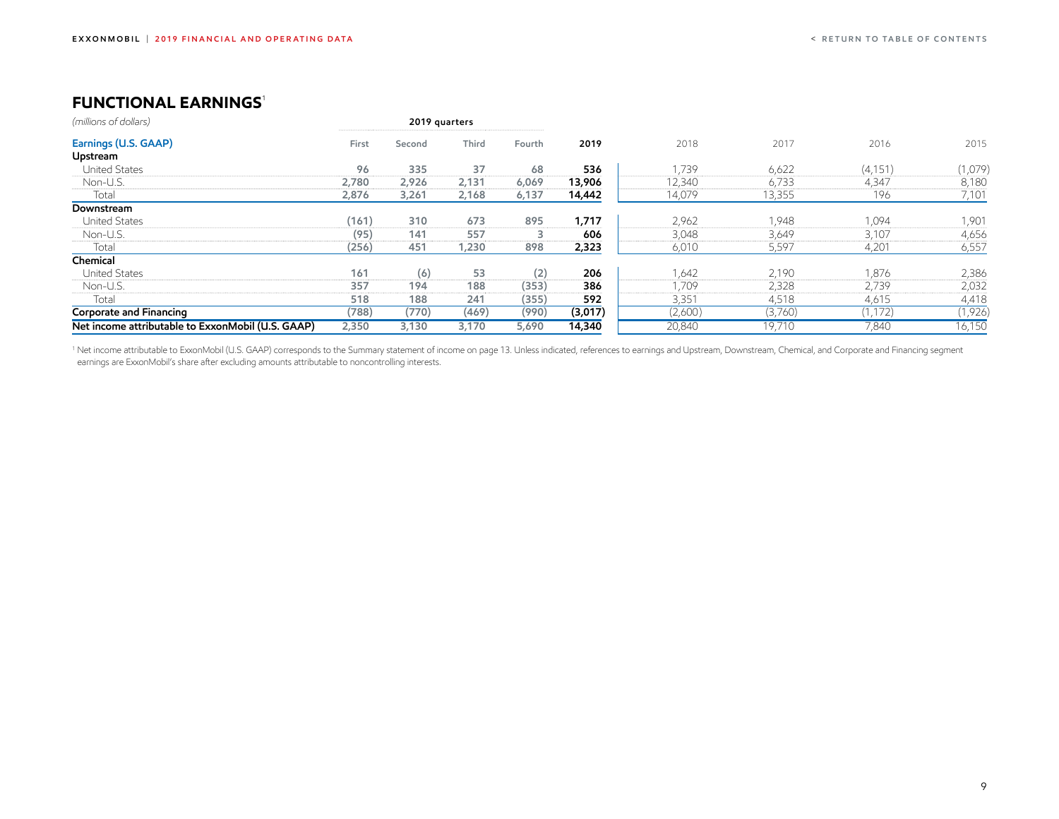## <span id="page-9-0"></span>**FUNCTIONAL EARNINGS<sup>1</sup>**

| (millions of dollars)                             |       | 2019 quarters |       |        |         |         |         |          |         |
|---------------------------------------------------|-------|---------------|-------|--------|---------|---------|---------|----------|---------|
| Earnings (U.S. GAAP)                              | First | Second        | Third | Fourth | 2019    | 2018    | 2017    | 2016     | 2015    |
| Upstream                                          |       |               |       |        |         |         |         |          |         |
| <b>United States</b>                              | 96    | 335           | 37    | 68     | 536     | 1,739   | 6,622   | (4, 151) | (1,079) |
| Non-U.S.                                          | 2,780 | 2,926         | 2,131 | 6,069  | 13,906  | 12,340  | 6,733   | 4,347    | 8,180   |
| Total                                             | 2,876 | 3,261         | 2,168 | 6,137  | 14,442  | 14,079  | 13,355  | 196      | 7,101   |
| Downstream                                        |       |               |       |        |         |         |         |          |         |
| <b>United States</b>                              | (161) | 310           | 673   | 895    | 1,717   | 2,962   | 1.948   | 1,094    | 1,901   |
| Non-U.S.                                          | (95)  | 141           | 557   | 3      | 606     | 3,048   | 3,649   | 3,107    | 4,656   |
| Total                                             | (256) | 451           | 1,230 | 898    | 2,323   | 6,010   | 5,597   | 4,201    | 6,557   |
| Chemical                                          |       |               |       |        |         |         |         |          |         |
| <b>United States</b>                              | 161   | (6)           | 53    | (2)    | 206     | 1,642   | 2,190   | 1,876    | 2,386   |
| Non-U.S.                                          | 357   | 194           | 188   | (353)  | 386     | 1,709   | 2,328   | 2,739    | 2,032   |
| Total                                             | 518   | 188           | 241   | (355)  | 592     | 3,351   | 4,518   | 4,615    | 4,418   |
| Corporate and Financing                           | (788) | (770)         | (469) | (990)  | (3,017) | (2,600) | (3,760) | (1, 172) | (1,926) |
| Net income attributable to ExxonMobil (U.S. GAAP) | 2,350 | 3,130         | 3,170 | 5,690  | 14,340  | 20,840  | 19,710  | 7,840    | 16,150  |

<sup>1</sup> Net income attributable to ExxonMobil (U.S. GAAP) corresponds to the Summary statement of income on page 13. Unless indicated, references to earnings and Upstream, Downstream, Chemical, and Corporate and Financing segment earnings are ExxonMobil's share after excluding amounts attributable to noncontrolling interests.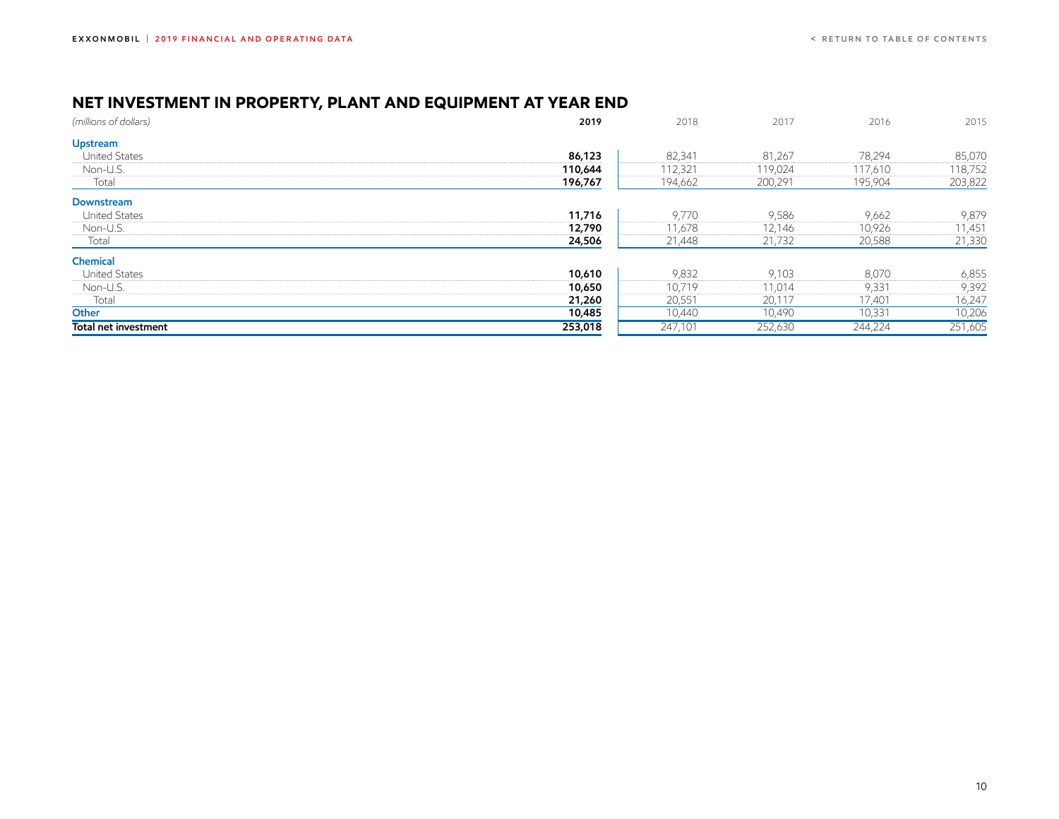## <span id="page-10-0"></span>**NET INVESTMENT IN PROPERTY, PLANT AND EQUIPMENT AT YEAR END**

| (millions of dollars) | 2019    | 2018    | 2017    | 2016    | 2015    |
|-----------------------|---------|---------|---------|---------|---------|
| Upstream              |         |         |         |         |         |
| <b>United States</b>  | 86,123  | 82,341  | 81,267  | 78,294  | 85,070  |
| Non-U.S.              | 110,644 | 112,321 | 119,024 | 117,610 | 118,752 |
| Total                 | 196,767 | 194,662 | 200,291 | 195,904 | 203,822 |
| Downstream            |         |         |         |         |         |
| <b>United States</b>  | 11,716  | 9,770   | 9,586   | 9,662   | 9,879   |
| Non-U.S.              | 12,790  | 11,678  | 12,146  | 10,926  | 11,451  |
| Total                 | 24,506  | 21,448  | 21,732  | 20,588  | 21,330  |
| Chemical              |         |         |         |         |         |
| <b>United States</b>  | 10,610  | 9,832   | 9,103   | 8,070   | 6,855   |
| Non-U.S.              | 10,650  | 10,719  | 11,014  | 9,331   | 9,392   |
| Total                 | 21,260  | 20,551  | 20,117  | 17,401  | 16,247  |
| Other                 | 10,485  | 10,440  | 10,490  | 10,331  | 10,206  |
| Total net investment  | 253,018 | 247,101 | 252,630 | 244,224 | 251,605 |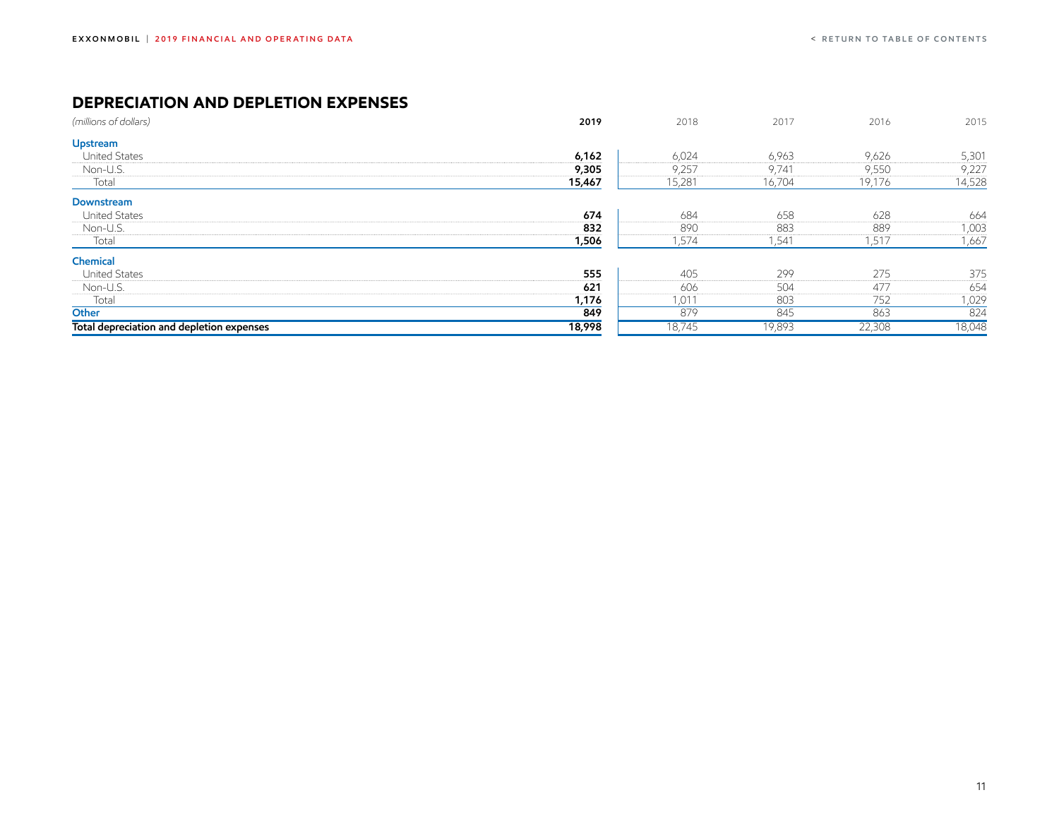## <span id="page-11-0"></span>**DEPRECIATION AND DEPLETION EXPENSES**

| (millions of dollars)                     | 2019   | 2018   | 2017   | 2016   | 2015   |
|-------------------------------------------|--------|--------|--------|--------|--------|
| Upstream                                  |        |        |        |        |        |
| <b>United States</b>                      | 6,162  | 6,024  | 6,963  | 9,626  | 5,301  |
| Non-U.S.                                  | 9,305  | 9,257  | 9,741  | 9,550  | 9,227  |
| Total                                     | 15,467 | 15,281 | 16,704 | 19,176 | 14,528 |
| Downstream                                |        |        |        |        |        |
| <b>United States</b>                      | 674    | 684    | 658    | 628    | 664    |
| Non-U.S.                                  | 832    | 890    | 883    | 889    | 1,003  |
| Total                                     | 1,506  | 1,574  | 1,541  | 1,517  | 1,667  |
| Chemical                                  |        |        |        |        |        |
| <b>United States</b>                      | 555    | 405    | 299    | 275    | 375    |
| Non-U.S.                                  | 621    | 606    | 504    | 477    | 654    |
| Total                                     | 1,176  | 1,011  | 803    | 752    | 1,029  |
| Other                                     | 849    | 879    | 845    | 863    | 824    |
| Total depreciation and depletion expenses | 18,998 | 18,745 | 19,893 | 22,308 | 18,048 |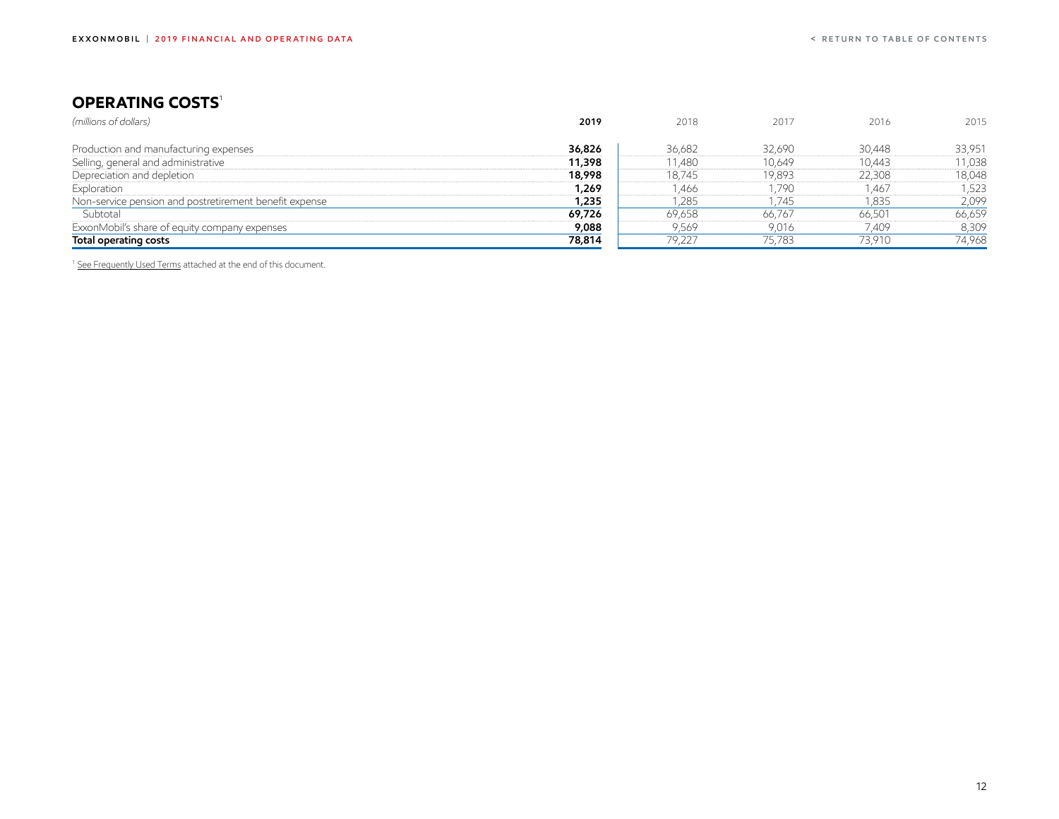## <span id="page-12-0"></span>**OPERATING COSTS**<sup>1</sup>

| (millions of dollars)                                  | 2019   | 2018   | 2017   | 2016   | 2015   |
|--------------------------------------------------------|--------|--------|--------|--------|--------|
|                                                        |        |        |        |        |        |
| Production and manufacturing expenses                  | 36,826 | 36,682 | 32,690 | 30,448 | 33,951 |
| Selling, general and administrative                    | 11,398 | 11,480 | 10,649 | 10,443 | 11,038 |
| Depreciation and depletion                             | 18,998 | 18,745 | 19,893 | 22,308 | 18,048 |
| Exploration                                            | 1,269  | ,466   | 1,790  | .467   | 523.   |
| Non-service pension and postretirement benefit expense | 1,235  | ,285   | 1,745  | 1,835  | 2,099  |
| Subtotal                                               | 69,726 | 69,658 | 66,767 | 66,501 | 66,659 |
| ExxonMobil's share of equity company expenses          | 9,088  | 9,569  | 9,016  | 7,409  | 8,309  |
| Total operating costs                                  | 78,814 | 79,227 | 75,783 | 73,910 | 74,968 |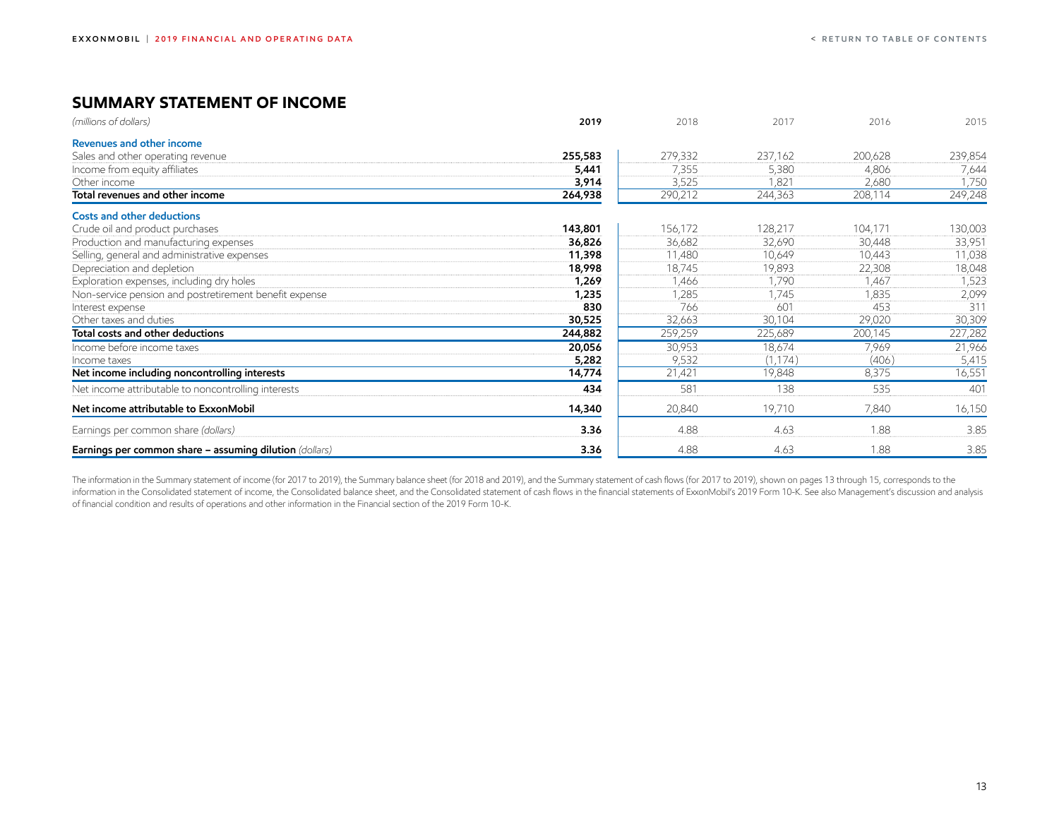## <span id="page-13-0"></span>**SUMMARY STATEMENT OF INCOME**

| (millions of dollars)                                          | 2019    | 2018    | 2017     | 2016    | 2015    |
|----------------------------------------------------------------|---------|---------|----------|---------|---------|
| Revenues and other income                                      |         |         |          |         |         |
| Sales and other operating revenue                              | 255,583 | 279,332 | 237,162  | 200,628 | 239,854 |
| Income from equity affiliates                                  | 5,441   | 7,355   | 5,380    | 4,806   | 7,644   |
| Other income                                                   | 3,914   | 3,525   | 1,821    | 2,680   | 1,750   |
| Total revenues and other income                                | 264,938 | 290,212 | 244,363  | 208,114 | 249,248 |
| <b>Costs and other deductions</b>                              |         |         |          |         |         |
| Crude oil and product purchases                                | 143,801 | 156,172 | 128,217  | 104,171 | 130,003 |
| Production and manufacturing expenses                          | 36,826  | 36,682  | 32,690   | 30,448  | 33,951  |
| Selling, general and administrative expenses                   | 11,398  | 11,480  | 10,649   | 10,443  | 11,038  |
| Depreciation and depletion                                     | 18,998  | 18,745  | 19,893   | 22,308  | 18,048  |
| Exploration expenses, including dry holes                      | 1,269   | 1,466   | 1,790    | 1,467   | 1,523   |
| Non-service pension and postretirement benefit expense         | 1,235   | 1,285   | 1,745    | 1,835   | 2,099   |
| Interest expense                                               | 830     | 766     | 601      | 453     | 311     |
| Other taxes and duties                                         | 30,525  | 32,663  | 30,104   | 29,020  | 30,309  |
| Total costs and other deductions                               | 244,882 | 259,259 | 225,689  | 200,145 | 227,282 |
| Income before income taxes                                     | 20,056  | 30,953  | 18,674   | 7,969   | 21,966  |
| Income taxes                                                   | 5,282   | 9,532   | (1, 174) | (406)   | 5,415   |
| Net income including noncontrolling interests                  | 14,774  | 21,421  | 19,848   | 8,375   | 16,551  |
| Net income attributable to noncontrolling interests            | 434     | 581     | 138      | 535     | 401     |
| Net income attributable to ExxonMobil                          | 14,340  | 20,840  | 19,710   | 7,840   | 16,150  |
| Earnings per common share (dollars)                            | 3.36    | 4.88    | 4.63     | 1.88    | 3.85    |
| <b>Earnings per common share - assuming dilution</b> (dollars) | 3.36    | 4.88    | 4.63     | 1.88    | 3.85    |

The information in the Summary statement of income (for 2017 to 2019), the Summary balance sheet (for 2018 and 2019), and the Summary statement of cash flows (for 2017 to 2019), shown on pages 13 through 15, corresponds to information in the Consolidated statement of income, the Consolidated balance sheet, and the Consolidated statement of cash flows in the financial statements of ExxonMobil's 2019 Form 10-K. See also Management's discussion of financial condition and results of operations and other information in the Financial section of the 2019 Form 10-K.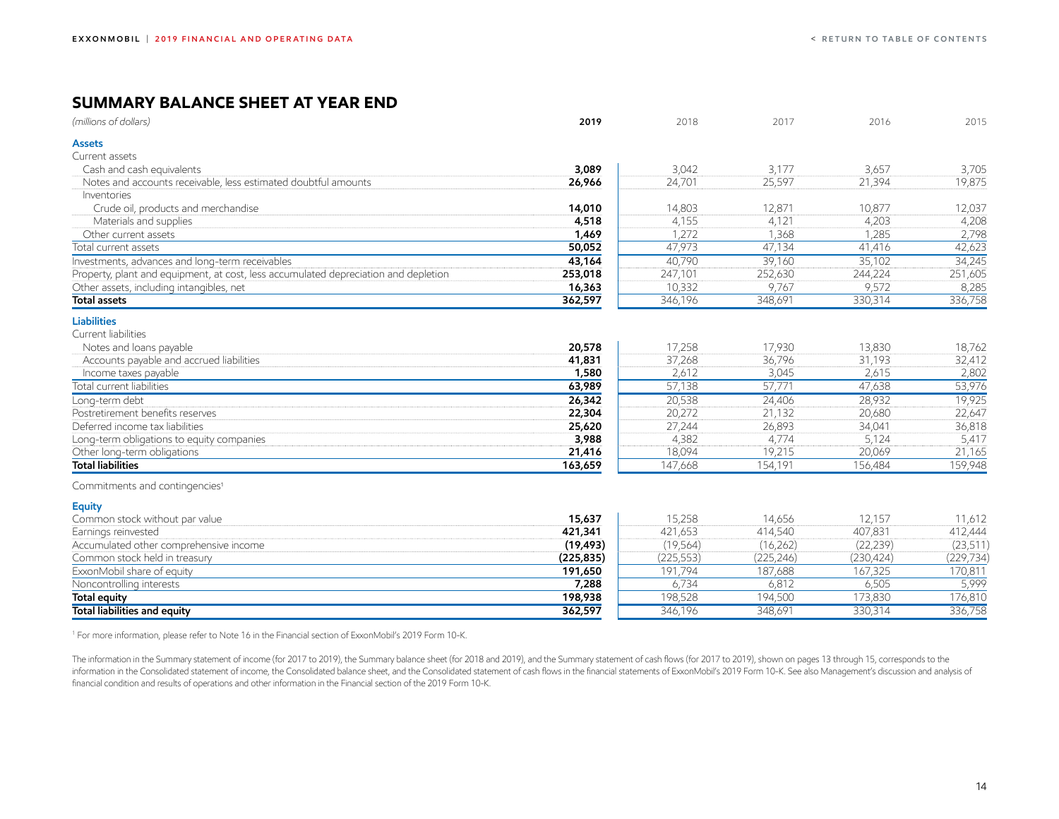## <span id="page-14-0"></span>**SUMMARY BALANCE SHEET AT YEAR END**

| (millions of dollars)                                                               | 2019       | 2018       | 2017       | 2016       | 2015       |
|-------------------------------------------------------------------------------------|------------|------------|------------|------------|------------|
| Assets                                                                              |            |            |            |            |            |
| Current assets                                                                      |            |            |            |            |            |
| Cash and cash equivalents                                                           | 3,089      | 3,042      | 3,177      | 3,657      | 3,705      |
| Notes and accounts receivable, less estimated doubtful amounts                      | 26,966     | 24,701     | 25,597     | 21,394     | 19,875     |
| Inventories                                                                         |            |            |            |            |            |
| Crude oil, products and merchandise                                                 | 14,010     | 14,803     | 12,871     | 10,877     | 12,037     |
| Materials and supplies                                                              | 4,518      | 4,155      | 4,121      | 4,203      | 4,208      |
| Other current assets                                                                | 1,469      | 1,272      | 1,368      | 1,285      | 2,798      |
| Total current assets                                                                | 50,052     | 47,973     | 47,134     | 41,416     | 42,623     |
| Investments, advances and long-term receivables                                     | 43,164     | 40,790     | 39,160     | 35,102     | 34,245     |
| Property, plant and equipment, at cost, less accumulated depreciation and depletion | 253,018    | 247,101    | 252,630    | 244,224    | 251,605    |
| Other assets, including intangibles, net                                            | 16,363     | 10,332     | 9,767      | 9,572      | 8,285      |
| <b>Total assets</b>                                                                 | 362,597    | 346,196    | 348,691    | 330,314    | 336,758    |
| <b>Liabilities</b>                                                                  |            |            |            |            |            |
| Current liabilities                                                                 |            |            |            |            |            |
| Notes and loans payable                                                             | 20,578     | 17,258     | 17,930     | 13,830     | 18,762     |
| Accounts payable and accrued liabilities                                            | 41,831     | 37,268     | 36,796     | 31,193     | 32,412     |
| Income taxes payable                                                                | 1,580      | 2,612      | 3,045      | 2,615      | 2,802      |
| Total current liabilities                                                           | 63,989     | 57,138     | 57,771     | 47,638     | 53,976     |
| Long-term debt                                                                      | 26,342     | 20,538     | 24,406     | 28,932     | 19,925     |
| Postretirement benefits reserves                                                    | 22,304     | 20,272     | 21,132     | 20,680     | 22,647     |
| Deferred income tax liabilities                                                     | 25,620     | 27,244     | 26,893     | 34,041     | 36,818     |
| Long-term obligations to equity companies                                           | 3,988      | 4,382      | 4,774      | 5,124      | 5,417      |
| Other long-term obligations                                                         | 21,416     | 18,094     | 19,215     | 20,069     | 21,165     |
| <b>Total liabilities</b>                                                            | 163,659    | 147,668    | 154,191    | 156,484    | 159,948    |
| Commitments and contingencies <sup>1</sup>                                          |            |            |            |            |            |
| <b>Equity</b>                                                                       |            |            |            |            |            |
| Common stock without par value                                                      | 15,637     | 15,258     | 14,656     | 12,157     | 11,612     |
| Earnings reinvested                                                                 | 421,341    | 421,653    | 414,540    | 407,831    | 412,444    |
| Accumulated other comprehensive income                                              | (19, 493)  | (19, 564)  | (16, 262)  | (22, 239)  | (23, 511)  |
| Common stock held in treasury                                                       | (225, 835) | (225, 553) | (225, 246) | (230, 424) | (229, 734) |
| ExxonMobil share of equity                                                          | 191,650    | 191,794    | 187,688    | 167,325    | 170,811    |
| Noncontrolling interests                                                            | 7,288      | 6,734      | 6,812      | 6,505      | 5,999      |
| <b>Total equity</b>                                                                 | 198,938    | 198,528    | 194,500    | 173,830    | 176,810    |
| <b>Total liabilities and equity</b>                                                 | 362,597    | 346,196    | 348,691    | 330,314    | 336,758    |

<sup>1</sup> For more information, please refer to Note 16 in the Financial section of ExxonMobil's 2019 Form 10-K.

The information in the Summary statement of income (for 2017 to 2019), the Summary balance sheet (for 2018 and 2019), and the Summary statement of cash flows (for 2017 to 2019), shown on pages 13 through 15, corresponds to information in the Consolidated statement of income, the Consolidated balance sheet, and the Consolidated statement of cash flows in the financial statements of ExxonMobil's 2019 Form 10-K. See also Management's discussion financial condition and results of operations and other information in the Financial section of the 2019 Form 10-K.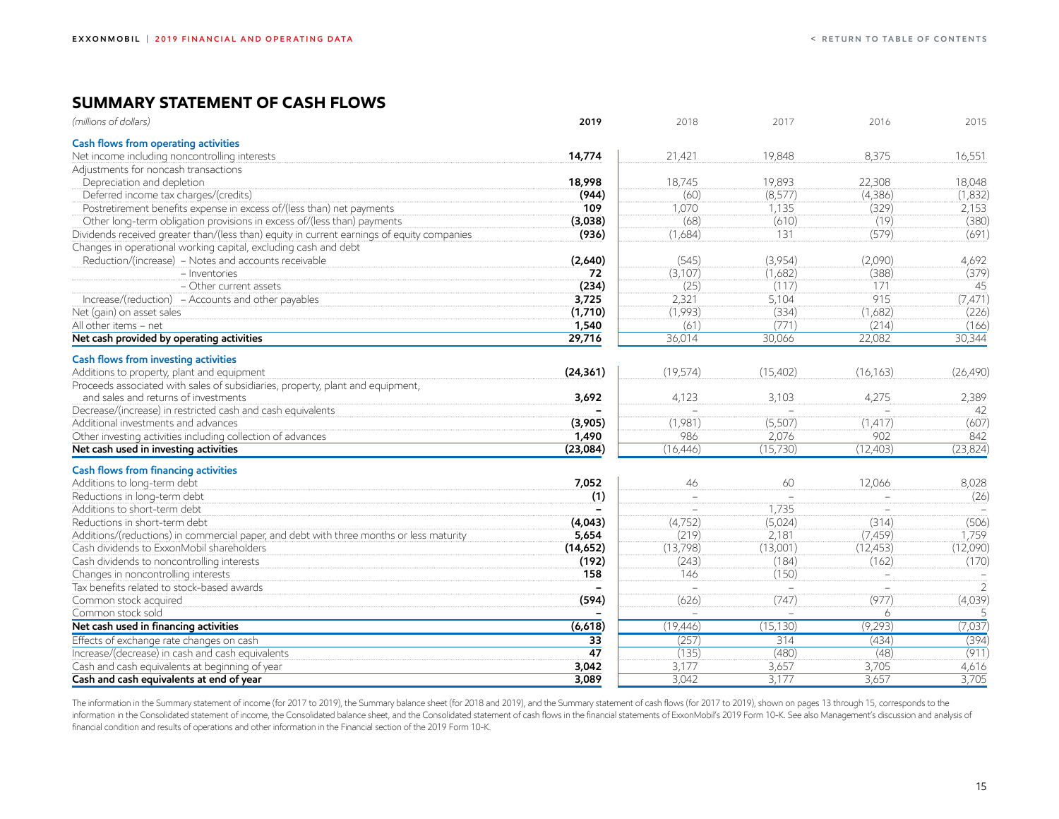## <span id="page-15-0"></span>**SUMMARY STATEMENT OF CASH FLOWS**

| Cash flows from operating activities<br>Net income including noncontrolling interests<br>14,774<br>21,421<br>19,848<br>8,375<br>16,551<br>Adjustments for noncash transactions<br>19,893<br>Depreciation and depletion<br>18,998<br>18,745<br>22,308<br>18,048<br>Deferred income tax charges/(credits)<br>(944)<br>(60)<br>(8,577)<br>(4,386)<br>(329)<br>Postretirement benefits expense in excess of/(less than) net payments<br>109<br>1,070<br>1,135<br>2,153<br>(68)<br>(19)<br>(380)<br>Other long-term obligation provisions in excess of/(less than) payments<br>(610)<br>(3,038)<br>Dividends received greater than/(less than) equity in current earnings of equity companies<br>(691)<br>(936)<br>(1,684)<br>131<br>(579)<br>Changes in operational working capital, excluding cash and debt<br>Reduction/(increase) - Notes and accounts receivable<br>(545)<br>(3,954)<br>(2,090)<br>(2,640)<br>4,692<br>(3,107)<br>(388)<br>- Inventories<br>(1,682)<br>72<br>- Other current assets<br>(234)<br>(25)<br>(117)<br>171<br>45<br>915<br>Increase/(reduction) - Accounts and other payables<br>3,725<br>2,321<br>5,104<br>(1,993)<br>(334)<br>(1,682)<br>(1,710)<br>Net (gain) on asset sales<br>All other items - net<br>1,540<br>(61)<br>(771)<br>(214)<br>Net cash provided by operating activities<br>29,716<br>36,014<br>30,066<br>22,082<br>30,344<br>Cash flows from investing activities<br>Additions to property, plant and equipment<br>(24, 361)<br>(19, 574)<br>(15,402)<br>(16, 163)<br>Proceeds associated with sales of subsidiaries, property, plant and equipment,<br>and sales and returns of investments<br>4,123<br>3,103<br>4,275<br>3,692<br>2,389<br>Decrease/(increase) in restricted cash and cash equivalents<br>42<br>$\equiv$<br>(607)<br>Additional investments and advances<br>(1,981)<br>(5,507)<br>(3,905)<br>(1, 417)<br>1,490<br>986<br>902<br>842<br>Other investing activities including collection of advances<br>2,076<br>(23,084)<br>(15,730)<br>(12,403)<br>(23, 824)<br>Net cash used in investing activities<br>(16, 446)<br>Cash flows from financing activities<br>Additions to long-term debt<br>7,052<br>60<br>12,066<br>8,028<br>46<br>Reductions in long-term debt<br>(1)<br>$\equiv$<br>Additions to short-term debt<br>1,735<br>$\equiv$<br>$\sim$<br>$\sim$<br>Reductions in short-term debt<br>(4,752)<br>(5,024)<br>(314)<br>(506)<br>(4,043)<br>5,654<br>(219)<br>2,181<br>Additions/(reductions) in commercial paper, and debt with three months or less maturity<br>(7, 459)<br>1,759<br>(13,798)<br>(13,001)<br>(12, 453)<br>(12,090)<br>Cash dividends to ExxonMobil shareholders<br>(14, 652)<br>Cash dividends to noncontrolling interests<br>(184)<br>(192)<br>(243)<br>(162)<br>(150)<br>Changes in noncontrolling interests<br>158<br>146<br>$\sim$<br>$\sim$<br>$\overline{2}$<br>Tax benefits related to stock-based awards<br>(4,039)<br>(594)<br>(626)<br>(747)<br>(977)<br>Common stock acquired<br>Common stock sold<br>6 | (millions of dollars)                 | 2019    | 2018      | 2017      | 2016    | 2015      |
|------------------------------------------------------------------------------------------------------------------------------------------------------------------------------------------------------------------------------------------------------------------------------------------------------------------------------------------------------------------------------------------------------------------------------------------------------------------------------------------------------------------------------------------------------------------------------------------------------------------------------------------------------------------------------------------------------------------------------------------------------------------------------------------------------------------------------------------------------------------------------------------------------------------------------------------------------------------------------------------------------------------------------------------------------------------------------------------------------------------------------------------------------------------------------------------------------------------------------------------------------------------------------------------------------------------------------------------------------------------------------------------------------------------------------------------------------------------------------------------------------------------------------------------------------------------------------------------------------------------------------------------------------------------------------------------------------------------------------------------------------------------------------------------------------------------------------------------------------------------------------------------------------------------------------------------------------------------------------------------------------------------------------------------------------------------------------------------------------------------------------------------------------------------------------------------------------------------------------------------------------------------------------------------------------------------------------------------------------------------------------------------------------------------------------------------------------------------------------------------------------------------------------------------------------------------------------------------------------------------------------------------------------------------------------------------------------------------------------------------------------------------------------------------------------------------------------------------------------------------------------------------------------------------------------------------------------------------------------------------------------------|---------------------------------------|---------|-----------|-----------|---------|-----------|
|                                                                                                                                                                                                                                                                                                                                                                                                                                                                                                                                                                                                                                                                                                                                                                                                                                                                                                                                                                                                                                                                                                                                                                                                                                                                                                                                                                                                                                                                                                                                                                                                                                                                                                                                                                                                                                                                                                                                                                                                                                                                                                                                                                                                                                                                                                                                                                                                                                                                                                                                                                                                                                                                                                                                                                                                                                                                                                                                                                                                            |                                       |         |           |           |         |           |
|                                                                                                                                                                                                                                                                                                                                                                                                                                                                                                                                                                                                                                                                                                                                                                                                                                                                                                                                                                                                                                                                                                                                                                                                                                                                                                                                                                                                                                                                                                                                                                                                                                                                                                                                                                                                                                                                                                                                                                                                                                                                                                                                                                                                                                                                                                                                                                                                                                                                                                                                                                                                                                                                                                                                                                                                                                                                                                                                                                                                            |                                       |         |           |           |         |           |
|                                                                                                                                                                                                                                                                                                                                                                                                                                                                                                                                                                                                                                                                                                                                                                                                                                                                                                                                                                                                                                                                                                                                                                                                                                                                                                                                                                                                                                                                                                                                                                                                                                                                                                                                                                                                                                                                                                                                                                                                                                                                                                                                                                                                                                                                                                                                                                                                                                                                                                                                                                                                                                                                                                                                                                                                                                                                                                                                                                                                            |                                       |         |           |           |         |           |
|                                                                                                                                                                                                                                                                                                                                                                                                                                                                                                                                                                                                                                                                                                                                                                                                                                                                                                                                                                                                                                                                                                                                                                                                                                                                                                                                                                                                                                                                                                                                                                                                                                                                                                                                                                                                                                                                                                                                                                                                                                                                                                                                                                                                                                                                                                                                                                                                                                                                                                                                                                                                                                                                                                                                                                                                                                                                                                                                                                                                            |                                       |         |           |           |         |           |
|                                                                                                                                                                                                                                                                                                                                                                                                                                                                                                                                                                                                                                                                                                                                                                                                                                                                                                                                                                                                                                                                                                                                                                                                                                                                                                                                                                                                                                                                                                                                                                                                                                                                                                                                                                                                                                                                                                                                                                                                                                                                                                                                                                                                                                                                                                                                                                                                                                                                                                                                                                                                                                                                                                                                                                                                                                                                                                                                                                                                            |                                       |         |           |           |         | (1,832)   |
|                                                                                                                                                                                                                                                                                                                                                                                                                                                                                                                                                                                                                                                                                                                                                                                                                                                                                                                                                                                                                                                                                                                                                                                                                                                                                                                                                                                                                                                                                                                                                                                                                                                                                                                                                                                                                                                                                                                                                                                                                                                                                                                                                                                                                                                                                                                                                                                                                                                                                                                                                                                                                                                                                                                                                                                                                                                                                                                                                                                                            |                                       |         |           |           |         |           |
|                                                                                                                                                                                                                                                                                                                                                                                                                                                                                                                                                                                                                                                                                                                                                                                                                                                                                                                                                                                                                                                                                                                                                                                                                                                                                                                                                                                                                                                                                                                                                                                                                                                                                                                                                                                                                                                                                                                                                                                                                                                                                                                                                                                                                                                                                                                                                                                                                                                                                                                                                                                                                                                                                                                                                                                                                                                                                                                                                                                                            |                                       |         |           |           |         |           |
|                                                                                                                                                                                                                                                                                                                                                                                                                                                                                                                                                                                                                                                                                                                                                                                                                                                                                                                                                                                                                                                                                                                                                                                                                                                                                                                                                                                                                                                                                                                                                                                                                                                                                                                                                                                                                                                                                                                                                                                                                                                                                                                                                                                                                                                                                                                                                                                                                                                                                                                                                                                                                                                                                                                                                                                                                                                                                                                                                                                                            |                                       |         |           |           |         |           |
|                                                                                                                                                                                                                                                                                                                                                                                                                                                                                                                                                                                                                                                                                                                                                                                                                                                                                                                                                                                                                                                                                                                                                                                                                                                                                                                                                                                                                                                                                                                                                                                                                                                                                                                                                                                                                                                                                                                                                                                                                                                                                                                                                                                                                                                                                                                                                                                                                                                                                                                                                                                                                                                                                                                                                                                                                                                                                                                                                                                                            |                                       |         |           |           |         |           |
|                                                                                                                                                                                                                                                                                                                                                                                                                                                                                                                                                                                                                                                                                                                                                                                                                                                                                                                                                                                                                                                                                                                                                                                                                                                                                                                                                                                                                                                                                                                                                                                                                                                                                                                                                                                                                                                                                                                                                                                                                                                                                                                                                                                                                                                                                                                                                                                                                                                                                                                                                                                                                                                                                                                                                                                                                                                                                                                                                                                                            |                                       |         |           |           |         |           |
|                                                                                                                                                                                                                                                                                                                                                                                                                                                                                                                                                                                                                                                                                                                                                                                                                                                                                                                                                                                                                                                                                                                                                                                                                                                                                                                                                                                                                                                                                                                                                                                                                                                                                                                                                                                                                                                                                                                                                                                                                                                                                                                                                                                                                                                                                                                                                                                                                                                                                                                                                                                                                                                                                                                                                                                                                                                                                                                                                                                                            |                                       |         |           |           |         | (379)     |
|                                                                                                                                                                                                                                                                                                                                                                                                                                                                                                                                                                                                                                                                                                                                                                                                                                                                                                                                                                                                                                                                                                                                                                                                                                                                                                                                                                                                                                                                                                                                                                                                                                                                                                                                                                                                                                                                                                                                                                                                                                                                                                                                                                                                                                                                                                                                                                                                                                                                                                                                                                                                                                                                                                                                                                                                                                                                                                                                                                                                            |                                       |         |           |           |         |           |
|                                                                                                                                                                                                                                                                                                                                                                                                                                                                                                                                                                                                                                                                                                                                                                                                                                                                                                                                                                                                                                                                                                                                                                                                                                                                                                                                                                                                                                                                                                                                                                                                                                                                                                                                                                                                                                                                                                                                                                                                                                                                                                                                                                                                                                                                                                                                                                                                                                                                                                                                                                                                                                                                                                                                                                                                                                                                                                                                                                                                            |                                       |         |           |           |         | (7, 471)  |
|                                                                                                                                                                                                                                                                                                                                                                                                                                                                                                                                                                                                                                                                                                                                                                                                                                                                                                                                                                                                                                                                                                                                                                                                                                                                                                                                                                                                                                                                                                                                                                                                                                                                                                                                                                                                                                                                                                                                                                                                                                                                                                                                                                                                                                                                                                                                                                                                                                                                                                                                                                                                                                                                                                                                                                                                                                                                                                                                                                                                            |                                       |         |           |           |         | (226)     |
|                                                                                                                                                                                                                                                                                                                                                                                                                                                                                                                                                                                                                                                                                                                                                                                                                                                                                                                                                                                                                                                                                                                                                                                                                                                                                                                                                                                                                                                                                                                                                                                                                                                                                                                                                                                                                                                                                                                                                                                                                                                                                                                                                                                                                                                                                                                                                                                                                                                                                                                                                                                                                                                                                                                                                                                                                                                                                                                                                                                                            |                                       |         |           |           |         | (166)     |
|                                                                                                                                                                                                                                                                                                                                                                                                                                                                                                                                                                                                                                                                                                                                                                                                                                                                                                                                                                                                                                                                                                                                                                                                                                                                                                                                                                                                                                                                                                                                                                                                                                                                                                                                                                                                                                                                                                                                                                                                                                                                                                                                                                                                                                                                                                                                                                                                                                                                                                                                                                                                                                                                                                                                                                                                                                                                                                                                                                                                            |                                       |         |           |           |         |           |
|                                                                                                                                                                                                                                                                                                                                                                                                                                                                                                                                                                                                                                                                                                                                                                                                                                                                                                                                                                                                                                                                                                                                                                                                                                                                                                                                                                                                                                                                                                                                                                                                                                                                                                                                                                                                                                                                                                                                                                                                                                                                                                                                                                                                                                                                                                                                                                                                                                                                                                                                                                                                                                                                                                                                                                                                                                                                                                                                                                                                            |                                       |         |           |           |         |           |
|                                                                                                                                                                                                                                                                                                                                                                                                                                                                                                                                                                                                                                                                                                                                                                                                                                                                                                                                                                                                                                                                                                                                                                                                                                                                                                                                                                                                                                                                                                                                                                                                                                                                                                                                                                                                                                                                                                                                                                                                                                                                                                                                                                                                                                                                                                                                                                                                                                                                                                                                                                                                                                                                                                                                                                                                                                                                                                                                                                                                            |                                       |         |           |           |         | (26, 490) |
|                                                                                                                                                                                                                                                                                                                                                                                                                                                                                                                                                                                                                                                                                                                                                                                                                                                                                                                                                                                                                                                                                                                                                                                                                                                                                                                                                                                                                                                                                                                                                                                                                                                                                                                                                                                                                                                                                                                                                                                                                                                                                                                                                                                                                                                                                                                                                                                                                                                                                                                                                                                                                                                                                                                                                                                                                                                                                                                                                                                                            |                                       |         |           |           |         |           |
|                                                                                                                                                                                                                                                                                                                                                                                                                                                                                                                                                                                                                                                                                                                                                                                                                                                                                                                                                                                                                                                                                                                                                                                                                                                                                                                                                                                                                                                                                                                                                                                                                                                                                                                                                                                                                                                                                                                                                                                                                                                                                                                                                                                                                                                                                                                                                                                                                                                                                                                                                                                                                                                                                                                                                                                                                                                                                                                                                                                                            |                                       |         |           |           |         |           |
|                                                                                                                                                                                                                                                                                                                                                                                                                                                                                                                                                                                                                                                                                                                                                                                                                                                                                                                                                                                                                                                                                                                                                                                                                                                                                                                                                                                                                                                                                                                                                                                                                                                                                                                                                                                                                                                                                                                                                                                                                                                                                                                                                                                                                                                                                                                                                                                                                                                                                                                                                                                                                                                                                                                                                                                                                                                                                                                                                                                                            |                                       |         |           |           |         |           |
|                                                                                                                                                                                                                                                                                                                                                                                                                                                                                                                                                                                                                                                                                                                                                                                                                                                                                                                                                                                                                                                                                                                                                                                                                                                                                                                                                                                                                                                                                                                                                                                                                                                                                                                                                                                                                                                                                                                                                                                                                                                                                                                                                                                                                                                                                                                                                                                                                                                                                                                                                                                                                                                                                                                                                                                                                                                                                                                                                                                                            |                                       |         |           |           |         |           |
|                                                                                                                                                                                                                                                                                                                                                                                                                                                                                                                                                                                                                                                                                                                                                                                                                                                                                                                                                                                                                                                                                                                                                                                                                                                                                                                                                                                                                                                                                                                                                                                                                                                                                                                                                                                                                                                                                                                                                                                                                                                                                                                                                                                                                                                                                                                                                                                                                                                                                                                                                                                                                                                                                                                                                                                                                                                                                                                                                                                                            |                                       |         |           |           |         |           |
|                                                                                                                                                                                                                                                                                                                                                                                                                                                                                                                                                                                                                                                                                                                                                                                                                                                                                                                                                                                                                                                                                                                                                                                                                                                                                                                                                                                                                                                                                                                                                                                                                                                                                                                                                                                                                                                                                                                                                                                                                                                                                                                                                                                                                                                                                                                                                                                                                                                                                                                                                                                                                                                                                                                                                                                                                                                                                                                                                                                                            |                                       |         |           |           |         |           |
|                                                                                                                                                                                                                                                                                                                                                                                                                                                                                                                                                                                                                                                                                                                                                                                                                                                                                                                                                                                                                                                                                                                                                                                                                                                                                                                                                                                                                                                                                                                                                                                                                                                                                                                                                                                                                                                                                                                                                                                                                                                                                                                                                                                                                                                                                                                                                                                                                                                                                                                                                                                                                                                                                                                                                                                                                                                                                                                                                                                                            |                                       |         |           |           |         |           |
|                                                                                                                                                                                                                                                                                                                                                                                                                                                                                                                                                                                                                                                                                                                                                                                                                                                                                                                                                                                                                                                                                                                                                                                                                                                                                                                                                                                                                                                                                                                                                                                                                                                                                                                                                                                                                                                                                                                                                                                                                                                                                                                                                                                                                                                                                                                                                                                                                                                                                                                                                                                                                                                                                                                                                                                                                                                                                                                                                                                                            |                                       |         |           |           |         |           |
|                                                                                                                                                                                                                                                                                                                                                                                                                                                                                                                                                                                                                                                                                                                                                                                                                                                                                                                                                                                                                                                                                                                                                                                                                                                                                                                                                                                                                                                                                                                                                                                                                                                                                                                                                                                                                                                                                                                                                                                                                                                                                                                                                                                                                                                                                                                                                                                                                                                                                                                                                                                                                                                                                                                                                                                                                                                                                                                                                                                                            |                                       |         |           |           |         | (26)      |
|                                                                                                                                                                                                                                                                                                                                                                                                                                                                                                                                                                                                                                                                                                                                                                                                                                                                                                                                                                                                                                                                                                                                                                                                                                                                                                                                                                                                                                                                                                                                                                                                                                                                                                                                                                                                                                                                                                                                                                                                                                                                                                                                                                                                                                                                                                                                                                                                                                                                                                                                                                                                                                                                                                                                                                                                                                                                                                                                                                                                            |                                       |         |           |           |         |           |
|                                                                                                                                                                                                                                                                                                                                                                                                                                                                                                                                                                                                                                                                                                                                                                                                                                                                                                                                                                                                                                                                                                                                                                                                                                                                                                                                                                                                                                                                                                                                                                                                                                                                                                                                                                                                                                                                                                                                                                                                                                                                                                                                                                                                                                                                                                                                                                                                                                                                                                                                                                                                                                                                                                                                                                                                                                                                                                                                                                                                            |                                       |         |           |           |         |           |
|                                                                                                                                                                                                                                                                                                                                                                                                                                                                                                                                                                                                                                                                                                                                                                                                                                                                                                                                                                                                                                                                                                                                                                                                                                                                                                                                                                                                                                                                                                                                                                                                                                                                                                                                                                                                                                                                                                                                                                                                                                                                                                                                                                                                                                                                                                                                                                                                                                                                                                                                                                                                                                                                                                                                                                                                                                                                                                                                                                                                            |                                       |         |           |           |         |           |
|                                                                                                                                                                                                                                                                                                                                                                                                                                                                                                                                                                                                                                                                                                                                                                                                                                                                                                                                                                                                                                                                                                                                                                                                                                                                                                                                                                                                                                                                                                                                                                                                                                                                                                                                                                                                                                                                                                                                                                                                                                                                                                                                                                                                                                                                                                                                                                                                                                                                                                                                                                                                                                                                                                                                                                                                                                                                                                                                                                                                            |                                       |         |           |           |         |           |
|                                                                                                                                                                                                                                                                                                                                                                                                                                                                                                                                                                                                                                                                                                                                                                                                                                                                                                                                                                                                                                                                                                                                                                                                                                                                                                                                                                                                                                                                                                                                                                                                                                                                                                                                                                                                                                                                                                                                                                                                                                                                                                                                                                                                                                                                                                                                                                                                                                                                                                                                                                                                                                                                                                                                                                                                                                                                                                                                                                                                            |                                       |         |           |           |         | (170)     |
|                                                                                                                                                                                                                                                                                                                                                                                                                                                                                                                                                                                                                                                                                                                                                                                                                                                                                                                                                                                                                                                                                                                                                                                                                                                                                                                                                                                                                                                                                                                                                                                                                                                                                                                                                                                                                                                                                                                                                                                                                                                                                                                                                                                                                                                                                                                                                                                                                                                                                                                                                                                                                                                                                                                                                                                                                                                                                                                                                                                                            |                                       |         |           |           |         |           |
|                                                                                                                                                                                                                                                                                                                                                                                                                                                                                                                                                                                                                                                                                                                                                                                                                                                                                                                                                                                                                                                                                                                                                                                                                                                                                                                                                                                                                                                                                                                                                                                                                                                                                                                                                                                                                                                                                                                                                                                                                                                                                                                                                                                                                                                                                                                                                                                                                                                                                                                                                                                                                                                                                                                                                                                                                                                                                                                                                                                                            |                                       |         |           |           |         |           |
|                                                                                                                                                                                                                                                                                                                                                                                                                                                                                                                                                                                                                                                                                                                                                                                                                                                                                                                                                                                                                                                                                                                                                                                                                                                                                                                                                                                                                                                                                                                                                                                                                                                                                                                                                                                                                                                                                                                                                                                                                                                                                                                                                                                                                                                                                                                                                                                                                                                                                                                                                                                                                                                                                                                                                                                                                                                                                                                                                                                                            |                                       |         |           |           |         |           |
|                                                                                                                                                                                                                                                                                                                                                                                                                                                                                                                                                                                                                                                                                                                                                                                                                                                                                                                                                                                                                                                                                                                                                                                                                                                                                                                                                                                                                                                                                                                                                                                                                                                                                                                                                                                                                                                                                                                                                                                                                                                                                                                                                                                                                                                                                                                                                                                                                                                                                                                                                                                                                                                                                                                                                                                                                                                                                                                                                                                                            |                                       |         |           |           |         |           |
|                                                                                                                                                                                                                                                                                                                                                                                                                                                                                                                                                                                                                                                                                                                                                                                                                                                                                                                                                                                                                                                                                                                                                                                                                                                                                                                                                                                                                                                                                                                                                                                                                                                                                                                                                                                                                                                                                                                                                                                                                                                                                                                                                                                                                                                                                                                                                                                                                                                                                                                                                                                                                                                                                                                                                                                                                                                                                                                                                                                                            | Net cash used in financing activities | (6,618) | (19, 446) | (15, 130) | (9,293) | (7,037)   |
| (257)<br>(394)<br>Effects of exchange rate changes on cash<br>$\overline{33}$<br>314<br>(434)                                                                                                                                                                                                                                                                                                                                                                                                                                                                                                                                                                                                                                                                                                                                                                                                                                                                                                                                                                                                                                                                                                                                                                                                                                                                                                                                                                                                                                                                                                                                                                                                                                                                                                                                                                                                                                                                                                                                                                                                                                                                                                                                                                                                                                                                                                                                                                                                                                                                                                                                                                                                                                                                                                                                                                                                                                                                                                              |                                       |         |           |           |         |           |
| (911)<br>$\overline{47}$<br>(48)<br>Increase/(decrease) in cash and cash equivalents<br>(135)<br>(480)                                                                                                                                                                                                                                                                                                                                                                                                                                                                                                                                                                                                                                                                                                                                                                                                                                                                                                                                                                                                                                                                                                                                                                                                                                                                                                                                                                                                                                                                                                                                                                                                                                                                                                                                                                                                                                                                                                                                                                                                                                                                                                                                                                                                                                                                                                                                                                                                                                                                                                                                                                                                                                                                                                                                                                                                                                                                                                     |                                       |         |           |           |         |           |
| 3,177<br>3,657<br>Cash and cash equivalents at beginning of year<br>3,042<br>3,705<br>4,616                                                                                                                                                                                                                                                                                                                                                                                                                                                                                                                                                                                                                                                                                                                                                                                                                                                                                                                                                                                                                                                                                                                                                                                                                                                                                                                                                                                                                                                                                                                                                                                                                                                                                                                                                                                                                                                                                                                                                                                                                                                                                                                                                                                                                                                                                                                                                                                                                                                                                                                                                                                                                                                                                                                                                                                                                                                                                                                |                                       |         |           |           |         |           |
| 3,705<br>3,089<br>3,042<br>3,177<br>3,657<br>Cash and cash equivalents at end of year                                                                                                                                                                                                                                                                                                                                                                                                                                                                                                                                                                                                                                                                                                                                                                                                                                                                                                                                                                                                                                                                                                                                                                                                                                                                                                                                                                                                                                                                                                                                                                                                                                                                                                                                                                                                                                                                                                                                                                                                                                                                                                                                                                                                                                                                                                                                                                                                                                                                                                                                                                                                                                                                                                                                                                                                                                                                                                                      |                                       |         |           |           |         |           |

The information in the Summary statement of income (for 2017 to 2019), the Summary balance sheet (for 2018 and 2019), and the Summary statement of cash flows (for 2017 to 2019), shown on pages 13 through 15, corresponds to information in the Consolidated statement of income, the Consolidated balance sheet, and the Consolidated statement of cash flows in the financial statements of ExxonMobil's 2019 Form 10-K. See also Management's discussion financial condition and results of operations and other information in the Financial section of the 2019 Form 10-K.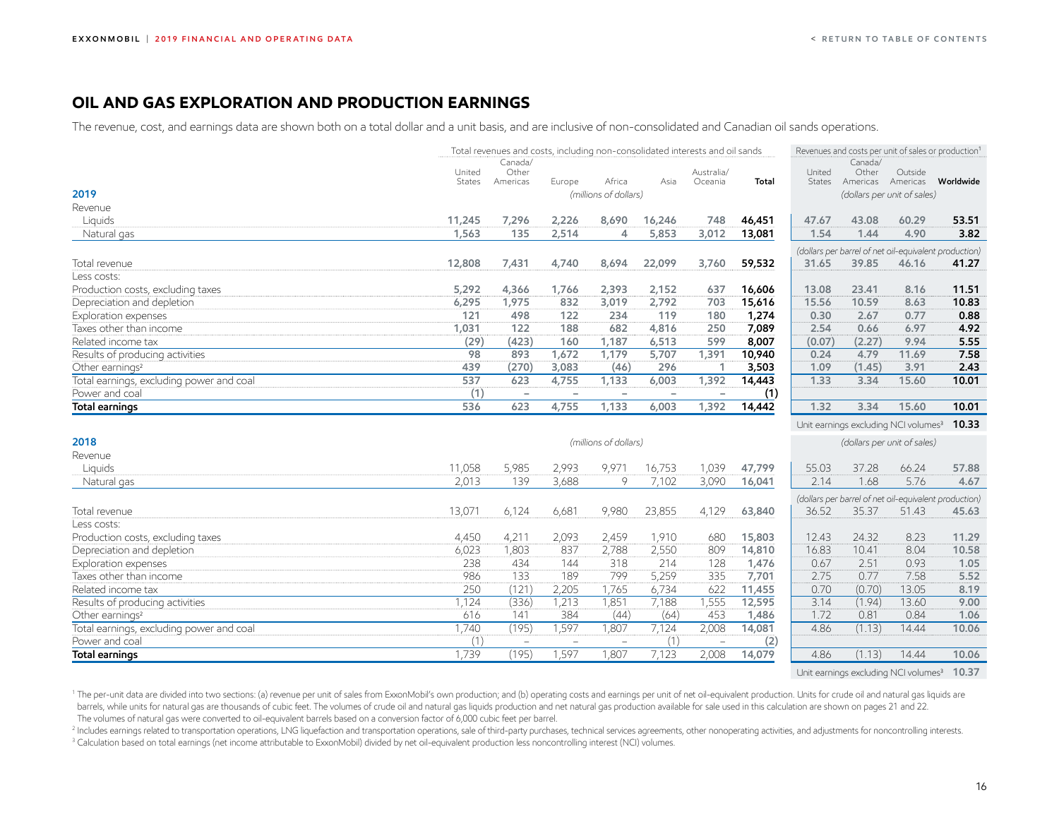## <span id="page-16-0"></span>**OIL AND GAS EXPLORATION AND PRODUCTION EARNINGS**

The revenue, cost, and earnings data are shown both on a total dollar and a unit basis, and are inclusive of non-consolidated and Canadian oil sands operations.

|                                          |               | Total revenues and costs, including non-consolidated interests and oil sands |                          |                          |        |            |        | Revenues and costs per unit of sales or production <sup>1</sup> |                  |                                                       |           |
|------------------------------------------|---------------|------------------------------------------------------------------------------|--------------------------|--------------------------|--------|------------|--------|-----------------------------------------------------------------|------------------|-------------------------------------------------------|-----------|
|                                          | United        | Canada/<br>Other                                                             |                          |                          |        | Australia/ |        | United                                                          | Canada/<br>Other | Outside                                               |           |
|                                          | <b>States</b> | Americas                                                                     | Europe                   | Africa                   | Asia   | Oceania    | Total  | States                                                          | Americas         | Americas                                              | Worldwide |
| 2019                                     |               |                                                                              |                          | (millions of dollars)    |        |            |        |                                                                 |                  | (dollars per unit of sales)                           |           |
| Revenue                                  |               |                                                                              |                          |                          |        |            |        |                                                                 |                  |                                                       |           |
| Liquids                                  | 11,245        | 7,296                                                                        | 2,226                    | 8,690                    | 16,246 | 748        | 46,451 | 47.67                                                           | 43.08            | 60.29                                                 | 53.51     |
| Natural gas                              | 1,563         | 135                                                                          | 2,514                    | 4                        | 5,853  | 3,012      | 13,081 | 1.54                                                            | 1.44             | 4.90                                                  | 3.82      |
|                                          |               |                                                                              |                          |                          |        |            |        |                                                                 |                  | (dollars per barrel of net oil-equivalent production) |           |
| Total revenue                            | 12,808        | 7,431                                                                        | 4,740                    | 8,694                    | 22,099 | 3,760      | 59,532 | 31.65                                                           | 39.85            | 46.16                                                 | 41.27     |
| Less costs:                              |               |                                                                              |                          |                          |        |            |        |                                                                 |                  |                                                       |           |
| Production costs, excluding taxes        | 5,292         | 4,366                                                                        | 1,766                    | 2,393                    | 2,152  | 637        | 16,606 | 13.08                                                           | 23.41            | 8.16                                                  | 11.51     |
| Depreciation and depletion               | 6,295         | 1,975                                                                        | 832                      | 3,019                    | 2,792  | 703        | 15,616 | 15.56                                                           | 10.59            | 8.63                                                  | 10.83     |
| Exploration expenses                     | 121           | 498                                                                          | 122                      | 234                      | 119    | 180        | 1,274  | 0.30                                                            | 2.67             | 0.77                                                  | 0.88      |
| Taxes other than income                  | 1,031         | 122                                                                          | 188                      | 682                      | 4,816  | 250        | 7,089  | 2.54                                                            | 0.66             | 6.97                                                  | 4.92      |
| Related income tax                       | (29)          | (423)                                                                        | 160                      | 1,187                    | 6,513  | 599        | 8,007  | (0.07)                                                          | (2.27)           | 9.94                                                  | 5.55      |
| Results of producing activities          | 98            | 893                                                                          | 1,672                    | 1,179                    | 5,707  | 1,391      | 10,940 | 0.24                                                            | 4.79             | 11.69                                                 | 7.58      |
| Other earnings <sup>2</sup>              | 439           | (270)                                                                        | 3,083                    | (46)                     | 296    | -1         | 3,503  | 1.09                                                            | (1.45)           | 3.91                                                  | 2.43      |
| Total earnings, excluding power and coal | 537           | 623                                                                          | 4,755                    | 1,133                    | 6,003  | 1,392      | 14,443 | 1.33                                                            | 3.34             | 15.60                                                 | 10.01     |
| Power and coal                           | (1)           |                                                                              |                          |                          |        |            | (1)    |                                                                 |                  |                                                       |           |
| <b>Total earnings</b>                    | 536           | 623                                                                          | 4,755                    | 1,133                    | 6,003  | 1,392      | 14,442 | 1.32                                                            | 3.34             | 15.60                                                 | 10.01     |
|                                          |               |                                                                              |                          |                          |        |            |        |                                                                 |                  | Unit earnings excluding NCI volumes <sup>3</sup>      | 10.33     |
| 2018                                     |               |                                                                              |                          | (millions of dollars)    |        |            |        |                                                                 |                  | (dollars per unit of sales)                           |           |
| Revenue                                  |               |                                                                              |                          |                          |        |            |        |                                                                 |                  |                                                       |           |
| Liquids                                  | 11,058        | 5,985                                                                        | 2,993                    | 9,971                    | 16,753 | 1,039      | 47,799 | 55.03                                                           | 37.28            | 66.24                                                 | 57.88     |
| Natural gas                              | 2,013         | 139                                                                          | 3,688                    | 9                        | 7,102  | 3,090      | 16,041 | 2.14                                                            | 1.68             | 5.76                                                  | 4.67      |
|                                          |               |                                                                              |                          |                          |        |            |        |                                                                 |                  | (dollars per barrel of net oil-equivalent production) |           |
| Total revenue                            | 13,071        | 6,124                                                                        | 6,681                    | 9,980                    | 23,855 | 4,129      | 63,840 | 36.52                                                           | 35.37            | 51.43                                                 | 45.63     |
| Less costs:                              |               |                                                                              |                          |                          |        |            |        |                                                                 |                  |                                                       |           |
| Production costs, excluding taxes        | 4,450         | 4,211                                                                        | 2,093                    | 2,459                    | 1,910  | 680        | 15,803 | 12.43                                                           | 24.32            | 8.23                                                  | 11.29     |
| Depreciation and depletion               | 6,023         | 1,803                                                                        | 837                      | 2,788                    | 2,550  | 809        | 14,810 | 16.83                                                           | 10.41            | 8.04                                                  | 10.58     |
| Exploration expenses                     | 238           | 434                                                                          | 144                      | 318                      | 214    | 128        | 1,476  | 0.67                                                            | 2.51             | 0.93                                                  | 1.05      |
| Taxes other than income                  | 986           | 133                                                                          | 189                      | 799                      | 5,259  | 335        | 7,701  | 2.75                                                            | 0.77             | 7.58                                                  | 5.52      |
| Related income tax                       | 250           | (121)                                                                        | 2,205                    | 1,765                    | 6,734  | 622        | 11,455 | 0.70                                                            | (0.70)           | 13.05                                                 | 8.19      |
| Results of producing activities          | 1,124         | (336)                                                                        | 1,213                    | 1,851                    | 7,188  | 1,555      | 12,595 | 3.14                                                            | (1.94)           | 13.60                                                 | 9.00      |
| Other earnings <sup>2</sup>              | 616           | 141                                                                          | 384                      | (44)                     | (64)   | 453        | 1,486  | 1.72                                                            | 0.81             | 0.84                                                  | 1.06      |
| Total earnings, excluding power and coal | 1.740         | (195)                                                                        | 1,597                    | 1,807                    | 7,124  | 2,008      | 14,081 | 4.86                                                            | (1.13)           | 14.44                                                 | 10.06     |
| Power and coal                           | (1)           | $\overline{\phantom{a}}$                                                     | $\overline{\phantom{a}}$ | $\overline{\phantom{a}}$ | (1)    |            | (2)    |                                                                 |                  |                                                       |           |
| <b>Total earnings</b>                    | 1.739         | (195)                                                                        | 1,597                    | 1,807                    | 7,123  | 2,008      | 14,079 | 4.86                                                            | (1.13)           | 14.44                                                 | 10.06     |

Unit earnings excluding NCI volumes<sup>3</sup> **10.37** 

1 The per-unit data are divided into two sections: (a) revenue per unit of sales from ExxonMobil's own production; and (b) operating costs and earnings per unit of net oil-equivalent production. Units for crude oil and nat barrels, while units for natural gas are thousands of cubic feet. The volumes of crude oil and natural gas liquids production and net natural gas production available for sale used in this calculation are shown on pages 21

The volumes of natural gas were converted to oil-equivalent barrels based on a conversion factor of 6,000 cubic feet per barrel.<br><sup>2</sup> Includes earnings related to transportation operations, LNG liquefaction and transportati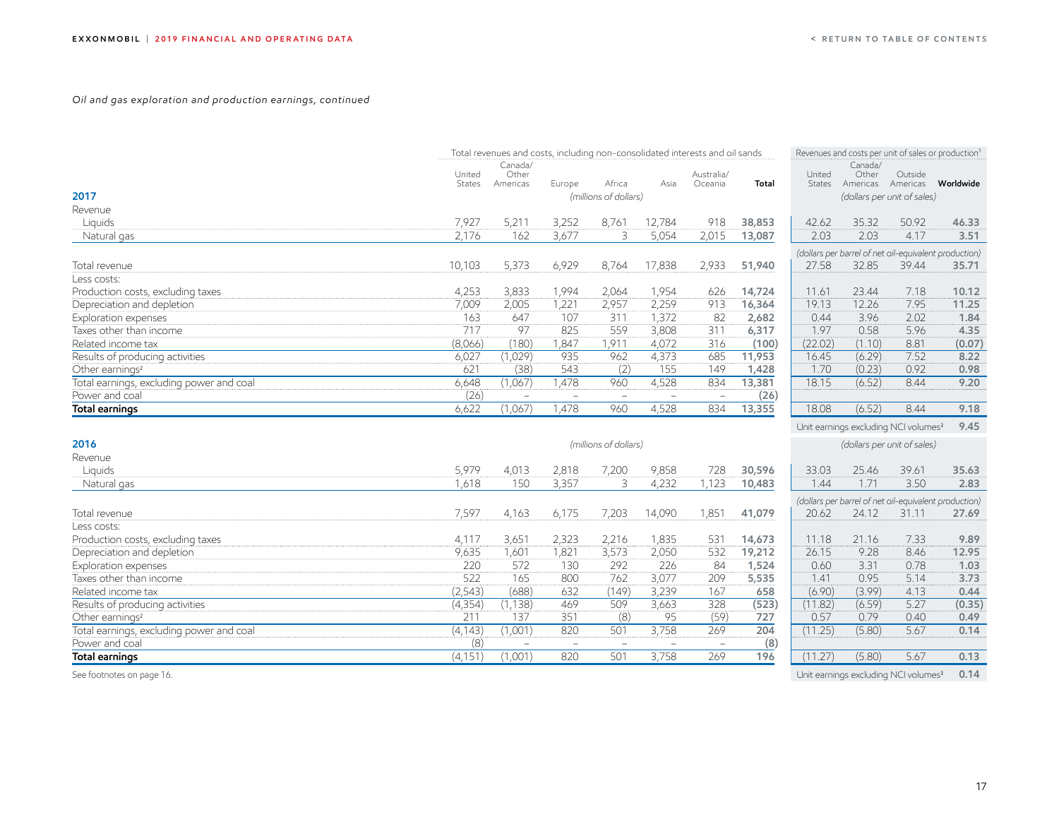#### *Oil and gas exploration and production earnings, continued*

|                                          |                         | Total revenues and costs, including non-consolidated interests and oil sands |                          |                       |        |                       |        |                  |                              | Revenues and costs per unit of sales or production <sup>1</sup> |                                                       |
|------------------------------------------|-------------------------|------------------------------------------------------------------------------|--------------------------|-----------------------|--------|-----------------------|--------|------------------|------------------------------|-----------------------------------------------------------------|-------------------------------------------------------|
|                                          | United<br><b>States</b> | Canada/<br>Other<br>Americas                                                 | Europe                   | Africa                | Asia   | Australia/<br>Oceania | Total  | United<br>States | Canada/<br>Other<br>Americas | Outside<br>Americas                                             | Worldwide                                             |
| 2017                                     |                         |                                                                              |                          | (millions of dollars) |        |                       |        |                  |                              | (dollars per unit of sales)                                     |                                                       |
| Revenue                                  |                         |                                                                              |                          |                       |        |                       |        |                  |                              |                                                                 |                                                       |
| Liquids                                  | 7,927                   | 5,211                                                                        | 3,252                    | 8,761                 | 12,784 | 918                   | 38,853 | 42.62            | 35.32                        | 50.92                                                           | 46.33                                                 |
| Natural gas                              | 2,176                   | 162                                                                          | 3,677                    | 3                     | 5,054  | 2,015                 | 13,087 | 2.03             | 2.03                         | 4.17                                                            | 3.51                                                  |
|                                          |                         |                                                                              |                          |                       |        |                       |        |                  |                              |                                                                 | (dollars per barrel of net oil-equivalent production) |
| Total revenue                            | 10,103                  | 5,373                                                                        | 6,929                    | 8,764                 | 17,838 | 2,933                 | 51,940 | 27.58            | 32.85                        | 39.44                                                           | 35.71                                                 |
| Less costs:                              |                         |                                                                              |                          |                       |        |                       |        |                  |                              |                                                                 |                                                       |
| Production costs, excluding taxes        | 4,253                   | 3,833                                                                        | 1,994                    | 2,064                 | 1,954  | 626                   | 14,724 | 11.61            | 23.44                        | 7.18                                                            | 10.12                                                 |
| Depreciation and depletion               | 7,009                   | 2,005                                                                        | 1,221                    | 2,957                 | 2,259  | 913                   | 16,364 | 19.13            | 12.26                        | 7.95                                                            | 11.25                                                 |
| Exploration expenses                     | 163                     | 647                                                                          | 107                      | 311                   | 1,372  | 82                    | 2,682  | 0.44             | 3.96                         | 2.02                                                            | 1.84                                                  |
| Taxes other than income                  | 717                     | 97                                                                           | 825                      | 559                   | 3,808  | 311                   | 6,317  | 1.97             | 0.58                         | 5.96                                                            | 4.35                                                  |
| Related income tax                       | (8,066)                 | (180)                                                                        | 1,847                    | 1,911                 | 4,072  | 316                   | (100)  | (22.02)          | (1.10)                       | 8.81                                                            | (0.07)                                                |
| Results of producing activities          | 6,027                   | (1,029)                                                                      | 935                      | 962                   | 4,373  | 685                   | 11,953 | 16.45            | (6.29)                       | 7.52                                                            | 8.22                                                  |
| Other earnings <sup>2</sup>              | 621                     | (38)                                                                         | 543                      | (2)                   | 155    | 149                   | 1,428  | 1.70             | (0.23)                       | 0.92                                                            | 0.98                                                  |
| Total earnings, excluding power and coal | 6,648                   | (1,067)                                                                      | 1.478                    | 960                   | 4,528  | 834                   | 13,381 | 18.15            | (6.52)                       | 8.44                                                            | 9.20                                                  |
| Power and coal                           | (26)                    | $\equiv$                                                                     | $\overline{\phantom{a}}$ |                       |        |                       | (26)   |                  |                              |                                                                 |                                                       |
| Total earnings                           | 6,622                   | (1,067)                                                                      | 1,478                    | 960                   | 4,528  | 834                   | 13,355 | 18.08            | (6.52)                       | 8.44                                                            | 9.18                                                  |
|                                          |                         |                                                                              |                          |                       |        |                       |        |                  |                              | Unit earnings excluding NCI volumes <sup>3</sup>                | 9.45                                                  |
| 2016                                     |                         |                                                                              |                          | (millions of dollars) |        |                       |        |                  |                              | (dollars per unit of sales)                                     |                                                       |
| Revenue                                  |                         |                                                                              |                          |                       |        |                       |        |                  |                              |                                                                 |                                                       |
| Liquids                                  | 5,979                   | 4,013                                                                        | 2,818                    | 7,200                 | 9,858  | 728                   | 30,596 | 33.03            | 25.46                        | 39.61                                                           | 35.63                                                 |
| Natural gas                              | 1,618                   | 150                                                                          | 3,357                    | 3                     | 4,232  | 1,123                 | 10,483 | 1.44             | 1.71                         | 3.50                                                            | 2.83                                                  |
|                                          |                         |                                                                              |                          |                       |        |                       |        |                  |                              |                                                                 | (dollars per barrel of net oil-equivalent production) |
| Total revenue                            | 7,597                   | 4,163                                                                        | 6,175                    | 7,203                 | 14,090 | 1,851                 | 41,079 | 20.62            | 24.12                        | 31.11                                                           | 27.69                                                 |
| Less costs:                              |                         |                                                                              |                          |                       |        |                       |        |                  |                              |                                                                 |                                                       |
| Production costs, excluding taxes        | 4,117                   | 3,651                                                                        | 2,323                    | 2,216                 | 1,835  | 531                   | 14,673 | 11.18            | 21.16                        | 7.33                                                            | 9.89                                                  |
| Depreciation and depletion               | 9,635                   | 1,601                                                                        | 1,821                    | 3,573                 | 2,050  | 532                   | 19,212 | 26.15            | 9.28                         | 8.46                                                            | 12.95                                                 |
| Exploration expenses                     | 220                     | 572                                                                          | 130                      | 292                   | 226    | 84                    | 1,524  | 0.60             | 3.31                         | 0.78                                                            | 1.03                                                  |
| Taxes other than income                  | 522                     | 165                                                                          | 800                      | 762                   | 3,077  | 209                   | 5,535  | 1.41             | 0.95                         | 5.14                                                            | 3.73                                                  |
| Related income tax                       | (2, 543)                | (688)                                                                        | 632                      | (149)                 | 3,239  | 167                   | 658    | (6.90)           | (3.99)                       | 4.13                                                            | 0.44                                                  |
| Results of producing activities          | (4, 354)                | (1, 138)                                                                     | 469                      | 509                   | 3,663  | 328                   | (523)  | (11.82)          | (6.59)                       | 5.27                                                            | (0.35)                                                |
| Other earnings <sup>2</sup>              | 211                     | 137                                                                          | 351                      | (8)                   | 95     | (59)                  | 727    | 0.57             | 0.79                         | 0.40                                                            | 0.49                                                  |
| Total earnings, excluding power and coal | (4, 143)                | (1,001)                                                                      | 820                      | 501                   | 3,758  | 269                   | 204    | (11.25)          | (5.80)                       | 5.67                                                            | 0.14                                                  |
| Power and coal                           | (8)                     |                                                                              |                          |                       |        |                       | (8)    |                  |                              |                                                                 |                                                       |
| Total earnings                           | (4, 151)                | (1,001)                                                                      | 820                      | 501                   | 3,758  | 269                   | 196    | (11.27)          | (5.80)                       | 5.67                                                            | 0.13                                                  |

See footnotes on page 16. Note that the set of the set of the set of the set of the set of the set of the set of the set of the set of the set of the set of the set of the set of the set of the set of the set of the set of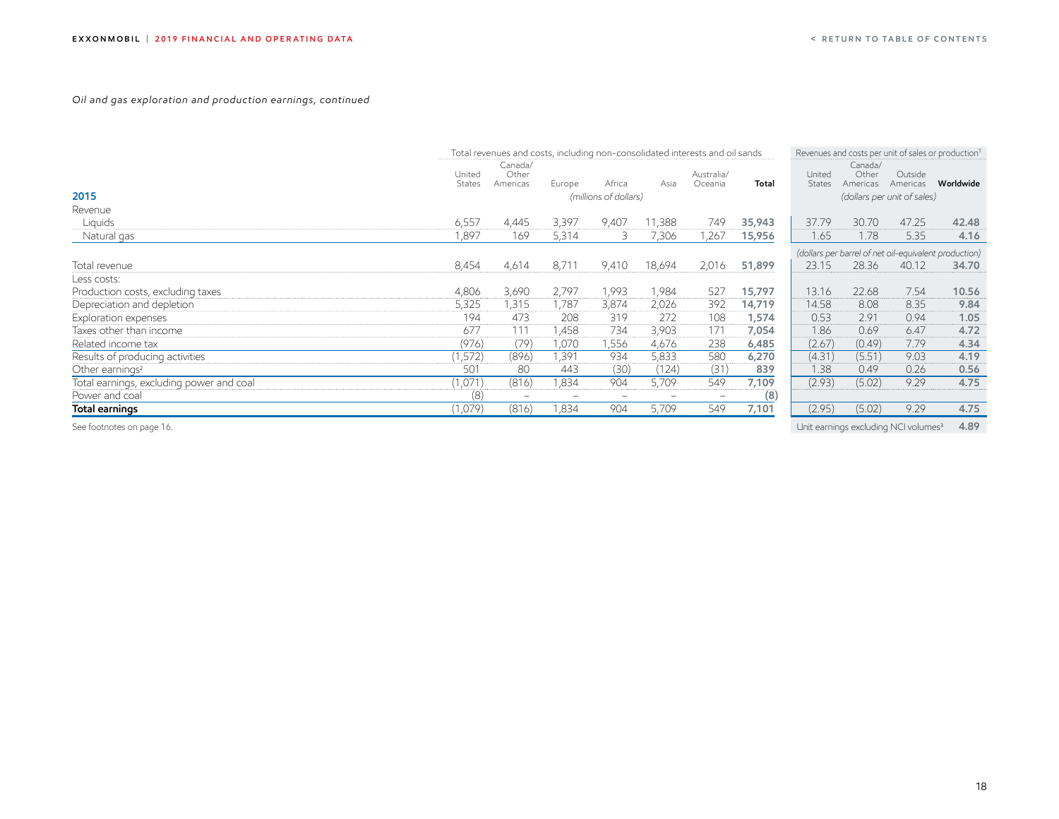#### *Oil and gas exploration and production earnings, continued*

|                                          |                         | Total revenues and costs, including non-consolidated interests and oil sands |        |                       |        |                          |        | Revenues and costs per unit of sales or production <sup>1</sup> |                              |                                                       |           |
|------------------------------------------|-------------------------|------------------------------------------------------------------------------|--------|-----------------------|--------|--------------------------|--------|-----------------------------------------------------------------|------------------------------|-------------------------------------------------------|-----------|
|                                          | United<br><b>States</b> | Canada/<br>Other<br>Americas                                                 | Europe | Africa                | Asia   | Australia/<br>Oceania    | Total  | United<br>States                                                | Canada/<br>Other<br>Americas | Outside<br>Americas                                   | Worldwide |
| 2015                                     |                         |                                                                              |        | (millions of dollars) |        |                          |        |                                                                 |                              | (dollars per unit of sales)                           |           |
| Revenue                                  |                         |                                                                              |        |                       |        |                          |        |                                                                 |                              |                                                       |           |
| Liquids                                  | 6,557                   | 4,445                                                                        | 3,397  | 9,407                 | 11,388 | 749                      | 35,943 | 37.79                                                           | 30.70                        | 47.25                                                 | 42.48     |
| Natural gas                              | 1,897                   | 169                                                                          | 5,314  | 3                     | 7,306  | .267                     | 15,956 | 1.65                                                            | 1.78                         | 5.35                                                  | 4.16      |
|                                          |                         |                                                                              |        |                       |        |                          |        |                                                                 |                              | (dollars per barrel of net oil-equivalent production) |           |
| Total revenue                            | 8,454                   | 4,614                                                                        | 8,711  | 9,410                 | 18,694 | 2,016                    | 51,899 | 23.15                                                           | 28.36                        | 40.12                                                 | 34.70     |
| Less costs:                              |                         |                                                                              |        |                       |        |                          |        |                                                                 |                              |                                                       |           |
| Production costs, excluding taxes        | 4,806                   | 3,690                                                                        | 2,797  | 1,993                 | 1,984  | 527                      | 15,797 | 13.16                                                           | 22.68                        | 7.54                                                  | 10.56     |
| Depreciation and depletion               | 5,325                   | 1,315                                                                        | 1,787  | 3,874                 | 2,026  | 392                      | 14,719 | 14.58                                                           | 8.08                         | 8.35                                                  | 9.84      |
| Exploration expenses                     | 194                     | 473                                                                          | 208    | 319                   | 272    | 108                      | 1,574  | 0.53                                                            | 2.91                         | 0.94                                                  | 1.05      |
| Taxes other than income                  | 677                     | 111                                                                          | 1,458  | 734                   | 3,903  | 171                      | 7,054  | 1.86                                                            | 0.69                         | 6.47                                                  | 4.72      |
| Related income tax                       | (976)                   | (79)                                                                         | l,070  | 1,556                 | 4,676  | 238                      | 6,485  | (2.67)                                                          | (0.49)                       | 7.79                                                  | 4.34      |
| Results of producing activities          | (1,572)                 | (896)                                                                        | 1,391  | 934                   | 5,833  | 580                      | 6,270  | (4.31)                                                          | (5.51)                       | 9.03                                                  | 4.19      |
| Other earnings <sup>2</sup>              | 501                     | 80                                                                           | 443    | (30)                  | (124)  | (31)                     | 839    | 1.38                                                            | 0.49                         | 0.26                                                  | 0.56      |
| Total earnings, excluding power and coal | (1,071)                 | (816)                                                                        | 1,834  | 904                   | 5,709  | 549                      | 7,109  | (2.93)                                                          | (5.02)                       | 9.29                                                  | 4.75      |
| Power and coal                           | (8)                     |                                                                              |        | -                     | -      | $\overline{\phantom{a}}$ | (8)    |                                                                 |                              |                                                       |           |
| Total earnings                           | (1,079)                 | (816)                                                                        | 1,834  | 904                   | 5,709  | 549                      | 7,101  | (2.95)                                                          | (5.02)                       | 9.29                                                  | 4.75      |
| See footnotes on page 16.                |                         |                                                                              |        |                       |        |                          |        |                                                                 |                              | Unit earnings excluding NCI volumes <sup>3</sup>      | 4.89      |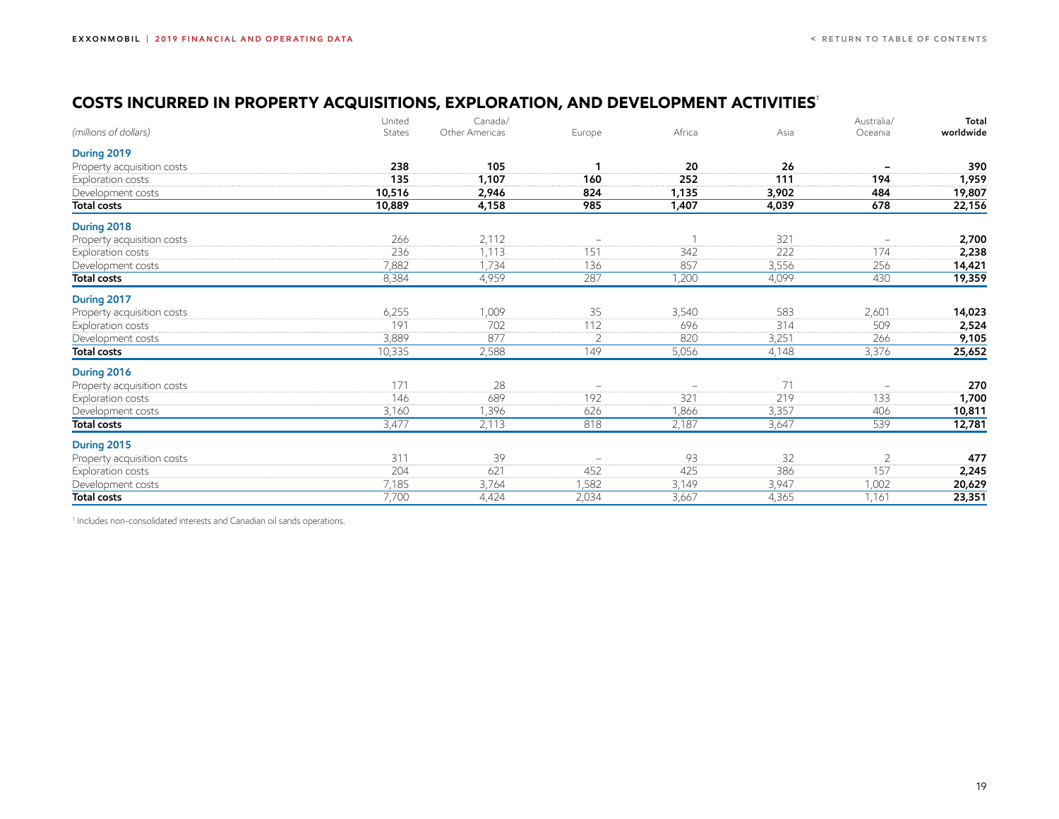## <span id="page-19-0"></span>**COSTS INCURRED IN PROPERTY ACQUISITIONS, EXPLORATION, AND DEVELOPMENT ACTIVITIES**<sup>1</sup>

|                            | United | Canada/        |          |        |       | Australia/               | Total     |
|----------------------------|--------|----------------|----------|--------|-------|--------------------------|-----------|
| (millions of dollars)      | States | Other Americas | Europe   | Africa | Asia  | Oceania                  | worldwide |
| During 2019                |        |                |          |        |       |                          |           |
| Property acquisition costs | 238    | 105            |          | 20     | 26    |                          | 390       |
| Exploration costs          | 135    | 1,107          | 160      | 252    | 111   | 194                      | 1,959     |
| Development costs          | 10,516 | 2,946          | 824      | 1,135  | 3,902 | 484                      | 19,807    |
| <b>Total costs</b>         | 10,889 | 4,158          | 985      | 1,407  | 4,039 | 678                      | 22,156    |
| During 2018                |        |                |          |        |       |                          |           |
| Property acquisition costs | 266    | 2,112          | $\equiv$ |        | 321   | $\overline{\phantom{m}}$ | 2,700     |
| Exploration costs          | 236    | 1,113          | 151      | 342    | 222   | 174                      | 2,238     |
| Development costs          | 7,882  | 1,734          | 136      | 857    | 3,556 | 256                      | 14,421    |
| <b>Total costs</b>         | 8,384  | 4,959          | 287      | 1,200  | 4,099 | 430                      | 19,359    |
| During 2017                |        |                |          |        |       |                          |           |
| Property acquisition costs | 6,255  | 1,009          | 35       | 3,540  | 583   | 2,601                    | 14,023    |
| Exploration costs          | 191    | 702            | 112      | 696    | 314   | 509                      | 2,524     |
| Development costs          | 3,889  | 877            | 2        | 820    | 3,251 | 266                      | 9,105     |
| <b>Total costs</b>         | 10,335 | 2,588          | 149      | 5,056  | 4,148 | 3,376                    | 25,652    |
| During 2016                |        |                |          |        |       |                          |           |
| Property acquisition costs | 171    | 28             | -        |        | 71    | $\equiv$                 | 270       |
| Exploration costs          | 146    | 689            | 192      | 321    | 219   | 133                      | 1,700     |
| Development costs          | 3,160  | 1,396          | 626      | 1,866  | 3,357 | 406                      | 10,811    |
| <b>Total costs</b>         | 3,477  | 2,113          | 818      | 2,187  | 3,647 | 539                      | 12,781    |
| During 2015                |        |                |          |        |       |                          |           |
| Property acquisition costs | 311    | 39             |          | 93     | 32    | $\overline{2}$           | 477       |
| Exploration costs          | 204    | 621            | 452      | 425    | 386   | 157                      | 2,245     |
| Development costs          | 7,185  | 3,764          | 1,582    | 3,149  | 3,947 | 1,002                    | 20,629    |
| <b>Total costs</b>         | 7,700  | 4,424          | 2,034    | 3,667  | 4,365 | 1,161                    | 23,351    |

<sup>1</sup> Includes non-consolidated interests and Canadian oil sands operations.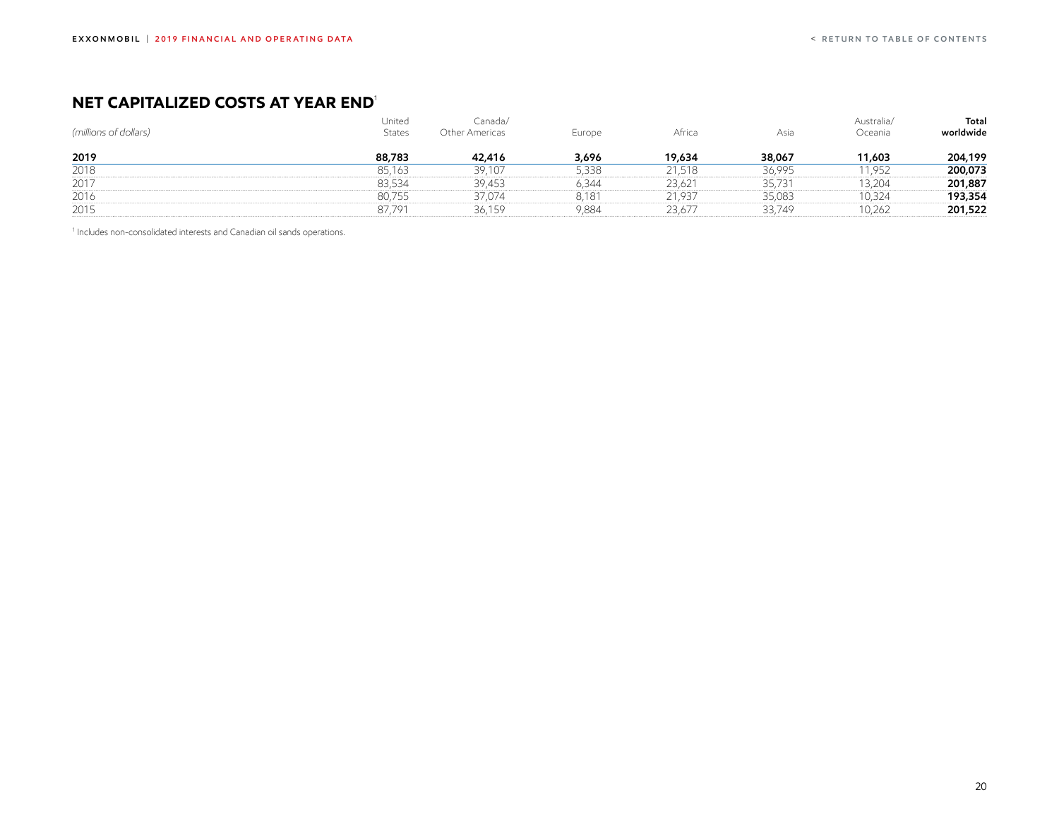## <span id="page-20-0"></span>**NET CAPITALIZED COSTS AT YEAR END**<sup>1</sup>

| (millions of dollars) | United<br><b>States</b> | Canada/<br>Other Americas | Europe | Africa | Asia   | Australia/<br>Oceania | Total<br>worldwide |
|-----------------------|-------------------------|---------------------------|--------|--------|--------|-----------------------|--------------------|
| 2019                  | 88,783                  | 42,416                    | 3,696  | 19,634 | 38,067 | 11,603                | 204,199            |
| 2018                  | 85,163                  | 39,107                    | 5,338  | 21,518 | 36,995 | 1,952                 | 200,073            |
| 2017                  | 83,534                  | 39,453                    | 6,344  | 23,621 | 35,731 | 3,204                 | 201,887            |
| 2016                  | 80,755                  | 37,074                    | 8,181  | 21,937 | 35,083 | 10,324                | 193,354            |
| 2015                  | 87.791                  | 36,159                    | 9,884  | 23,677 | 33,749 | 10,262                | 201,522            |

<sup>1</sup> Includes non-consolidated interests and Canadian oil sands operations.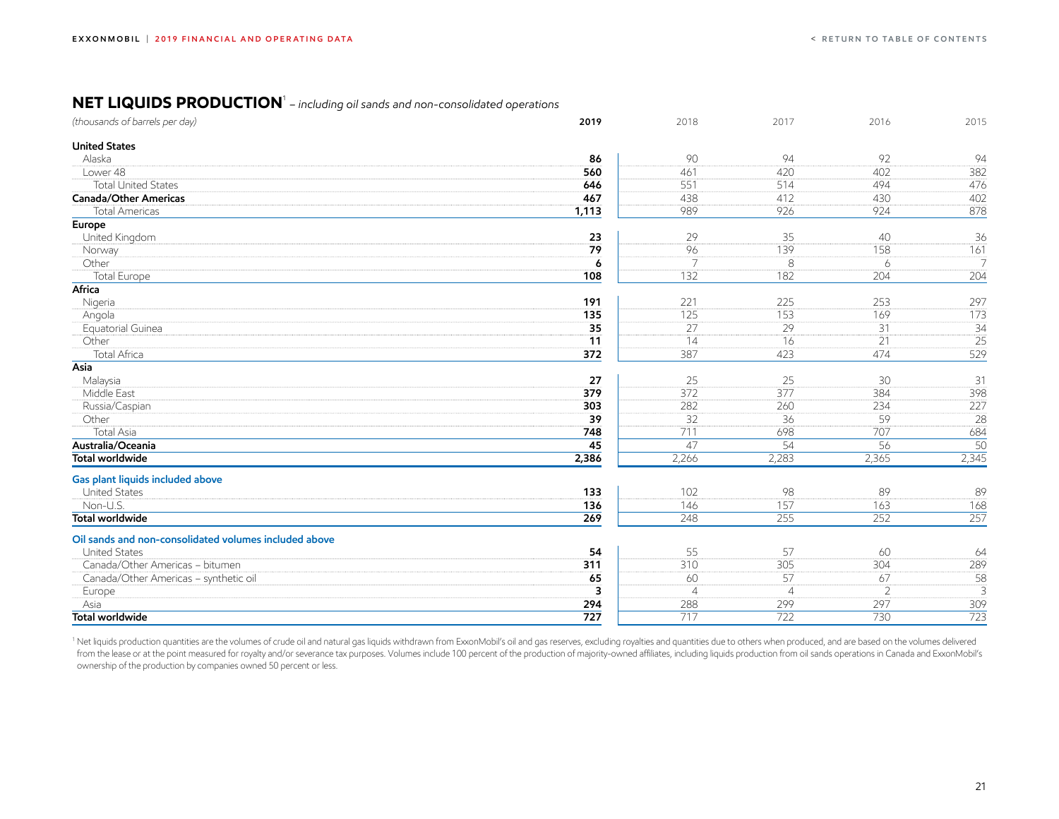#### <span id="page-21-0"></span>**NET LIQUIDS PRODUCTION**<sup>1</sup>  *– including oil sands and non-consolidated operations*

| (thousands of barrels per day)                        | 2019                    | 2018           | 2017           | 2016           | 2015             |
|-------------------------------------------------------|-------------------------|----------------|----------------|----------------|------------------|
| <b>United States</b>                                  |                         |                |                |                |                  |
| Alaska                                                | 86                      | 90             | 94             | 92             | 94               |
| Lower 48                                              | 560                     | 461            | 420            | 402            | 382              |
| <b>Total United States</b>                            | 646                     | 551            | 514            | 494            | 476              |
| <b>Canada/Other Americas</b>                          | 467                     | 438            | 412            | 430            | 402              |
| <b>Total Americas</b>                                 | 1,113                   | 989            | 926            | 924            | 878              |
| <b>Europe</b>                                         |                         |                |                |                |                  |
| United Kingdom                                        | 23                      | 29             | 35             | 40             | 36               |
| Norway                                                | 79                      | 96             | 139            | 158            | $\overline{161}$ |
| Other                                                 | 6                       | 7              | 8              | 6              | $\overline{7}$   |
| Total Europe                                          | 108                     | 132            | 182            | 204            | 204              |
| Africa                                                |                         |                |                |                |                  |
| Nigeria                                               | 191                     | 221            | 225            | 253            | 297              |
| Angola                                                | 135                     | 125            | 153            | 169            | 173              |
| Equatorial Guinea                                     | 35                      | 27             | 29             | 31             | $\overline{34}$  |
| Other                                                 | $\overline{11}$         | 14             | 16             | 21             | $\overline{25}$  |
| Total Africa                                          | 372                     | 387            | 423            | 474            | 529              |
| Asia                                                  |                         |                |                |                |                  |
| Malaysia                                              | 27                      | 25             | 25             | 30             | 31               |
| Middle East                                           | 379                     | 372            | 377            | 384            | 398              |
| Russia/Caspian                                        | 303                     | 282            | 260            | 234            | 227              |
| Other                                                 | 39                      | 32             | 36             | 59             | 28               |
| <b>Total Asia</b>                                     | 748                     | 711            | 698            | 707            | 684              |
| Australia/Oceania                                     | 45                      | 47             | 54             | 56             | 50               |
| <b>Total worldwide</b>                                | 2,386                   | 2,266          | 2,283          | 2,365          | 2,345            |
| Gas plant liquids included above                      |                         |                |                |                |                  |
| <b>United States</b>                                  | 133                     | 102            | 98             | 89             | 89               |
| Non-U.S.                                              | 136                     | 146            | 157            | 163            | 168              |
| <b>Total worldwide</b>                                | 269                     | 248            | 255            | 252            | 257              |
| Oil sands and non-consolidated volumes included above |                         |                |                |                |                  |
| <b>United States</b>                                  | 54                      | 55             | 57             | 60             | 64               |
| Canada/Other Americas - bitumen                       | 311                     | 310            | 305            | 304            | 289              |
| Canada/Other Americas - synthetic oil                 | 65                      | 60             | 57             | 67             | 58               |
| Europe                                                | $\overline{\mathbf{3}}$ | $\overline{4}$ | $\overline{4}$ | $\overline{2}$ | 3                |
| Asia                                                  | 294                     | 288            | 299            | 297            | 309              |
| <b>Total worldwide</b>                                | 727                     | 717            | 722            | 730            | $\overline{723}$ |

<sup>1</sup> Net liquids production quantities are the volumes of crude oil and natural gas liquids withdrawn from ExxonMobil's oil and gas reserves, excluding royalties and quantities due to others when produced, and are based on from the lease or at the point measured for royalty and/or severance tax purposes. Volumes include 100 percent of the production of majority-owned affiliates, including liquids production from oil sands operations in Canad ownership of the production by companies owned 50 percent or less.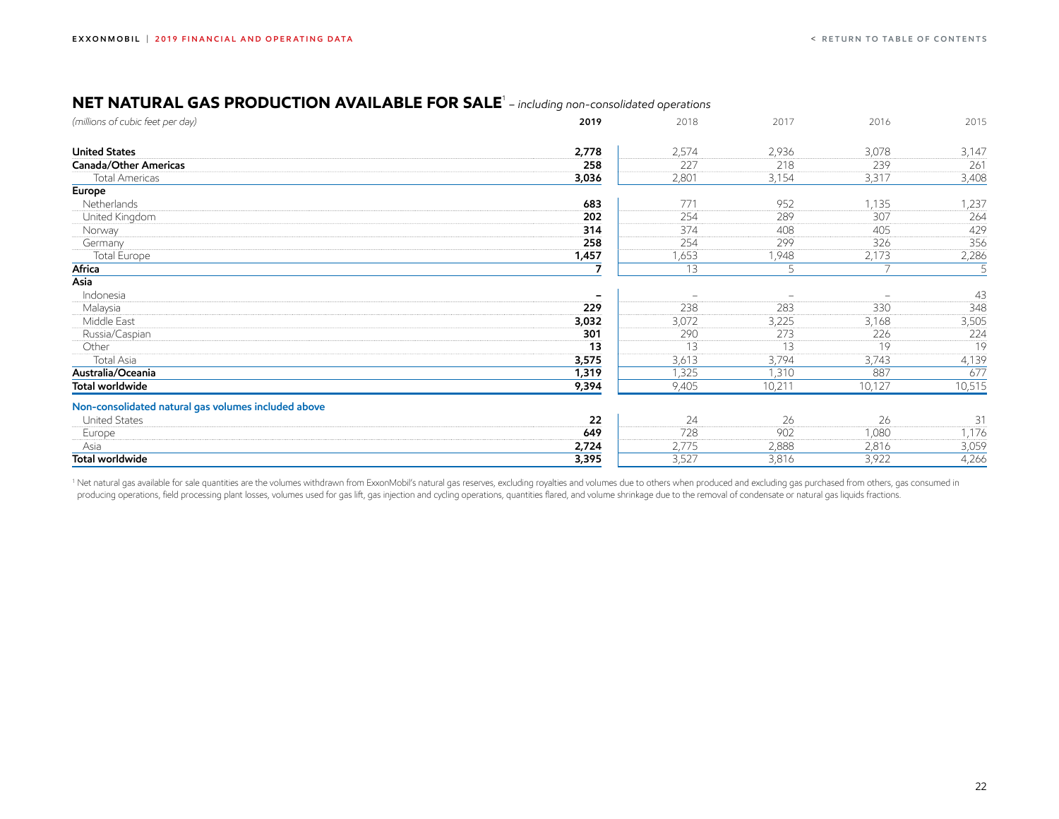### <span id="page-22-0"></span>**NET NATURAL GAS PRODUCTION AVAILABLE FOR SALE**<sup>1</sup>  *– including non-consolidated operations*

| (millions of cubic feet per day)                    | 2019                     | 2018                     | 2017                     | 2016                     | 2015   |
|-----------------------------------------------------|--------------------------|--------------------------|--------------------------|--------------------------|--------|
| <b>United States</b>                                | 2,778                    | 2,574                    | 2,936                    | 3,078                    | 3,147  |
| Canada/Other Americas                               | 258                      | 227                      | 218                      | 239                      | 261    |
| <b>Total Americas</b>                               | 3,036                    | 2,801                    | 3,154                    | 3,317                    | 3,408  |
| Europe                                              |                          |                          |                          |                          |        |
| Netherlands                                         | 683                      | 771                      | 952                      | 1,135                    | 1,237  |
| United Kingdom                                      | 202                      | 254                      | 289                      | 307                      | 264    |
| Norway                                              | 314                      | 374                      | 408                      | 405                      | 429    |
| Germany                                             | 258                      | 254                      | 299                      | 326                      | 356    |
| Total Europe                                        | 1,457                    | 1,653                    | 1,948                    | 2,173                    | 2,286  |
| Africa                                              | 7                        | 13                       | 5                        | $\overline{7}$           | -5     |
| Asia                                                |                          |                          |                          |                          |        |
| Indonesia                                           | $\overline{\phantom{0}}$ | $\overline{\phantom{a}}$ | $\overline{\phantom{a}}$ | $\overline{\phantom{m}}$ | 43     |
| Malaysia                                            | 229                      | 238                      | 283                      | 330                      | 348    |
| Middle East                                         | 3,032                    | 3,072                    | 3,225                    | 3,168                    | 3,505  |
| Russia/Caspian                                      | 301                      | 290                      | 273                      | 226                      | 224    |
| Other                                               | 13                       | 13                       | 13                       | 19                       | 19     |
| Total Asia                                          | 3,575                    | 3,613                    | 3,794                    | 3,743                    | 4,139  |
| Australia/Oceania                                   | 1,319                    | 1,325                    | 1,310                    | 887                      | 677    |
| Total worldwide                                     | 9,394                    | 9,405                    | 10,211                   | 10,127                   | 10,515 |
| Non-consolidated natural gas volumes included above |                          |                          |                          |                          |        |
| <b>United States</b>                                | 22                       | 24                       | 26                       | 26                       | 31     |
| Europe                                              | 649                      | 728                      | 902                      | 1,080                    | 1,176  |
| Asia                                                | 2,724                    | 2,775                    | 2,888                    | 2,816                    | 3,059  |
| <b>Total worldwide</b>                              | 3,395                    | 3,527                    | 3,816                    | 3,922                    | 4,266  |

1 Net natural gas available for sale quantities are the volumes withdrawn from ExxonMobil's natural gas reserves, excluding royalties and volumes due to others when produced and excluding gas purchased from others, gas con producing operations, field processing plant losses, volumes used for gas lift, gas injection and cycling operations, quantities flared, and volume shrinkage due to the removal of condensate or natural gas liquids fractions.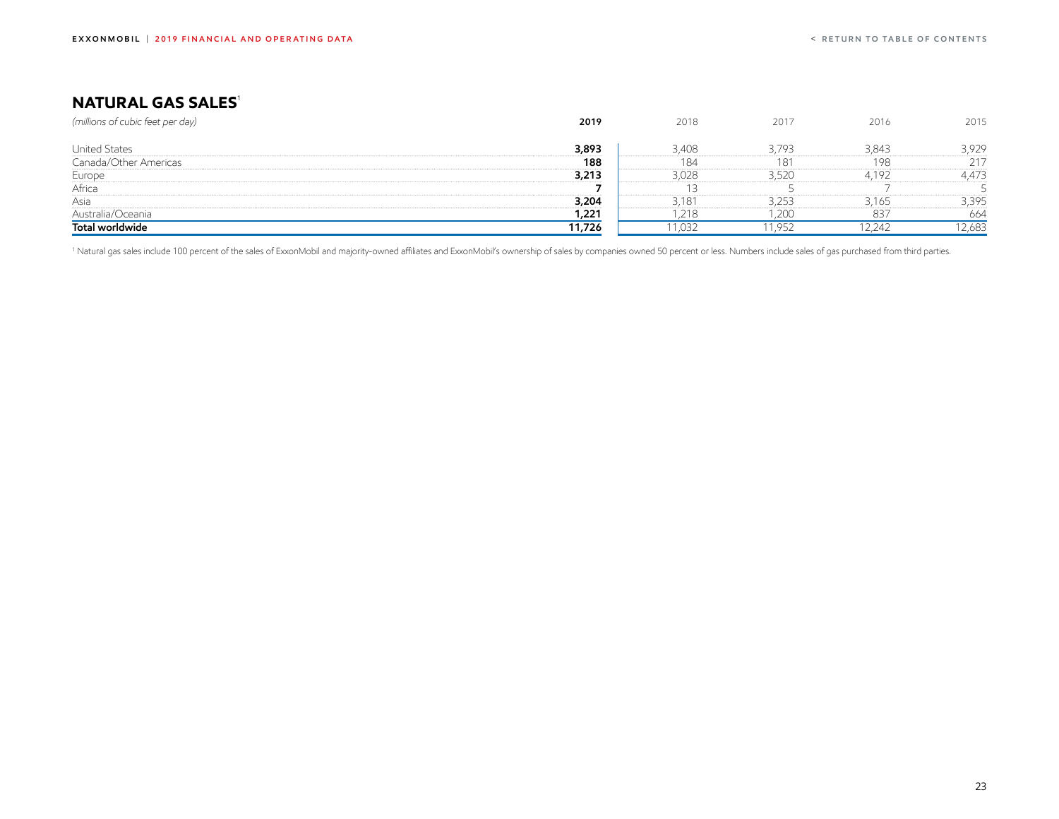## <span id="page-23-0"></span>**NATURAL GAS SALES<sup>1</sup>**

| (millions of cubic feet per day) | 2019   | 2018  | 2017  | 2016   | 2015   |
|----------------------------------|--------|-------|-------|--------|--------|
|                                  |        |       |       |        |        |
| <b>United States</b>             | 3,893  | 3,408 | 3.793 | 3,843  | 3,929  |
| Canada/Other Americas            | 188    | 184   | 181   | 198    | 217    |
| Europe                           | 3,213  | 3,028 | 3,520 | 4.192  | 4,473  |
| Africa                           |        |       |       |        |        |
| Asia                             | 3,204  | 3,181 | 3,253 | 3,165  | 3,395  |
| Australia/Oceania                | 1,221  | .218  | ,200  | 837    | 664    |
| Total worldwide                  | 11,726 | 1,032 | 1,952 | 12,242 | 12,683 |

<sup>1</sup> Natural gas sales include 100 percent of the sales of ExxonMobil and majority-owned affiliates and ExxonMobil's ownership of sales by companies owned 50 percent or less. Numbers include sales of gas purchased from thir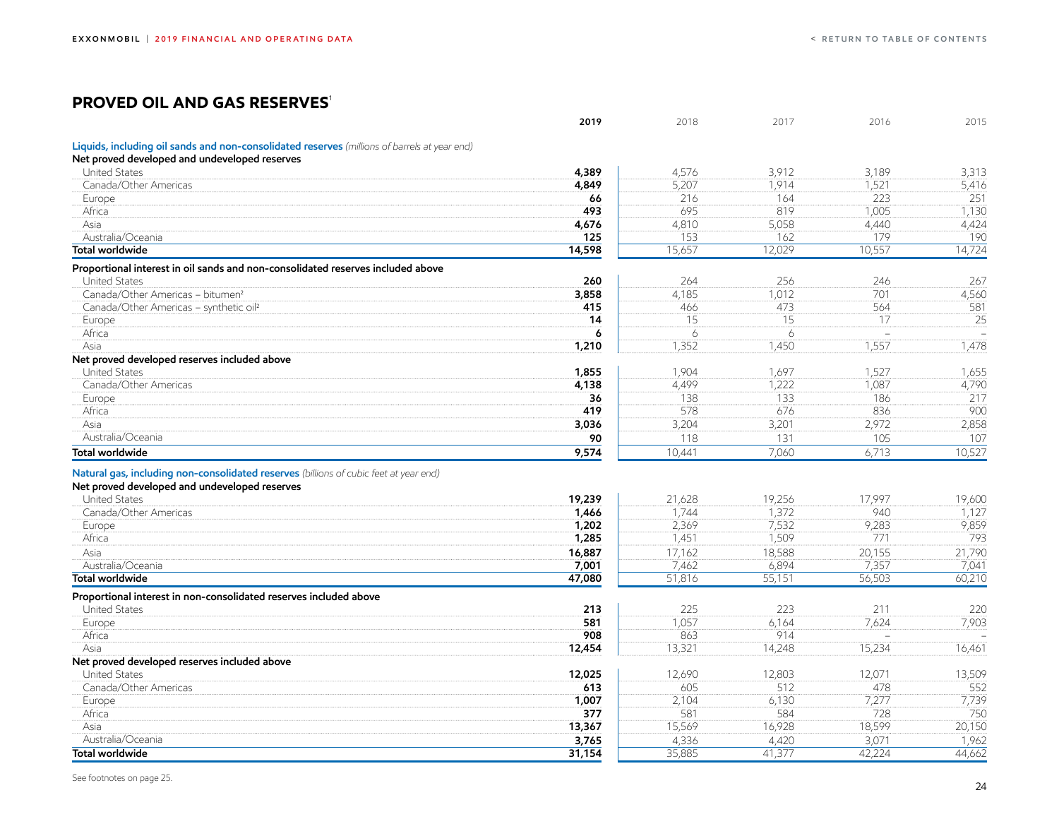## <span id="page-24-0"></span>**PROVED OIL AND GAS RESERVES**<sup>1</sup>

|                                                                                              | 2019   | 2018   | 2017   | 2016                     | 2015                     |
|----------------------------------------------------------------------------------------------|--------|--------|--------|--------------------------|--------------------------|
| Liquids, including oil sands and non-consolidated reserves (millions of barrels at year end) |        |        |        |                          |                          |
| Net proved developed and undeveloped reserves                                                |        |        |        |                          |                          |
| <b>United States</b>                                                                         | 4,389  | 4,576  | 3,912  | 3,189                    | 3,313                    |
| Canada/Other Americas                                                                        | 4,849  | 5,207  | 1.914  | 1,521                    | 5,416                    |
| Europe                                                                                       | 66     | 216    | 164    | 223                      | 251                      |
| Africa                                                                                       | 493    | 695    | 819    | 1,005                    | 1,130                    |
| Asia                                                                                         | 4,676  | 4,810  | 5,058  | 4,440                    | 4,424                    |
| Australia/Oceania                                                                            | 125    | 153    | 162    | 179                      | 190                      |
| <b>Total worldwide</b>                                                                       | 14,598 | 15,657 | 12,029 | 10,557                   | 14,724                   |
| Proportional interest in oil sands and non-consolidated reserves included above              |        |        |        |                          |                          |
| <b>United States</b>                                                                         | 260    | 264    | 256    | 246                      | 267                      |
| Canada/Other Americas - bitumen <sup>2</sup>                                                 | 3,858  | 4,185  | 1,012  | 701                      | 4,560                    |
| Canada/Other Americas - synthetic oil <sup>2</sup>                                           | 415    | 466    | 473    | 564                      | 581                      |
| Europe                                                                                       | 14     | 15     | 15     | 17                       | 25                       |
| Africa                                                                                       | 6      | 6      | 6      | $\overline{\phantom{0}}$ | $\sim$                   |
| Asia                                                                                         | 1,210  | 1,352  | 1,450  | 1,557                    | 1,478                    |
| Net proved developed reserves included above                                                 |        |        |        |                          |                          |
| <b>United States</b>                                                                         | 1,855  | 1.904  | 1.697  | 1,527                    | 1,655                    |
| Canada/Other Americas                                                                        | 4,138  | 4,499  | 1,222  | 1,087                    | 4,790                    |
| Europe                                                                                       | 36     | 138    | 133    | 186                      | 217                      |
| Africa                                                                                       | 419    | 578    | 676    | 836                      | 900                      |
| Asia                                                                                         | 3,036  | 3,204  | 3,201  | 2,972                    | 2,858                    |
| Australia/Oceania                                                                            | 90     | 118    | 131    | 105                      | 107                      |
| <b>Total worldwide</b>                                                                       | 9,574  | 10,441 | 7,060  | 6,713                    | 10,527                   |
| Natural gas, including non-consolidated reserves (billions of cubic feet at year end)        |        |        |        |                          |                          |
| Net proved developed and undeveloped reserves                                                |        |        |        |                          |                          |
| <b>United States</b>                                                                         | 19,239 | 21,628 | 19,256 | 17,997                   | 19,600                   |
| Canada/Other Americas                                                                        | 1,466  | 1.744  | 1.372  | 940                      | 1,127                    |
| Europe                                                                                       | 1,202  | 2,369  | 7,532  | 9,283                    | 9,859                    |
| Africa                                                                                       | 1,285  | 1,451  | 1,509  | 771                      | 793                      |
| Asia                                                                                         | 16,887 | 17,162 | 18,588 | 20,155                   | 21,790                   |
| Australia/Oceania                                                                            | 7,001  | 7,462  | 6,894  | 7,357                    | 7,041                    |
| <b>Total worldwide</b>                                                                       | 47,080 | 51,816 | 55,151 | 56,503                   | 60,210                   |
| Proportional interest in non-consolidated reserves included above                            |        |        |        |                          |                          |
| <b>United States</b>                                                                         | 213    | 225    | 223    | 211                      | 220                      |
| Europe                                                                                       | 581    | 1,057  | 6,164  | 7,624                    | 7,903                    |
| Africa                                                                                       | 908    | 863    | 914    | $\overline{\phantom{a}}$ | $\overline{\phantom{a}}$ |
|                                                                                              |        |        |        |                          |                          |

#### **Net proved developed reserves included above**

| <b>Net proved developed reserves included above</b> |        |        |        |        |        |
|-----------------------------------------------------|--------|--------|--------|--------|--------|
| <b>United States</b>                                | 12,025 | 12.690 | '2,803 | 2.071  | 13,509 |
| Canada/Other Americas                               | 613    | 605    | $-1$   | 478    | 552    |
| Europe                                              | 1,007  | 2,104  | 6,130  |        | 7739   |
| Africa                                              | 377    | 581    | 584    | 728    | 750    |
| Asia                                                | 13,367 | 15,569 | 16,928 | 18,599 | 20,150 |
| Australia/Oceania                                   | 3,765  | 4.336  | 4.420  | 3.071  | .962   |
| Total worldwide                                     | 31,154 | 35,885 | 41,377 | 42.224 | 44,662 |

Asia **12,454** 13,321 14,248 15,234 16,461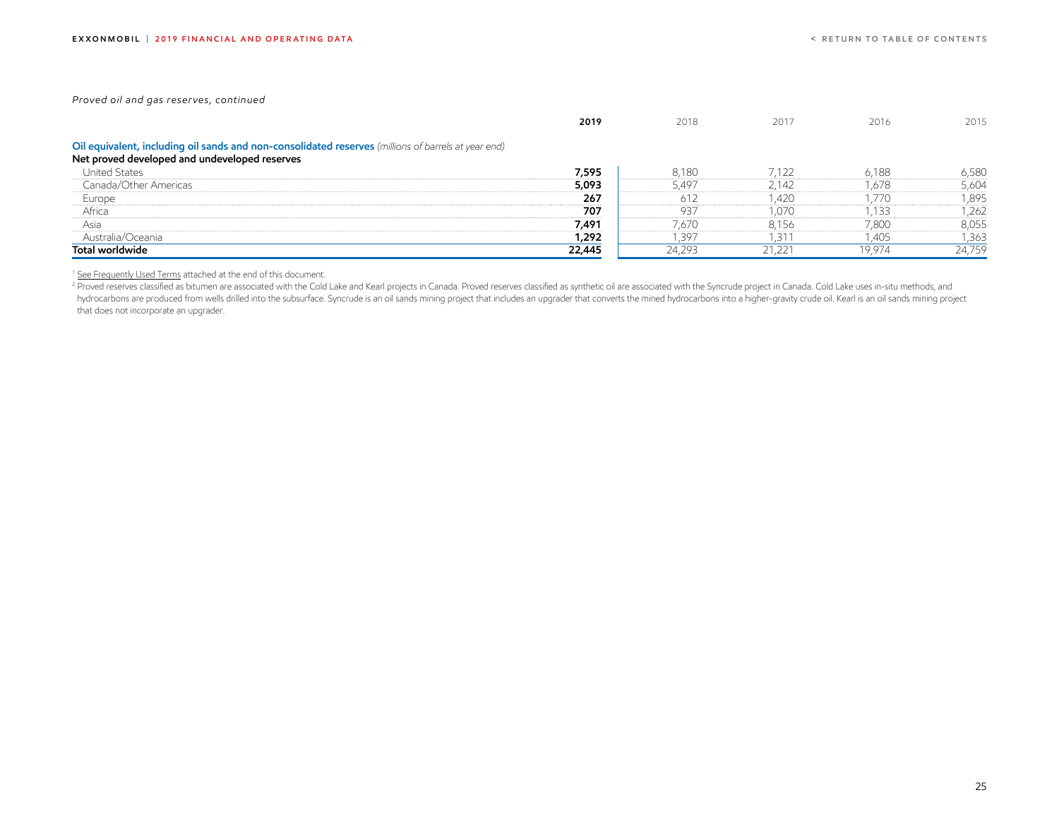*Proved oil and gas reserves, continued*

|                                                                                                                                                      | 2019   | 2018   | 2017   | 2016   | 2015   |
|------------------------------------------------------------------------------------------------------------------------------------------------------|--------|--------|--------|--------|--------|
| Oil equivalent, including oil sands and non-consolidated reserves (millions of barrels at year end)<br>Net proved developed and undeveloped reserves |        |        |        |        |        |
| <b>United States</b>                                                                                                                                 | 7,595  | 8,180  | 7.122  | 6,188  | 6,580  |
| Canada/Other Americas                                                                                                                                | 5,093  | 5,497  | 2,142  | 1,678  | 5,604  |
| Europe                                                                                                                                               | 267    | 612    | ,420   | ,770   | 1,895  |
| Africa                                                                                                                                               | 707    | 937    | 1,070  | .133   | 262    |
| Asia                                                                                                                                                 | 7,491  | 7,670  | 8,156  | 7,800  | 8,055  |
| Australia/Oceania                                                                                                                                    | 1,292  | .397   | -31    | l.405  | 1,363  |
| Total worldwide                                                                                                                                      | 22,445 | 24,293 | 21,221 | 19.974 | 24,759 |

<sup>1</sup> [See Frequently Used Terms](#page-46-0) attached at the end of this document.

Proved reserves classified as bitumen are associated with the Cold Lake and Kearl projects in Canada. Proved reserves classified as synthetic oil are associated with the Syncrude project in Canada. Cold Lake uses in-situ m hydrocarbons are produced from wells drilled into the subsurface. Syncrude is an oil sands mining project that includes an upgrader that converts the mined hydrocarbons into a higher-gravity crude oil. Kearl is an oil sand that does not incorporate an upgrader.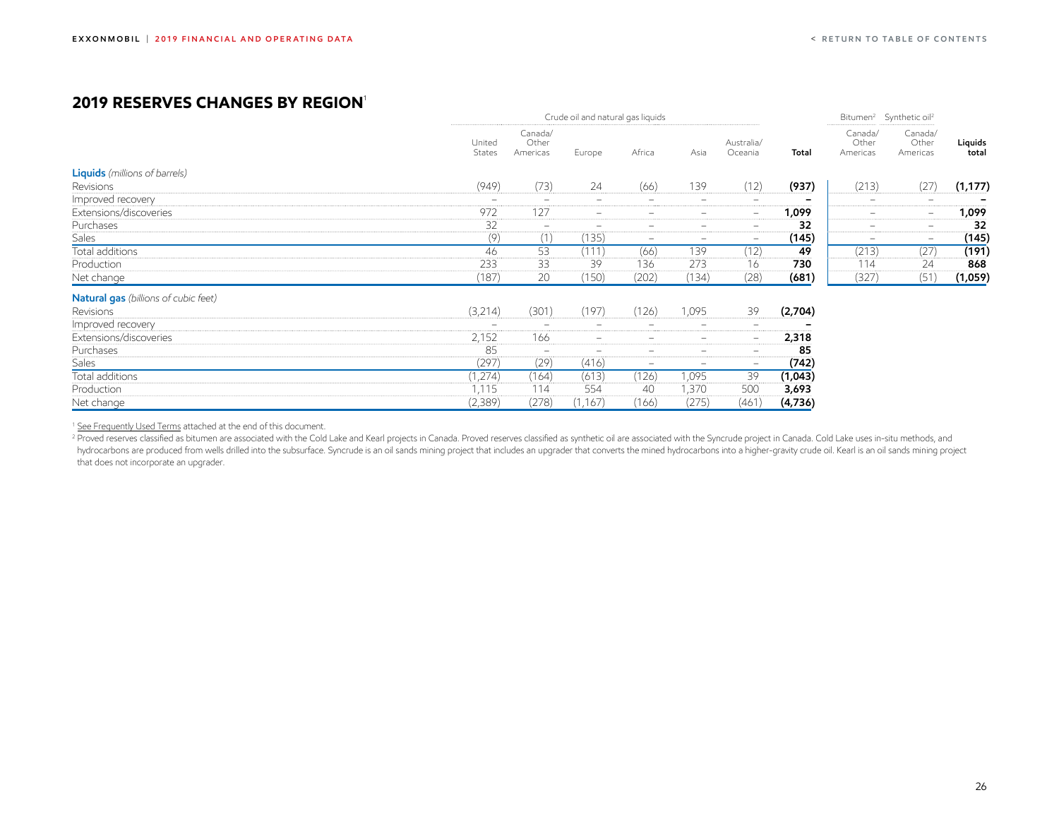## <span id="page-26-0"></span>**2019 reserves changes by region**<sup>1</sup>

|                                             |                  |                              | Crude oil and natural gas liquids |                          |                          |                              |         | Bitumen <sup>2</sup> Synthetic oil <sup>2</sup> |                               |                  |
|---------------------------------------------|------------------|------------------------------|-----------------------------------|--------------------------|--------------------------|------------------------------|---------|-------------------------------------------------|-------------------------------|------------------|
|                                             | United<br>States | Canada/<br>Other<br>Americas | Europe                            | Africa                   | Asia                     | Australia/<br>Oceania        | Total   | Canada/<br>Other<br>Americas                    | Canada/<br>Other<br>Americas  | Liquids<br>total |
| <b>Liquids</b> (millions of barrels)        |                  |                              |                                   |                          |                          |                              |         |                                                 |                               |                  |
| Revisions                                   | (949)            | (73)                         | 24                                | (66)                     | 139                      | (12)                         | (937)   | (213)                                           | (27)                          | (1, 177)         |
| Improved recovery                           |                  |                              | -                                 | -                        | -                        | $\overline{\phantom{0}}$     |         |                                                 | $\qquad \qquad \qquad \qquad$ |                  |
| Extensions/discoveries                      | 972              | 127                          |                                   |                          |                          | $\qquad \qquad \blacksquare$ | 1,099   |                                                 | -                             | 1,099            |
| Purchases                                   | 32               | $\overline{\phantom{a}}$     | $\overline{\phantom{0}}$          | $\overline{\phantom{0}}$ | $\overline{\phantom{0}}$ | $\overline{\phantom{0}}$     | 32      | -                                               | -                             | 32               |
| Sales                                       | (9)              | (1)                          | (135)                             | -                        | $\equiv$                 | $\equiv$                     | (145)   | $\overline{\phantom{0}}$                        | $\frac{1}{2}$                 | (145)            |
| Total additions                             | 46               | 53                           | (111)                             | (66)                     | 139                      | (12)                         | 49      | (213)                                           | (27)                          | (191)            |
| Production                                  | 233              | 33                           | 39                                | 136                      | 273                      | 16                           | 730     | 114                                             | 24                            | 868              |
| Net change                                  | (187)            | 20                           | (150)                             | (202)                    | (134)                    | (28)                         | (681)   | (327)                                           | (51)                          | (1,059)          |
| <b>Natural gas</b> (billions of cubic feet) |                  |                              |                                   |                          |                          |                              |         |                                                 |                               |                  |
| Revisions                                   | (3,214)          | (301)                        | (197)                             | (126)                    | 1,095                    | 39                           | (2,704) |                                                 |                               |                  |
| Improved recovery                           | -                | $\overline{\phantom{0}}$     | -                                 | $\overline{\phantom{0}}$ | $\overline{\phantom{0}}$ | $\qquad \qquad \blacksquare$ |         |                                                 |                               |                  |
| Extensions/discoveries                      | 2,152            | 166                          | $\overline{\phantom{a}}$          | -                        | $-$                      | $-$                          | 2,318   |                                                 |                               |                  |
| Purchases                                   | 85               | $\overline{\phantom{0}}$     | -                                 | -                        | $-$                      | $\overline{\phantom{0}}$     | 85      |                                                 |                               |                  |
| Sales                                       | (297)            | (29)                         | (416)                             | -                        | $\overline{\phantom{0}}$ | $\overline{\phantom{0}}$     | (742)   |                                                 |                               |                  |
| Total additions                             | (1,274)          | (164)                        | (613)                             | (126)                    | 1,095                    | 39                           | (1,043) |                                                 |                               |                  |
| Production                                  | 1,115            | 114                          | 554                               | 40                       | 1,370                    | 500                          | 3,693   |                                                 |                               |                  |
| Net change                                  | (2,389)          | (278)                        | (1, 167)                          | (166)                    | (275)                    | (461)                        | (4,736) |                                                 |                               |                  |

<sup>1</sup> [See Frequently Used Terms](#page-46-0) attached at the end of this document.

<sup>2</sup> Proved reserves classified as bitumen are associated with the Cold Lake and Kearl projects in Canada. Proved reserves classified as synthetic oil are associated with the Syncrude project in Canada. Cold Lake uses in-si hydrocarbons are produced from wells drilled into the subsurface. Syncrude is an oil sands mining project that includes an upgrader that converts the mined hydrocarbons into a higher-gravity crude oil. Kearl is an oil sand that does not incorporate an upgrader.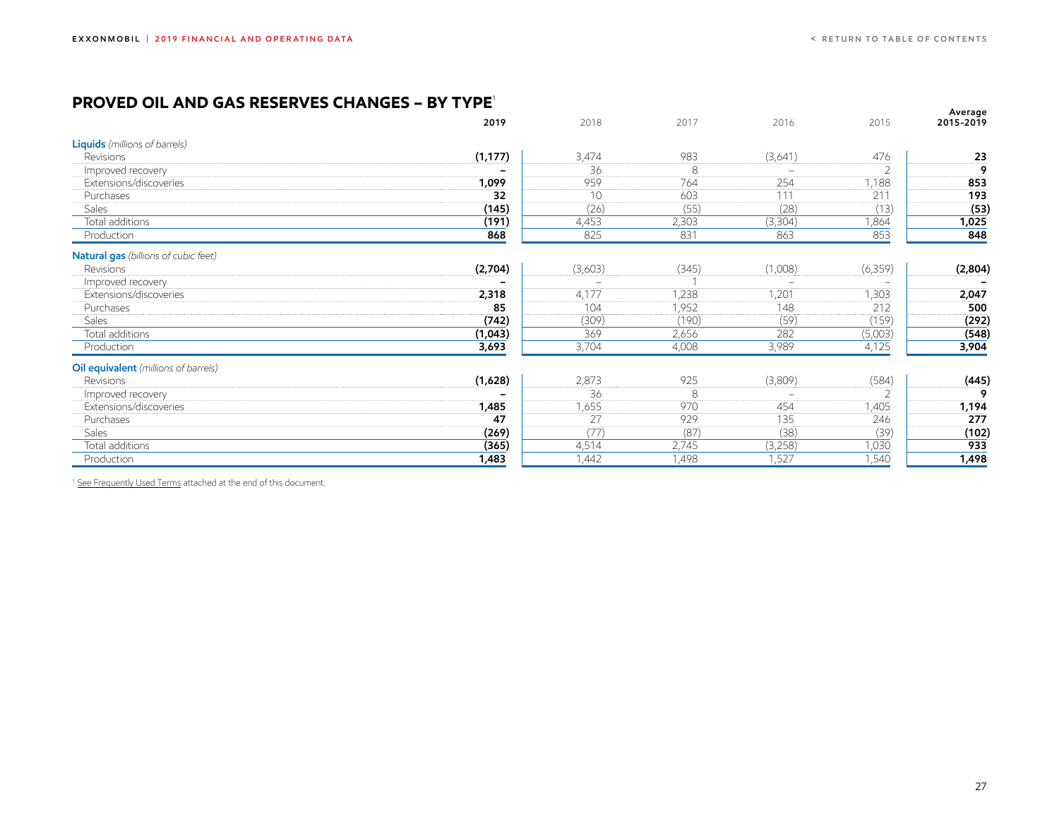#### <span id="page-27-0"></span>**PROVED OIL AND GAS RESERVES Changes – BY TYPE**<sup>1</sup>

| .<br>◡<br>◡◠◡<br>--                  | ULIARTEJ<br>. |         |       |                          |          | Average   |
|--------------------------------------|---------------|---------|-------|--------------------------|----------|-----------|
|                                      | 2019          | 2018    | 2017  | 2016                     | 2015     | 2015-2019 |
| <b>Liquids</b> (millions of barrels) |               |         |       |                          |          |           |
| Revisions                            | (1, 177)      | 3,474   | 983   | (3,641)                  | 476      | 23        |
| Improved recovery                    |               | 36      | 8     | $\overline{\phantom{0}}$ |          | g         |
| Extensions/discoveries               | 1,099         | 959     | 764   | 254                      | 1,188    | 853       |
| Purchases                            | 32            | 10      | 603   | 111                      | 211      | 193       |
| <b>Sales</b>                         | (145)         | (26)    | (55)  | (28)                     | (13)     | (53)      |
| Total additions                      | (191)         | 4,453   | 2,303 | (3,304)                  | 1,864    | 1,025     |
| Production                           | 868           | 825     | 831   | 863                      | 853      | 848       |
| Natural gas (billions of cubic feet) |               |         |       |                          |          |           |
| Revisions                            | (2,704)       | (3,603) | (345) | (1,008)                  | (6, 359) | (2,804)   |
| Improved recovery                    |               |         |       | $\equiv$                 |          |           |
| Extensions/discoveries               | 2,318         | 4,177   | 1,238 | 1,201                    | 1,303    | 2,047     |
| Purchases                            | 85            | 104     | 1,952 | 148                      | 212      | 500       |
| Sales                                | (742)         | (309)   | (190) | (59)                     | (159)    | (292)     |
| Total additions                      | (1,043)       | 369     | 2,656 | 282                      | (5,003)  | (548)     |
| Production                           | 3,693         | 3,704   | 4,008 | 3,989                    | 4,125    | 3,904     |
| Oil equivalent (millions of barrels) |               |         |       |                          |          |           |
| Revisions                            | (1,628)       | 2,873   | 925   | (3,809)                  | (584)    | (445)     |
| Improved recovery                    |               | 36      | 8     | $\overline{\phantom{0}}$ |          | 9         |
| Extensions/discoveries               | 1,485         | 1,655   | 970   | 454                      | 1,405    | 1,194     |
| Purchases                            | 47            | 27      | 929   | 135                      | 246      | 277       |
| <b>Sales</b>                         | (269)         | (77)    | (87)  | (38)                     | (39)     | (102)     |
| Total additions                      | (365)         | 4,514   | 2,745 | (3,258)                  | 1,030    | 933       |
| Production                           | 1,483         | 1,442   | 1,498 | 1,527                    | 1,540    | 1,498     |
|                                      |               |         |       |                          |          |           |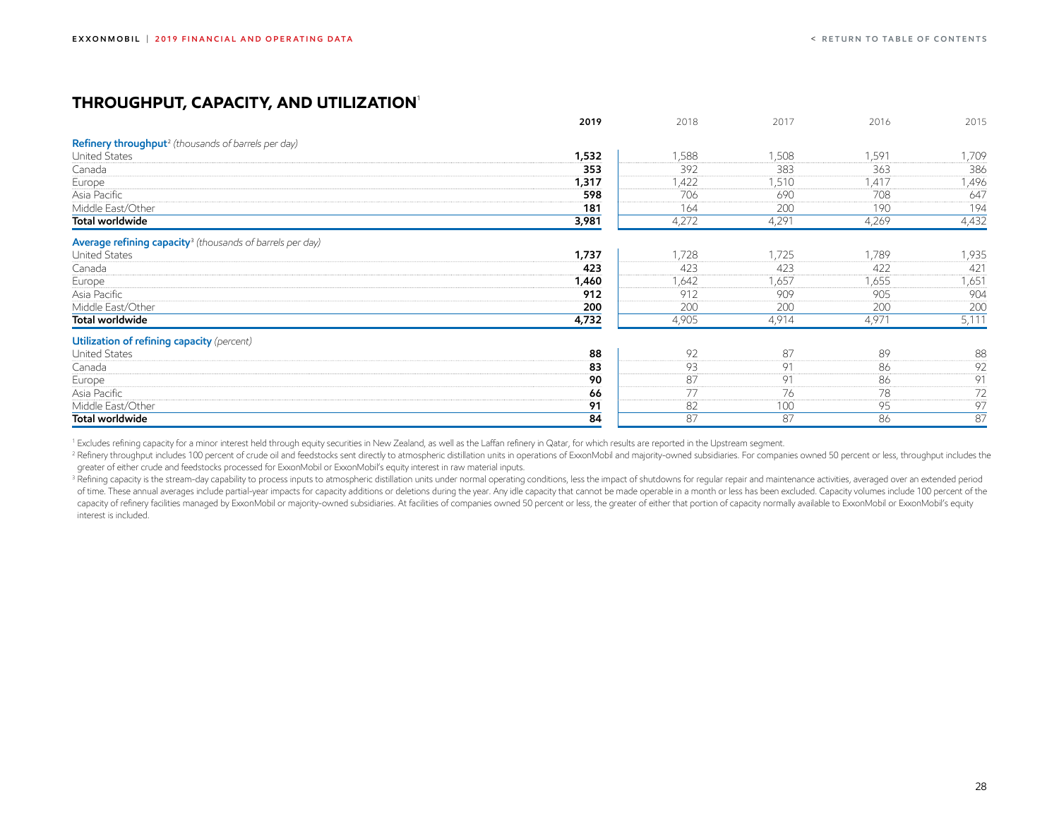### <span id="page-28-0"></span>**THROUGHPUT, CAPACITY, AND UTILIZATION**<sup>1</sup>

|                                                                       | 2019  | 2018  | 2017  | 2016  | 2015  |
|-----------------------------------------------------------------------|-------|-------|-------|-------|-------|
| Refinery throughput <sup>2</sup> (thousands of barrels per day)       |       |       |       |       |       |
| <b>United States</b>                                                  | 1,532 | 1,588 | 1,508 | 1,591 | 1,709 |
| Canada                                                                | 353   | 392   | 383   | 363   | 386   |
| Europe                                                                | 1,317 | ,422  | 1,510 | 1,417 | 1,496 |
| Asia Pacific                                                          | 598   | 706   | 690   | 708   | 647   |
| Middle East/Other                                                     | 181   | 164   | 200   | 190   | 194   |
| Total worldwide                                                       | 3,981 | 4,272 | 4,291 | 4,269 | 4,432 |
| Average refining capacity <sup>3</sup> (thousands of barrels per day) |       |       |       |       |       |
| <b>United States</b>                                                  | 1,737 | 1,728 | 1,725 | 1,789 | 1,935 |
| Canada                                                                | 423   | 423   | 423   | 422   | 421   |
| Europe                                                                | 1,460 | 1,642 | 1,657 | 1,655 | 1,651 |
| Asia Pacific                                                          | 912   | 912   | 909   | 905   | 904   |
| Middle East/Other                                                     | 200   | 200   | 200   | 200   | 200   |
| Total worldwide                                                       | 4,732 | 4,905 | 4,914 | 4,971 | 5,111 |
| Utilization of refining capacity (percent)                            |       |       |       |       |       |
| <b>United States</b>                                                  | 88    | 92    | 87    | 89    | 88    |
| Canada                                                                | 83    | 93    | 91    | 86    | 92    |
| Europe                                                                | 90    | 87    | 91    | 86    | 91    |
| Asia Pacific                                                          | 66    | 77    | 76    | 78    | 72    |
| Middle East/Other                                                     | 91    | 82    | 100   | 95    | 97    |
| Total worldwide                                                       | 84    | 87    | 87    | 86    | 87    |

<sup>1</sup> Excludes refining capacity for a minor interest held through equity securities in New Zealand, as well as the Laffan refinery in Qatar, for which results are reported in the Upstream segment.

<sup>2</sup> Refinery throughput includes 100 percent of crude oil and feedstocks sent directly to atmospheric distillation units in operations of ExxonMobil and majority-owned subsidiaries. For companies owned 50 percent or less, greater of either crude and feedstocks processed for ExxonMobil or ExxonMobil's equity interest in raw material inputs.

<sup>3</sup> Refining capacity is the stream-day capability to process inputs to atmospheric distillation units under normal operating conditions, less the impact of shutdowns for regular repair and maintenance activities, averaged of time. These annual averages include partial-year impacts for capacity additions or deletions during the year. Any idle capacity that cannot be made operable in a month or less has been excluded. Capacity volumes include capacity of refinery facilities managed by ExxonMobil or majority-owned subsidiaries. At facilities of companies owned 50 percent or less, the greater of either that portion of capacity normally available to ExxonMobil or interest is included.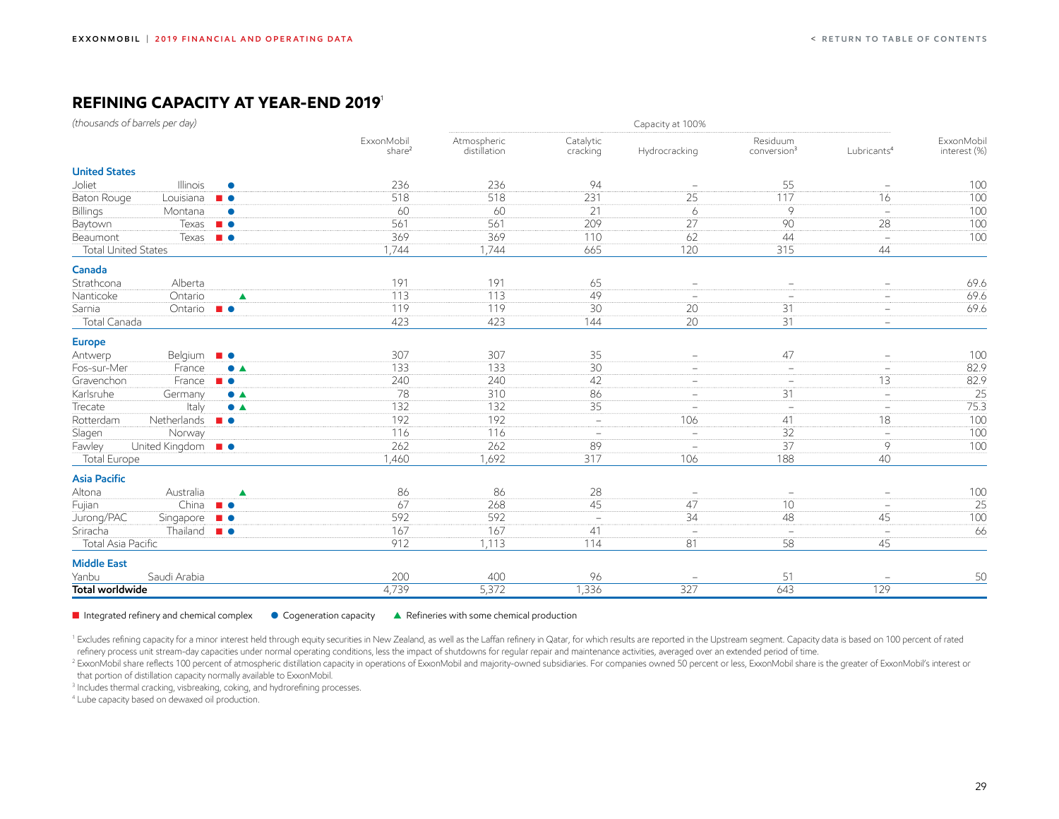## <span id="page-29-0"></span>**Refining capacity at year-end 2019**<sup>1</sup>

|                            | (thousands of barrels per day)        |                            |                                  |                             |                          | Capacity at 100%         |                                     |                                 |                            |
|----------------------------|---------------------------------------|----------------------------|----------------------------------|-----------------------------|--------------------------|--------------------------|-------------------------------------|---------------------------------|----------------------------|
|                            |                                       |                            | ExxonMobil<br>share <sup>2</sup> | Atmospheric<br>distillation | Catalytic<br>cracking    | Hydrocracking            | Residuum<br>conversion <sup>3</sup> | Lubricants <sup>4</sup>         | ExxonMobil<br>interest (%) |
| <b>United States</b>       |                                       |                            |                                  |                             |                          |                          |                                     |                                 |                            |
| Joliet                     | Illinois                              | $\bullet$                  | 236                              | 236                         | 94                       | $\overline{\phantom{a}}$ | 55                                  | $\overline{\phantom{a}}$        | 100                        |
| Baton Rouge                | Louisiana $\blacksquare$              |                            | 518                              | 518                         | 231                      | 25                       | 117                                 | 16                              | 100                        |
| Billings                   | Montana                               | $\bullet$                  | 60                               | 60                          | $\overline{21}$          | 6                        | $\overline{9}$                      | $\equiv$                        | 100                        |
| Baytown                    | $T$ exas $\blacksquare$               |                            | 561                              | 561                         | 209                      | $\overline{27}$          | 90                                  | 28                              | 100                        |
| Beaumont                   | Texas $\blacksquare$                  |                            | 369                              | 369                         | 110                      | 62                       | 44                                  | $\overline{\phantom{a}}$        | 100                        |
| <b>Total United States</b> |                                       |                            | 1,744                            | 1,744                       | 665                      | 120                      | 315                                 | 44                              |                            |
| Canada                     |                                       |                            |                                  |                             |                          |                          |                                     |                                 |                            |
| Strathcona                 | Alberta                               |                            | 191                              | 191                         | 65                       | $\equiv$                 |                                     | $\equiv$                        | 69.6                       |
| Nanticoke                  | Ontario                               | $\blacktriangle$           | 113                              | 113                         | 49                       | $\equiv$                 | $\overline{\phantom{a}}$            | $\equiv$                        | 69.6                       |
| Sarnia                     | Ontario $\blacksquare$ $\blacksquare$ |                            | 119                              | 119                         | 30                       | 20                       | 31                                  | $\overline{\phantom{a}}$        | 69.6                       |
| Total Canada               |                                       |                            | 423                              | 423                         | 144                      | 20                       | 31                                  | $\overline{\phantom{m}}$        |                            |
| <b>Europe</b>              |                                       |                            |                                  |                             |                          |                          |                                     |                                 |                            |
| Antwerp                    | Belgium $\blacksquare$                |                            | 307                              | 307                         | 35                       | $\overline{\phantom{a}}$ | 47                                  | $\overline{\phantom{a}}$        | 100                        |
| Fos-sur-Mer                | France                                | $\bullet$ $\blacktriangle$ | 133                              | 133                         | 30                       | $\overline{\phantom{a}}$ | $\overline{\phantom{m}}$            | $\equiv$                        | 82.9                       |
| Gravenchon                 | France                                | $\blacksquare$             | 240                              | 240                         | 42                       | $\equiv$                 | $\overline{\phantom{m}}$            | 13                              | 82.9                       |
| Karlsruhe                  | Germany                               | $\bullet$ $\blacktriangle$ | 78                               | 310                         | 86                       | $\overline{\phantom{a}}$ | 31                                  | $\overline{\phantom{a}}$        | 25                         |
| Trecate                    | Italy                                 | $\bullet$ $\blacktriangle$ | 132                              | 132                         | 35                       | $\equiv$                 | $\overline{\phantom{m}}$            | $\equiv$                        | 75.3                       |
| Rotterdam                  | Netherlands $\blacksquare$ $\bullet$  |                            | 192                              | 192                         | $\equiv$                 | 106                      | 41                                  | 18                              | 100                        |
| Slagen                     | Norway                                |                            | 116                              | 116                         | $\equiv$                 | $\overline{\phantom{a}}$ | 32                                  | $\equiv$                        | 100                        |
| Fawley                     | United Kingdom <b>B</b>               |                            | 262                              | 262                         | 89                       |                          | 37                                  | 9                               | 100                        |
| <b>Total Europe</b>        |                                       |                            | 1,460                            | 1,692                       | 317                      | 106                      | 188                                 | 40                              |                            |
| <b>Asia Pacific</b>        |                                       |                            |                                  |                             |                          |                          |                                     |                                 |                            |
| Altona                     | Australia                             | $\blacktriangle$           | 86                               | 86                          | 28                       | $\overline{\phantom{a}}$ | $\overline{\phantom{a}}$            | $\equiv$                        | 100                        |
| Fujian                     | China $\blacksquare$                  |                            | 67                               | 268                         | 45                       | 47                       | 10                                  | $\equiv$                        | $\overline{25}$            |
| Jurong/PAC                 | Singapore <b>B</b> $\bullet$          |                            | 592                              | 592                         | $\overline{\phantom{a}}$ | $\overline{34}$          | 48                                  | 45                              | 100                        |
| Sriracha                   | Thailand $\blacksquare$               |                            | 167                              | 167                         | 41                       | $\equiv$                 | $\equiv$                            | $\overline{\phantom{m}}$        | 66                         |
| Total Asia Pacific         |                                       |                            | 912                              | 1,113                       | 114                      | 81                       | 58                                  | 45                              |                            |
| <b>Middle East</b>         |                                       |                            |                                  |                             |                          |                          |                                     |                                 |                            |
| Yanbu                      | Saudi Arabia                          |                            | 200                              | 400                         | 96                       | $\overline{\phantom{a}}$ | 51                                  | $\hspace{0.1mm}-\hspace{0.1mm}$ | 50                         |
| <b>Total worldwide</b>     |                                       |                            | 4,739                            | 5,372                       | 1,336                    | 327                      | 643                                 | 129                             |                            |

**n** Integrated refinery and chemical complex  $\bullet$  Cogeneration capacity  $\bullet$  Refineries with some chemical production

<sup>1</sup> Excludes refining capacity for a minor interest held through equity securities in New Zealand, as well as the Laffan refinery in Qatar, for which results are reported in the Upstream segment. Capacity data is based on refinery process unit stream-day capacities under normal operating conditions, less the impact of shutdowns for regular repair and maintenance activities, averaged over an extended period of time.<br><sup>2</sup> ExxonMobil share refl

that portion of distillation capacity normally available to ExxonMobil.

3 Includes thermal cracking, visbreaking, coking, and hydrorefining processes.

4 Lube capacity based on dewaxed oil production.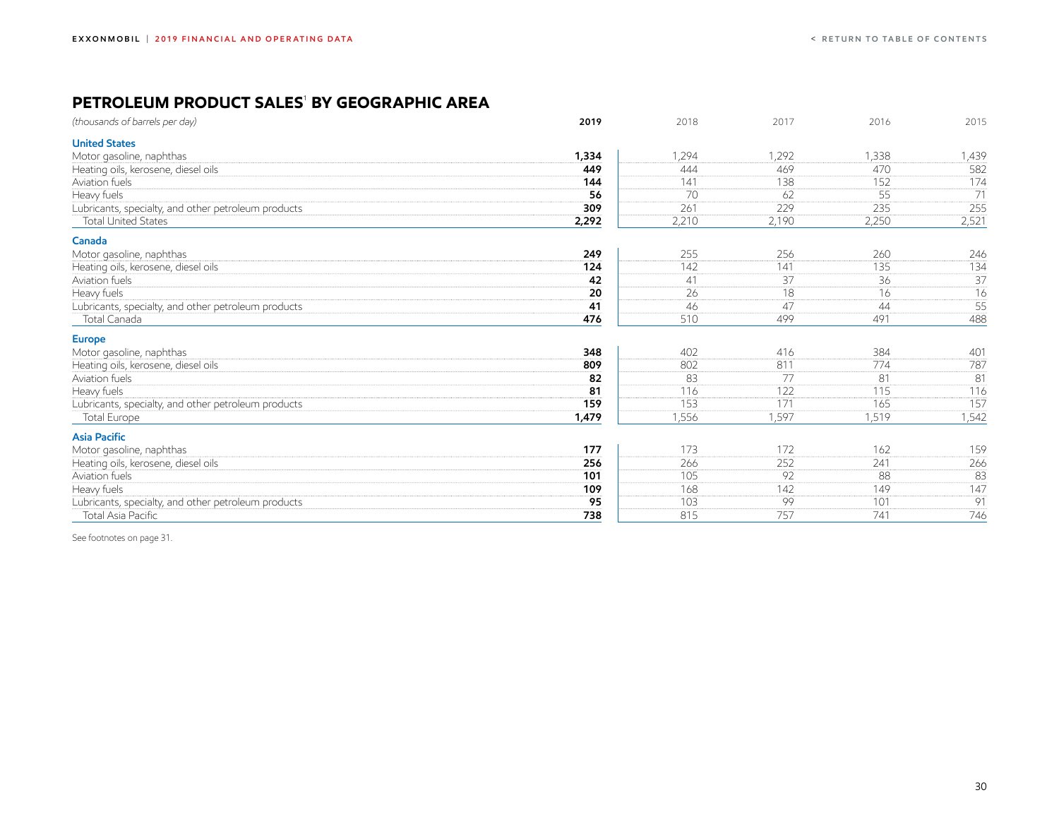### <span id="page-30-0"></span>**PETROLEUM PRODUCT SALES**<sup>1</sup>  **BY GEOGRAPHIC AREA**

| (thousands of barrels per day)                      | 2019  | 2018  | 2017            | 2016  | 2015            |
|-----------------------------------------------------|-------|-------|-----------------|-------|-----------------|
| <b>United States</b>                                |       |       |                 |       |                 |
| Motor gasoline, naphthas                            | 1,334 | 1,294 | 1,292           | 1,338 | 1,439           |
| Heating oils, kerosene, diesel oils                 | 449   | 444   | 469             | 470   | 582             |
| Aviation fuels                                      | 144   | 141   | 138             | 152   | 174             |
| Heavy fuels                                         | 56    | 70    | 62              | 55    | 71              |
| Lubricants, specialty, and other petroleum products | 309   | 261   | 229             | 235   | 255             |
| <b>Total United States</b>                          | 2,292 | 2,210 | 2,190           | 2,250 | 2,521           |
| Canada                                              |       |       |                 |       |                 |
| Motor gasoline, naphthas                            | 249   | 255   | 256             | 260   | 246             |
| Heating oils, kerosene, diesel oils                 | 124   | 142   | 141             | 135   | 134             |
| Aviation fuels                                      | 42    | 41    | $\overline{37}$ | 36    | $\overline{37}$ |
| Heavy fuels                                         | 20    | 26    | 18              | 16    | 16              |
| Lubricants, specialty, and other petroleum products | 41    | 46    | 47              | 44    | 55              |
| Total Canada                                        | 476   | 510   | 499             | 491   | 488             |
| <b>Europe</b>                                       |       |       |                 |       |                 |
| Motor gasoline, naphthas                            | 348   | 402   | 416             | 384   | 401             |
| Heating oils, kerosene, diesel oils                 | 809   | 802   | 811             | 774   | 787             |
| Aviation fuels                                      | 82    | 83    | 77              | 81    | 81              |
| Heavy fuels                                         | 81    | 116   | 122             | 115   | 116             |
| Lubricants, specialty, and other petroleum products | 159   | 153   | 171             | 165   | 157             |
| <b>Total Europe</b>                                 | 1,479 | 1,556 | 1,597           | 1,519 | 1,542           |
| <b>Asia Pacific</b>                                 |       |       |                 |       |                 |
| Motor gasoline, naphthas                            | 177   | 173   | 172             | 162   | 159             |
| Heating oils, kerosene, diesel oils                 | 256   | 266   | 252             | 241   | 266             |
| Aviation fuels                                      | 101   | 105   | 92              | 88    | 83              |
| Heavy fuels                                         | 109   | 168   | 142             | 149   | 147             |
| Lubricants, specialty, and other petroleum products | 95    | 103   | 99              | 101   | 91              |
| Total Asia Pacific                                  | 738   | 815   | 757             | 741   | 746             |

See footnotes on page 31.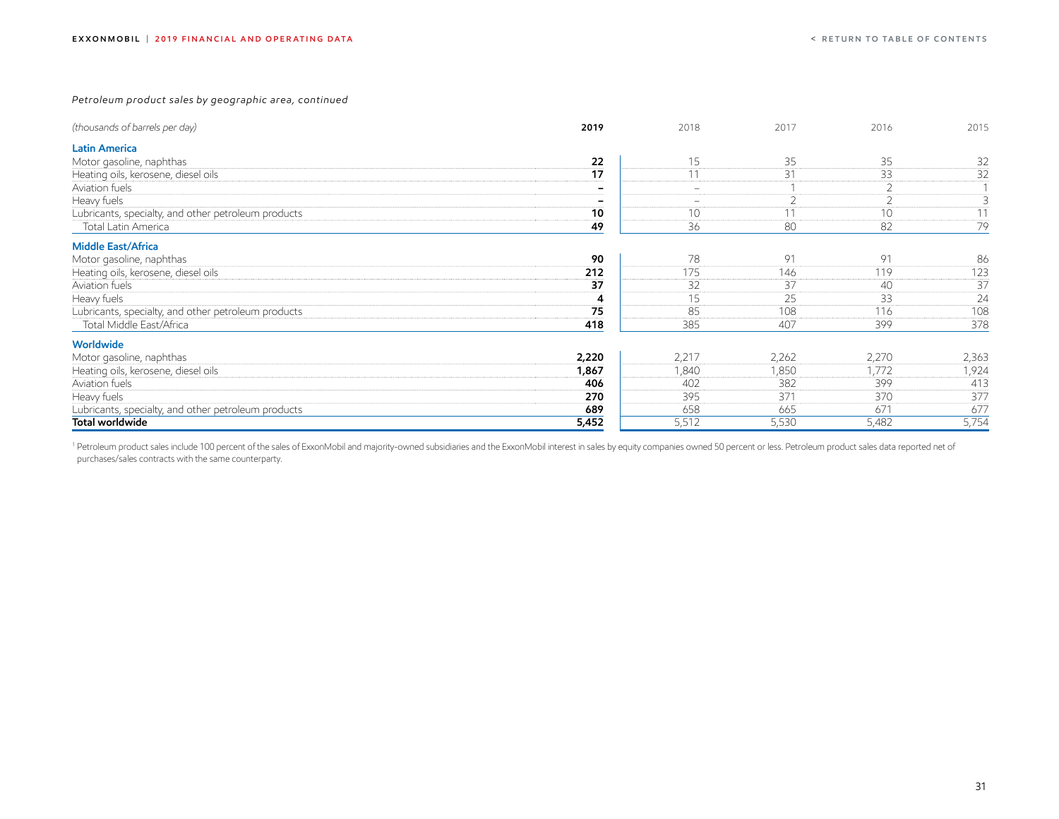*Petroleum product sales by geographic area, continued*

| (thousands of barrels per day)                      | 2019  | 2018                     | 2017           | 2016           | 2015  |
|-----------------------------------------------------|-------|--------------------------|----------------|----------------|-------|
| <b>Latin America</b>                                |       |                          |                |                |       |
| Motor gasoline, naphthas                            | 22    | 15                       | 35             | 35             | 32    |
| Heating oils, kerosene, diesel oils                 | 17    | 11                       | 31             | 33             | 32    |
| Aviation fuels                                      | -     | $\overline{\phantom{m}}$ |                | $\overline{2}$ |       |
| Heavy fuels                                         |       |                          | $\overline{2}$ | $\overline{2}$ | 3     |
| Lubricants, specialty, and other petroleum products | 10    | 10                       | 11             | 10             | 11    |
| Total Latin America                                 | 49    | 36                       | 80             | 82             | 79    |
| <b>Middle East/Africa</b>                           |       |                          |                |                |       |
| Motor gasoline, naphthas                            | 90    | 78                       | 91             | 91             | 86    |
| Heating oils, kerosene, diesel oils                 | 212   | 175                      | 146            | 119            | 123   |
| Aviation fuels                                      | 37    | 32                       | 37             | 40             | 37    |
| Heavy fuels                                         | 4     | 15                       | 25             | 33             | 24    |
| Lubricants, specialty, and other petroleum products | 75    | 85                       | 108            | 116            | 108   |
| Total Middle East/Africa                            | 418   | 385                      | 407            | 399            | 378   |
| <b>Worldwide</b>                                    |       |                          |                |                |       |
| Motor gasoline, naphthas                            | 2,220 | 2,217                    | 2,262          | 2,270          | 2,363 |
| Heating oils, kerosene, diesel oils                 | 1,867 | 1,840                    | 1,850          | 1,772          | 1,924 |
| Aviation fuels                                      | 406   | 402                      | 382            | 399            | 413   |
| Heavy fuels                                         | 270   | 395                      | 371            | 370            | 377   |
| Lubricants, specialty, and other petroleum products | 689   | 658                      | 665            | 671            | 677   |
| Total worldwide                                     | 5,452 | 5,512                    | 5,530          | 5,482          | 5,754 |

1 Petroleum product sales include 100 percent of the sales of ExxonMobil and majority-owned subsidiaries and the ExxonMobil interest in sales by equity companies owned 50 percent or less. Petroleum product sales data repor purchases/sales contracts with the same counterparty.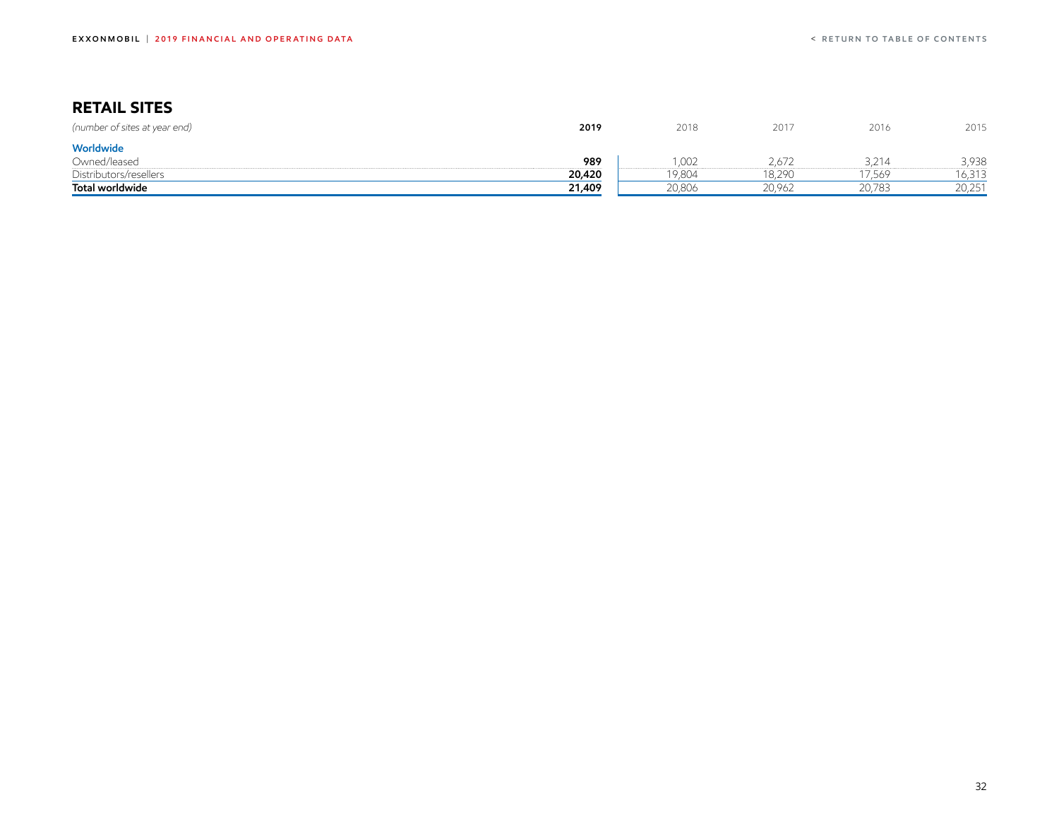## <span id="page-32-0"></span>**RETAIL SITES**

| (number of sites at year end) | 2019   | 2018   | 2017   | 2016   | 2015   |
|-------------------------------|--------|--------|--------|--------|--------|
| Worldwide                     |        |        |        |        |        |
| Owned/leased                  | 989    | ,002   | 2.672  | .214   | 3,938  |
| Distributors/resellers        | 20,420 | 19,804 | 18,290 | 7,569  | 6,313  |
| Total worldwide               | 21,409 | 20,806 | 20,962 | 20,783 | 20,251 |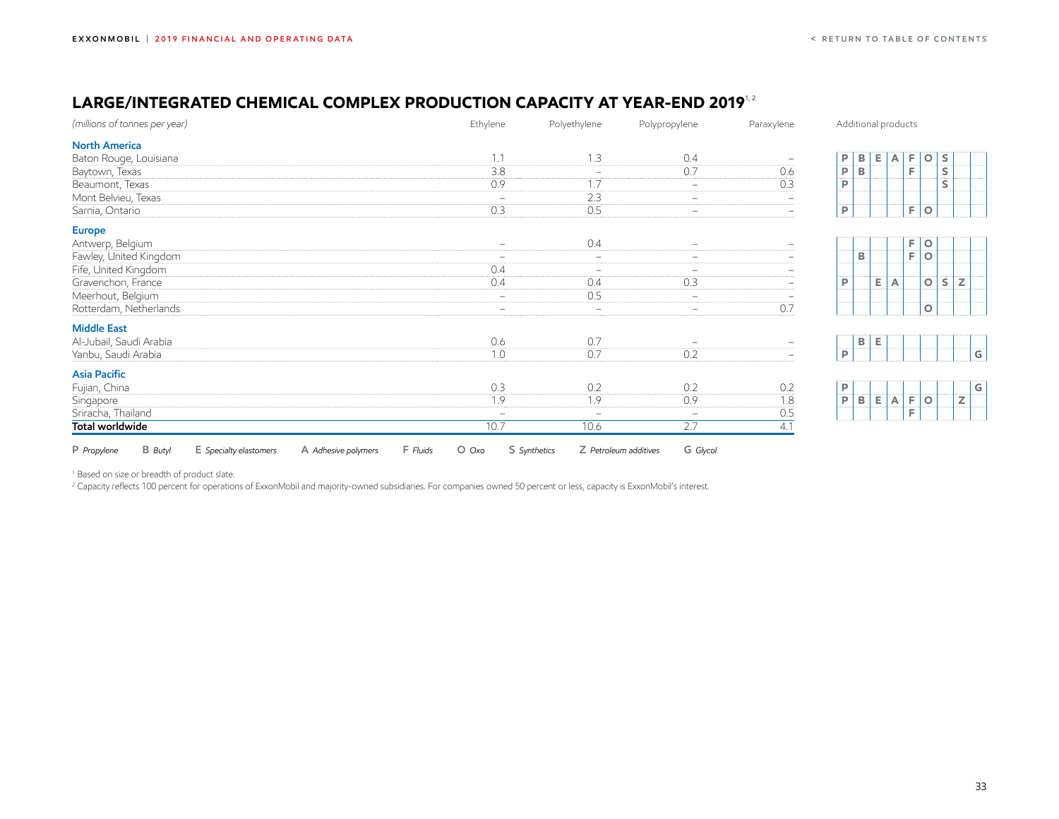## <span id="page-33-0"></span>LARGE/INTEGRATED CHEMICAL COMPLEX PRODUCTION CAPACITY AT YEAR-END 2019<sup>1,2</sup>

| (millions of tonnes per year)                                                              | Ethylene                 | Polyethylene                          | Polypropylene            | Paraxylene | Additional products |              |    |   |              |   |              |
|--------------------------------------------------------------------------------------------|--------------------------|---------------------------------------|--------------------------|------------|---------------------|--------------|----|---|--------------|---|--------------|
| <b>North America</b>                                                                       |                          |                                       |                          |            |                     |              |    |   |              |   |              |
| Baton Rouge, Louisiana                                                                     | 1.1                      | 1.3                                   | 0.4                      |            | P                   | В            | Е. | A | F<br>$\circ$ | S |              |
| Baytown, Texas                                                                             | 3.8                      | $\overline{\phantom{a}}$              | 0.7                      | 0.6        | P                   | B            |    |   | F            | s |              |
| Beaumont, Texas                                                                            | 0.9                      | 1.7                                   | $\equiv$                 | 0.3        | P                   |              |    |   |              | s |              |
| Mont Belvieu, Texas                                                                        | $\qquad \qquad =$        | 2.3                                   | $\equiv$                 |            |                     |              |    |   |              |   |              |
| Sarnia, Ontario                                                                            | 0.3                      | 0.5                                   | $-$                      |            | P                   |              |    |   | F<br>$\circ$ |   |              |
| <b>Europe</b>                                                                              |                          |                                       |                          |            |                     |              |    |   |              |   |              |
| Antwerp, Belgium                                                                           | $\overline{\phantom{a}}$ | 0.4                                   | $\overline{\phantom{0}}$ |            |                     |              |    |   | F<br>$\circ$ |   |              |
| Fawley, United Kingdom                                                                     |                          | $\overline{\phantom{a}}$              | $-$                      |            |                     | $\mathbf B$  |    |   | F<br>$\circ$ |   |              |
| Fife, United Kingdom                                                                       | 0.4                      | $\overline{\phantom{a}}$              | $\equiv$                 |            |                     |              |    |   |              |   |              |
| Gravenchon, France                                                                         | 0.4                      | 0.4                                   | 0.3                      |            | P                   |              | Е. | A | $\circ$      | S | $\mathbb Z$  |
| Meerhout, Belgium                                                                          | $\equiv$                 | 0.5                                   | $\equiv$                 |            |                     |              |    |   |              |   |              |
| Rotterdam, Netherlands                                                                     |                          | $\overline{\phantom{a}}$              | $\equiv$                 | 0.7        |                     |              |    |   | $\mathsf O$  |   |              |
| <b>Middle East</b>                                                                         |                          |                                       |                          |            |                     |              |    |   |              |   |              |
| Al-Jubail, Saudi Arabia                                                                    | 0.6                      | 0.7                                   |                          |            |                     | $\, {\bf B}$ | Е  |   |              |   |              |
| Yanbu, Saudi Arabia                                                                        | 1.0                      | 0.7                                   | 0.2                      |            | P                   |              |    |   |              |   | G            |
| <b>Asia Pacific</b>                                                                        |                          |                                       |                          |            |                     |              |    |   |              |   |              |
| Fujian, China                                                                              | 0.3                      | 0.2                                   | 0.2                      | 0.2        | P                   |              |    |   |              |   | $\mathbf{G}$ |
| Singapore                                                                                  | 1.9                      | 1.9                                   | 0.9                      | 1.8        | $\dddot{\bar{P}}$   | B            | E. | A | F<br>$\circ$ |   | z            |
| Sriracha, Thailand                                                                         |                          | $\equiv$                              | $\frac{1}{2}$            | 0.5        |                     |              |    |   | F            |   |              |
| Total worldwide                                                                            | 10.7                     | 10.6                                  | 2.7                      | 4.1        |                     |              |    |   |              |   |              |
| <b>B</b> Butyl<br>F Fluids<br>P Propylene<br>E Specialty elastomers<br>A Adhesive polymers | $O$ $Oxo$                | S Synthetics<br>Z Petroleum additives | G Glycol                 |            |                     |              |    |   |              |   |              |

<sup>1</sup> Based on size or breadth of product slate.

<sup>2</sup> Capacity reflects 100 percent for operations of ExxonMobil and majority-owned subsidiaries. For companies owned 50 percent or less, capacity is ExxonMobil's interest.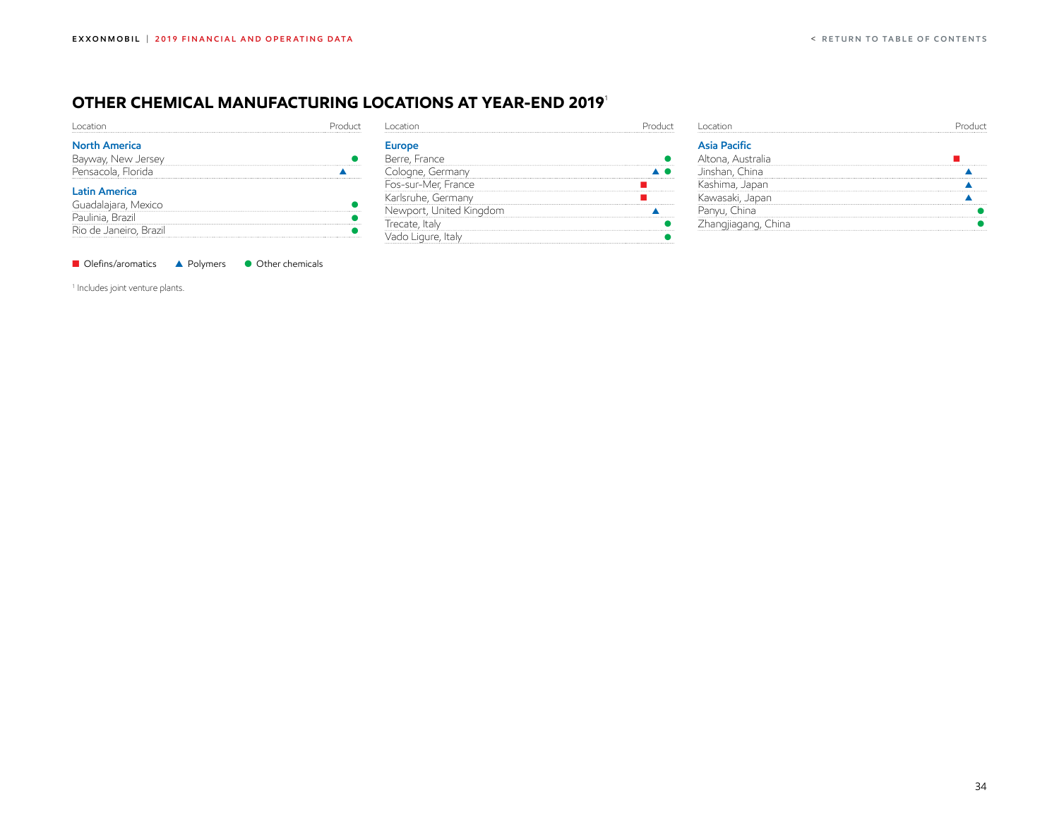## <span id="page-34-0"></span>**OTHER Chemical MANUFACTURING LOCATIONS AT YEAR-END 2019**<sup>1</sup>

| cation               |  |
|----------------------|--|
| <b>North America</b> |  |
| Bayway, New Jersey   |  |
| Pensacola, Florida   |  |
| <b>Latin America</b> |  |
|                      |  |
| Guadalajara, Mexico  |  |
| Paulinia, Brazil     |  |

| Location                |  |
|-------------------------|--|
| Europe                  |  |
| Berre, France           |  |
| Cologne, Germany        |  |
| Fos-sur-Mer, France     |  |
| Karlsruhe, Germany      |  |
| Newport, United Kinadom |  |
| Trecate, Italy          |  |
| Vado Ligure, Italv      |  |

| <b>Asia Pacific</b> |  |
|---------------------|--|
| Altona, Australia   |  |
| Jinshan, China<br>  |  |
| ishima, Japan       |  |
| awasaki, Japan      |  |
|                     |  |
| :hangjiagang, China |  |
|                     |  |

■ Olefins/aromatics ▲ Polymers ● Other chemicals

1 Includes joint venture plants.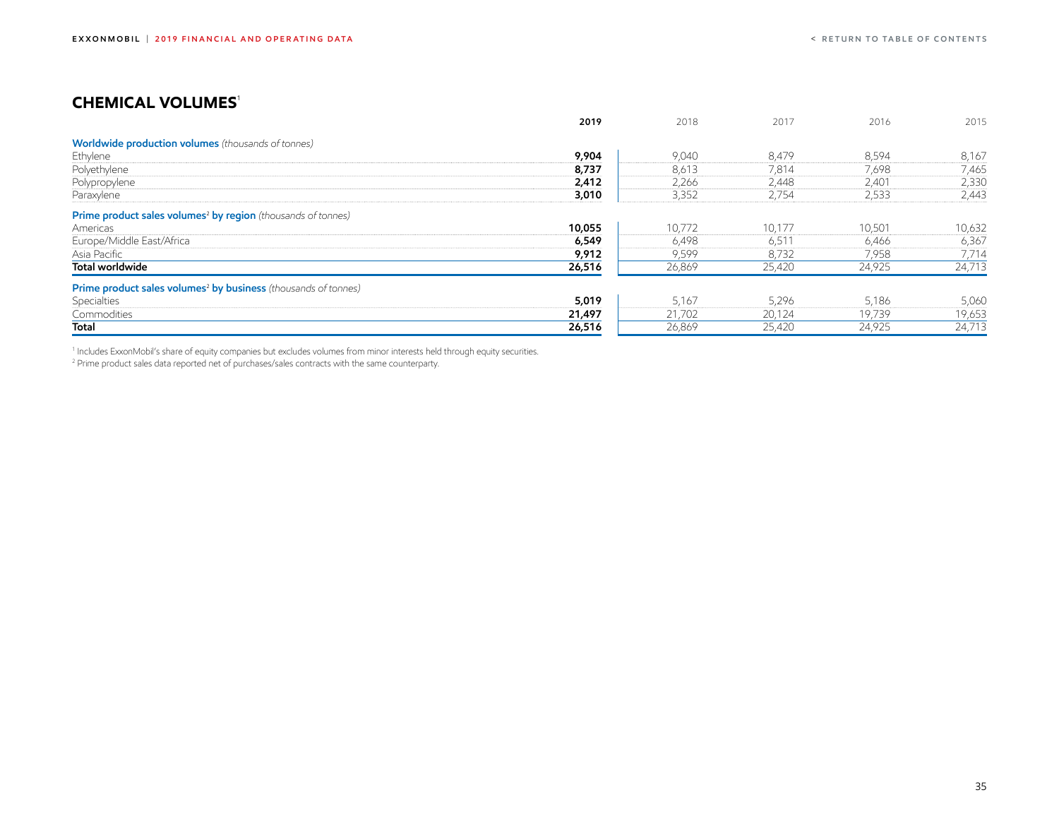## <span id="page-35-0"></span>**Chemical VOLUMES**<sup>1</sup>

|                                                                            | 2019   | 2018   | 2017   | 2016   | 2015   |
|----------------------------------------------------------------------------|--------|--------|--------|--------|--------|
| <b>Worldwide production volumes</b> (thousands of tonnes)                  |        |        |        |        |        |
| Ethylene                                                                   | 9,904  | 9,040  | 8,479  | 8,594  | 8,167  |
| Polyethylene                                                               | 8,737  | 8,613  | 7,814  | 7,698  | 7,465  |
| Polypropylene                                                              | 2,412  | 2,266  | 2,448  | 2,401  | 2,330  |
| Paraxylene                                                                 | 3,010  | 3,352  | 2,754  | 2,533  | 2,443  |
| Prime product sales volumes <sup>2</sup> by region (thousands of tonnes)   |        |        |        |        |        |
| Americas                                                                   | 10,055 | 10,772 | 10,177 | 10,501 | 10,632 |
| Europe/Middle East/Africa                                                  | 6,549  | 6,498  | 6,511  | 6,466  | 6,367  |
| Asia Pacific                                                               | 9,912  | 9,599  | 8,732  | 7,958  | 7,714  |
| <b>Total worldwide</b>                                                     | 26,516 | 26,869 | 25,420 | 24,925 | 24,713 |
| Prime product sales volumes <sup>2</sup> by business (thousands of tonnes) |        |        |        |        |        |
| Specialties                                                                | 5,019  | 5,167  | 5,296  | 5,186  | 5,060  |
| Commodities                                                                | 21,497 | 21,702 | 20,124 | 19,739 | 19,653 |
| Total                                                                      | 26,516 | 26,869 | 25,420 | 24,925 | 24,713 |

<sup>1</sup> Includes ExxonMobil's share of equity companies but excludes volumes from minor interests held through equity securities.

2 Prime product sales data reported net of purchases/sales contracts with the same counterparty.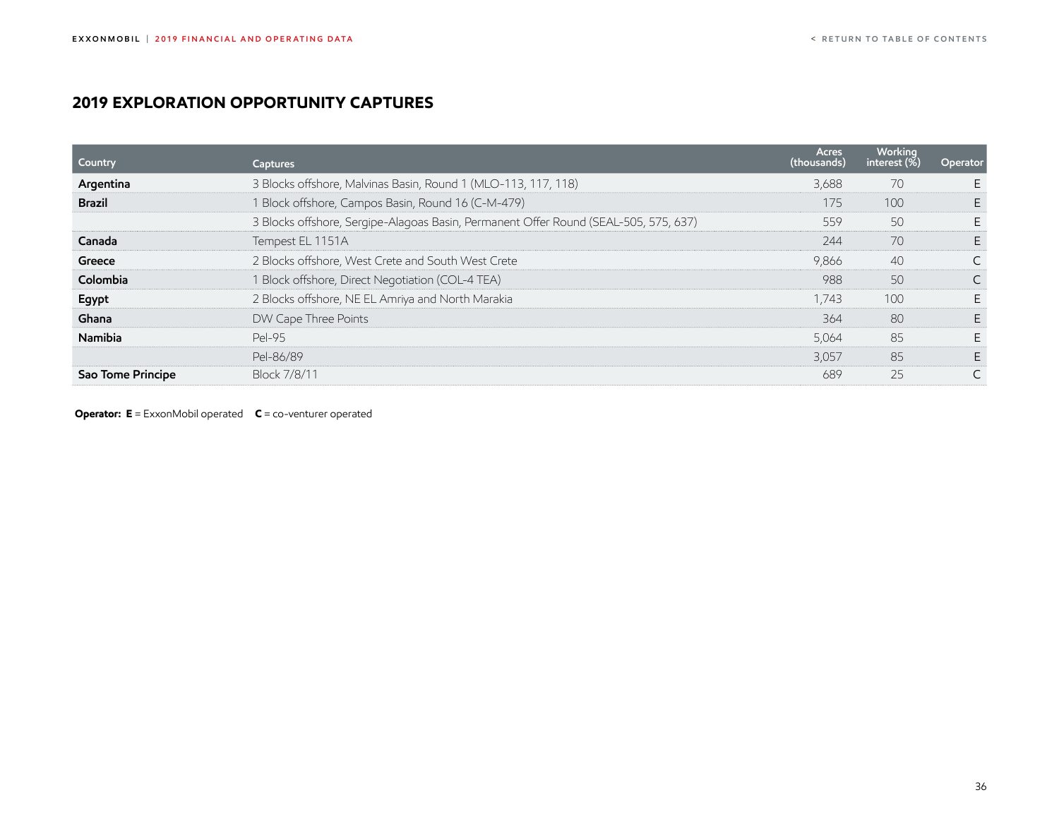# <span id="page-36-0"></span>**2019 exploration opportunity captures**

| Country           | Captures                                                                             | <b>Acres</b><br>(thousands) | <b>Working</b><br>interest $(\bar{\%})$ | Operator |
|-------------------|--------------------------------------------------------------------------------------|-----------------------------|-----------------------------------------|----------|
| Argentina         | 3 Blocks offshore, Malvinas Basin, Round 1 (MLO-113, 117, 118)                       | 3,688                       | 70                                      |          |
| <b>Brazil</b>     | 1 Block offshore, Campos Basin, Round 16 (C-M-479)                                   | 175                         | 100                                     |          |
|                   | 3 Blocks offshore, Sergipe-Alagoas Basin, Permanent Offer Round (SEAL-505, 575, 637) | 559                         | 50                                      |          |
| Canada            | Tempest EL 1151A                                                                     | 244                         | 70                                      |          |
| Greece            | 2 Blocks offshore, West Crete and South West Crete                                   | 9,866                       | 40                                      |          |
| Colombia          | 1 Block offshore, Direct Negotiation (COL-4 TEA)                                     | 988                         | 50                                      |          |
| Egypt             | 2 Blocks offshore, NE EL Amriya and North Marakia                                    | 1,743                       | 100                                     |          |
| Ghana             | DW Cape Three Points                                                                 | 364                         | 80                                      |          |
| Namibia           | Pel-95                                                                               | 5,064                       | 85                                      |          |
|                   | Pel-86/89                                                                            | 3,057                       | 85                                      |          |
| Sao Tome Principe | Block 7/8/11                                                                         | 689                         | 25                                      |          |

**Operator: E** = ExxonMobil operated **C** = co-venturer operated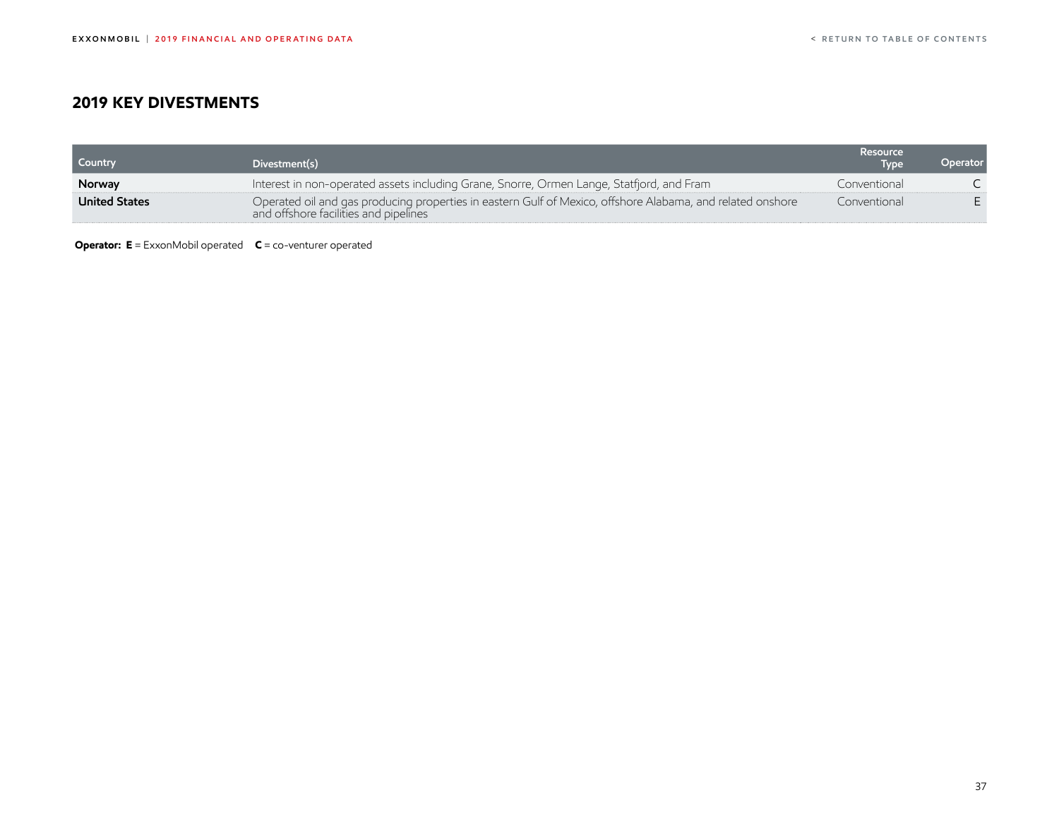## <span id="page-37-0"></span>**2019 Key DIVESTMENTS**

| <b>Country</b>       | Divestment(s)                                                                                                                                       | Resource<br><b>Type</b> | Operator |
|----------------------|-----------------------------------------------------------------------------------------------------------------------------------------------------|-------------------------|----------|
| <b>Norway</b>        | Interest in non-operated assets including Grane, Snorre, Ormen Lange, Statfjord, and Fram                                                           | Conventional            |          |
| <b>United States</b> | Operated oil and gas producing properties in eastern Gulf of Mexico, offshore Alabama, and related onshore<br>and offshore facilities and pipelines | Conventional            |          |

**Operator: E** = ExxonMobil operated **C** = co-venturer operated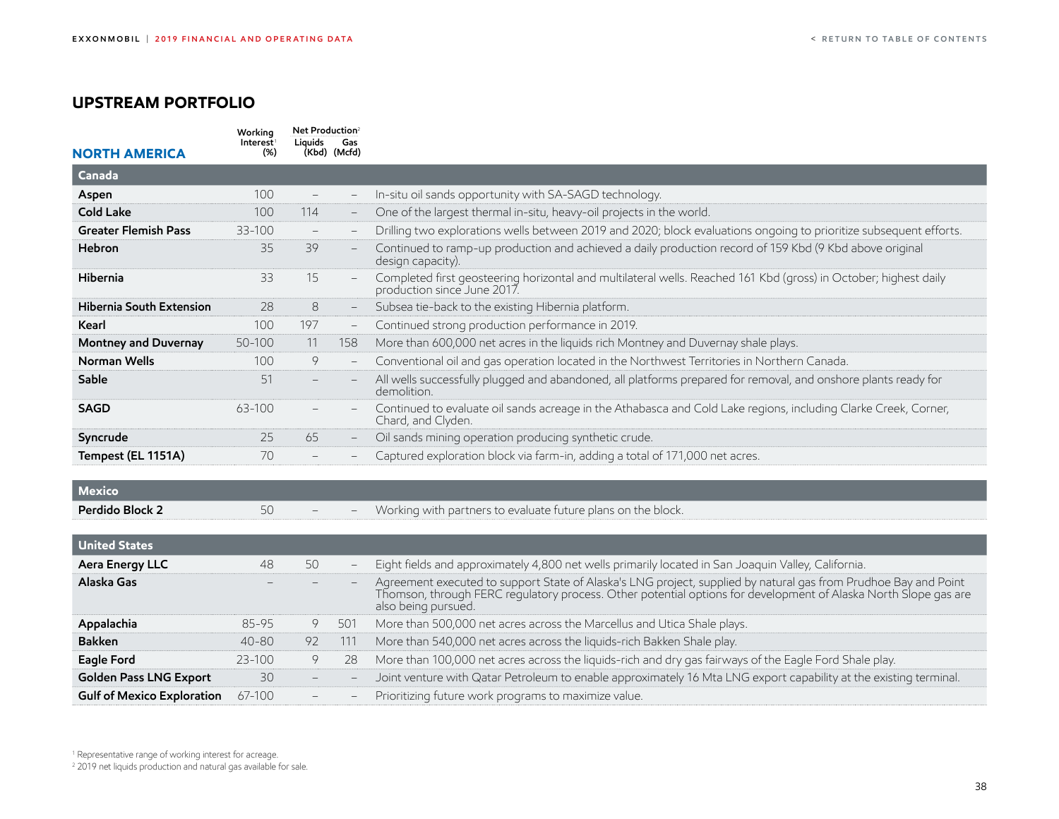## <span id="page-38-0"></span>**Upstream portfolio**

| <b>NORTH AMERICA</b>            | Working<br>Interest<br>(%) | Net Production <sup>2</sup><br>Liauids | Gas<br>(Kbd) (Mcfd)      |                                                                                                                                                 |
|---------------------------------|----------------------------|----------------------------------------|--------------------------|-------------------------------------------------------------------------------------------------------------------------------------------------|
| Canada                          |                            |                                        |                          |                                                                                                                                                 |
| Aspen                           | 100                        | $\overline{\phantom{a}}$               |                          | In-situ oil sands opportunity with SA-SAGD technology.                                                                                          |
| <b>Cold Lake</b>                | 100                        | 114                                    | $\overline{\phantom{a}}$ | One of the largest thermal in-situ, heavy-oil projects in the world.                                                                            |
| <b>Greater Flemish Pass</b>     | 33-100                     | $\overline{\phantom{a}}$               | $-$                      | Drilling two explorations wells between 2019 and 2020; block evaluations ongoing to prioritize subsequent efforts.                              |
| Hebron                          | 35                         | 39                                     |                          | Continued to ramp-up production and achieved a daily production record of 159 Kbd (9 Kbd above original<br>design capacity).                    |
| Hibernia                        | 33                         | 15                                     |                          | Completed first geosteering horizontal and multilateral wells. Reached 161 Kbd (gross) in October; highest daily<br>production since June 2017. |
| <b>Hibernia South Extension</b> | 28                         | 8                                      | $-$                      | Subsea tie-back to the existing Hibernia platform.                                                                                              |
| Kearl                           | 100                        | 197                                    | $-$                      | Continued strong production performance in 2019.                                                                                                |
| Montney and Duvernay            | 50-100                     | 11                                     | 158                      | More than 600,000 net acres in the liquids rich Montney and Duvernay shale plays.                                                               |
| Norman Wells                    | 100                        | 9                                      |                          | Conventional oil and gas operation located in the Northwest Territories in Northern Canada.                                                     |
| Sable                           | 51                         |                                        |                          | All wells successfully plugged and abandoned, all platforms prepared for removal, and onshore plants ready for<br>demolition.                   |
| <b>SAGD</b>                     | 63-100                     |                                        |                          | Continued to evaluate oil sands acreage in the Athabasca and Cold Lake regions, including Clarke Creek, Corner,<br>Chard, and Clyden.           |
| Syncrude                        | 25                         | 65                                     |                          | Oil sands mining operation producing synthetic crude.                                                                                           |
| Tempest (EL 1151A)              | 70                         |                                        |                          | Captured exploration block via farm-in, adding a total of 171,000 net acres.                                                                    |
| Mexico                          |                            |                                        |                          |                                                                                                                                                 |
| Perdido Block 2                 | 50                         |                                        |                          | Working with partners to evaluate future plans on the block.                                                                                    |

| <b>United States</b>              |            |    |            |                                                                                                                                                                                                                                                          |
|-----------------------------------|------------|----|------------|----------------------------------------------------------------------------------------------------------------------------------------------------------------------------------------------------------------------------------------------------------|
| Aera Energy LLC                   | 48         | 50 | -          | Eight fields and approximately 4,800 net wells primarily located in San Joaquin Valley, California.                                                                                                                                                      |
| Alaska Gas                        |            |    |            | Agreement executed to support State of Alaska's LNG project, supplied by natural gas from Prudhoe Bay and Point<br>Thomson, through FERC regulatory process. Other potential options for development of Alaska North Slope gas ar<br>also being pursued. |
| Appalachia                        | 85-95      |    | $50^\circ$ | More than 500,000 net acres across the Marcellus and Utica Shale plays.                                                                                                                                                                                  |
| <b>Bakken</b>                     | $40 - 80$  | 92 | 111        | More than 540,000 net acres across the liquids-rich Bakken Shale play.                                                                                                                                                                                   |
| Eagle Ford                        | $23 - 100$ |    | 28         | More than 100,000 net acres across the liquids-rich and dry gas fairways of the Eagle Ford Shale play.                                                                                                                                                   |
| <b>Golden Pass LNG Export</b>     | 30         |    |            | Joint venture with Qatar Petroleum to enable approximately 16 Mta LNG export capability at the existing terminal.                                                                                                                                        |
| <b>Gulf of Mexico Exploration</b> | $67-100$   |    |            | Prioritizing future work programs to maximize value.                                                                                                                                                                                                     |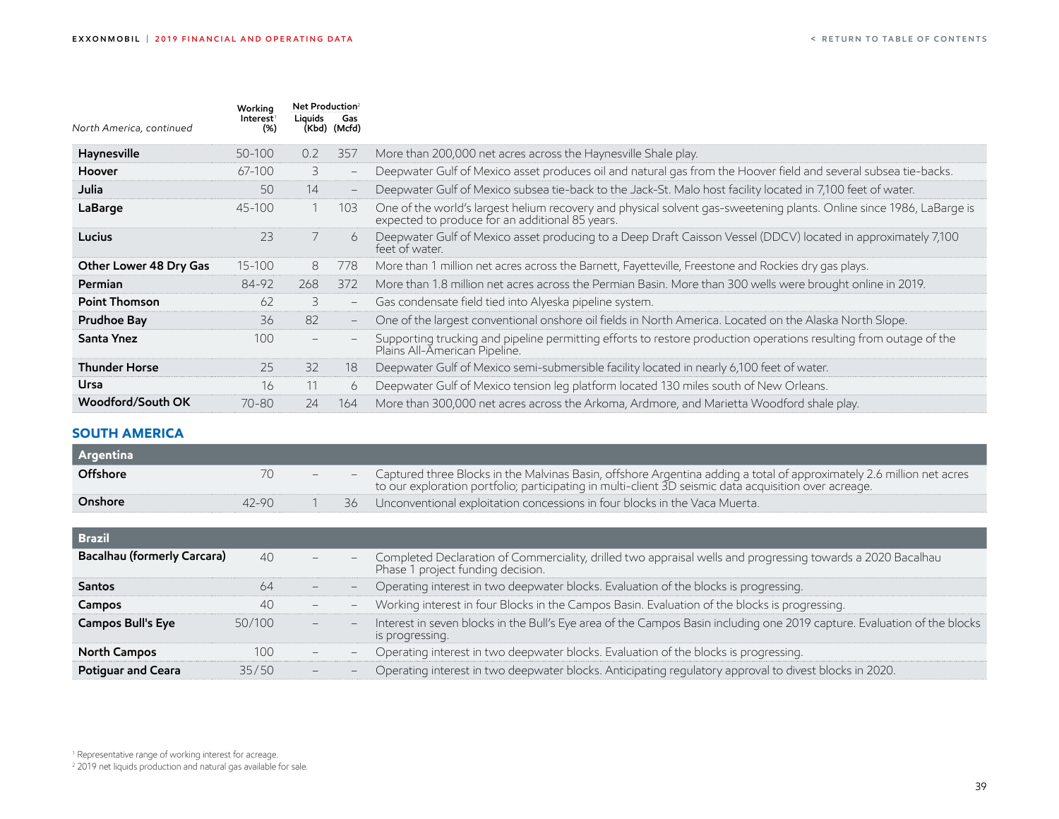<span id="page-39-0"></span>

| North America, continued | Working<br>Interest<br>(%) | Net Production <sup>2</sup><br>Liauids | Gas<br>(Kbd) (Mcfd)      |                                                                                                                                                                         |
|--------------------------|----------------------------|----------------------------------------|--------------------------|-------------------------------------------------------------------------------------------------------------------------------------------------------------------------|
| Haynesville              | 50-100                     | 0.2                                    | 357                      | More than 200,000 net acres across the Haynesville Shale play.                                                                                                          |
| Hoover                   | 67-100                     | 3                                      |                          | Deepwater Gulf of Mexico asset produces oil and natural gas from the Hoover field and several subsea tie-backs.                                                         |
| Julia                    | 50                         | 14                                     |                          | Deepwater Gulf of Mexico subsea tie-back to the Jack-St. Malo host facility located in 7,100 feet of water.                                                             |
| LaBarge                  | $45 - 100$                 |                                        | 103                      | One of the world's largest helium recovery and physical solvent gas-sweetening plants. Online since 1986, LaBarge is<br>expected to produce for an additional 85 years. |
| Lucius                   | 23                         |                                        | 6                        | Deepwater Gulf of Mexico asset producing to a Deep Draft Caisson Vessel (DDCV) located in approximately 7,100<br>feet of water.                                         |
| Other Lower 48 Dry Gas   | 15-100                     | 8                                      | 778                      | More than 1 million net acres across the Barnett, Fayetteville, Freestone and Rockies dry gas plays.                                                                    |
| Permian                  | 84-92                      | 268                                    | 372                      | More than 1.8 million net acres across the Permian Basin. More than 300 wells were brought online in 2019.                                                              |
| <b>Point Thomson</b>     | 62                         | 3                                      | $\overline{\phantom{0}}$ | Gas condensate field tied into Alyeska pipeline system.                                                                                                                 |
| <b>Prudhoe Bay</b>       | 36                         | 82                                     | $\qquad \qquad -$        | One of the largest conventional onshore oil fields in North America. Located on the Alaska North Slope.                                                                 |
| Santa Ynez               | 100                        |                                        |                          | Supporting trucking and pipeline permitting efforts to restore production operations resulting from outage of the<br>Plains All-American Pipeline.                      |
| <b>Thunder Horse</b>     | 25                         | 32                                     | 18                       | Deepwater Gulf of Mexico semi-submersible facility located in nearly 6,100 feet of water.                                                                               |
| Ursa                     | 16                         | 11                                     | 6                        | Deepwater Gulf of Mexico tension leg platform located 130 miles south of New Orleans.                                                                                   |
| Woodford/South OK        | 70-80                      | 24                                     | 164                      | More than 300,000 net acres across the Arkoma, Ardmore, and Marietta Woodford shale play.                                                                               |

#### **SOUTH AMERICA**

| Argentina |           |      |                                                                                                                                                                                                                                  |
|-----------|-----------|------|----------------------------------------------------------------------------------------------------------------------------------------------------------------------------------------------------------------------------------|
| Offshore  |           |      | - Captured three Blocks in the Malvinas Basin, offshore Argentina adding a total of approximately 2.6 million net acres<br>to our exploration portfolio; participating in multi-client 3D seismic data acquisition over acreage. |
| Onshore   | $42 - 90$ | 36 - | Unconventional exploitation concessions in four blocks in the Vaca Muerta.                                                                                                                                                       |

| <b>Brazil</b>                      |        |                          |                   |                                                                                                                                                  |
|------------------------------------|--------|--------------------------|-------------------|--------------------------------------------------------------------------------------------------------------------------------------------------|
| <b>Bacalhau (formerly Carcara)</b> | 40     | $\qquad \qquad -$        |                   | Completed Declaration of Commerciality, drilled two appraisal wells and progressing towards a 2020 Bacalhau<br>Phase 1 project funding decision. |
| <b>Santos</b>                      | 64     |                          |                   | Operating interest in two deepwater blocks. Evaluation of the blocks is progressing.                                                             |
| Campos                             | 40     | $\overline{\phantom{a}}$ | $\qquad \qquad -$ | Working interest in four Blocks in the Campos Basin. Evaluation of the blocks is progressing.                                                    |
| <b>Campos Bull's Eye</b>           | 50/100 | $-$                      |                   | Interest in seven blocks in the Bull's Eye area of the Campos Basin including one 2019 capture. Evaluation of the blocks<br>is progressing.      |
| North Campos                       | 100    | $\overline{\phantom{a}}$ |                   | Operating interest in two deepwater blocks. Evaluation of the blocks is progressing.                                                             |
| <b>Potiguar and Ceara</b>          | 35/50  | $\overline{\phantom{0}}$ |                   | Operating interest in two deepwater blocks. Anticipating regulatory approval to divest blocks in 2020.                                           |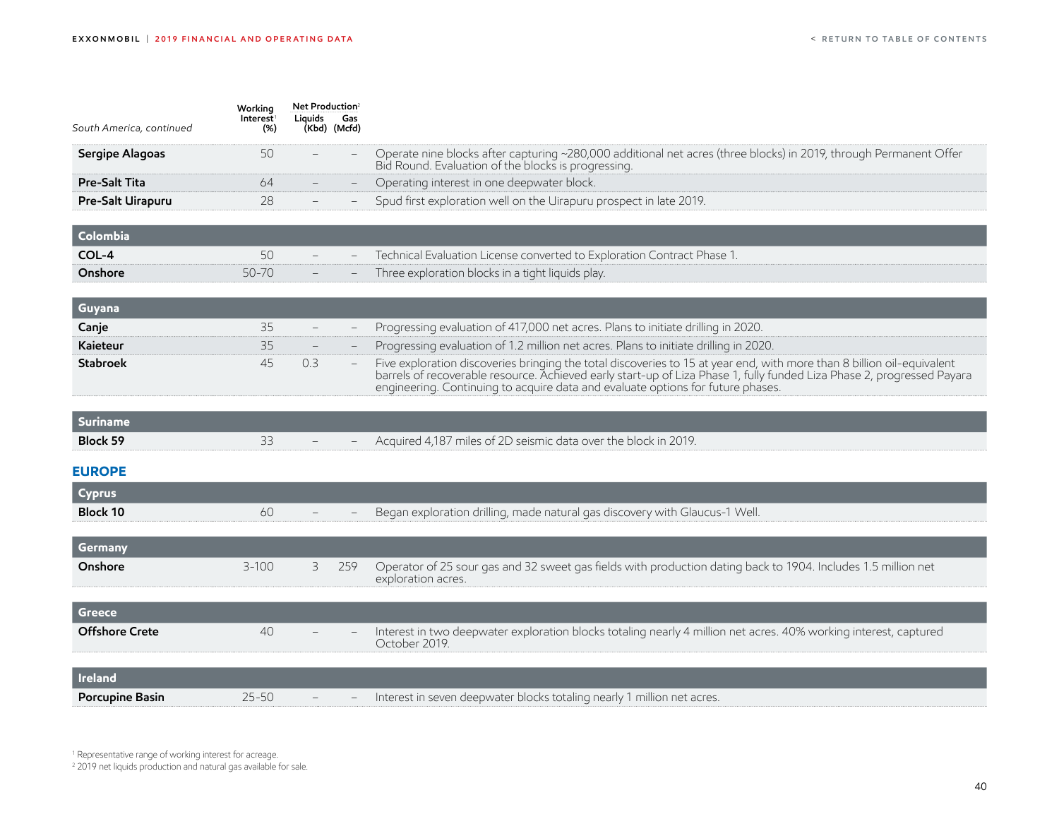<span id="page-40-0"></span>

| South America, continued | Working<br>Interest <sup>1</sup><br>(%) | Net Production <sup>2</sup><br>Liquids | Gas<br>(Kbd) (Mcfd) |                                                                                                                                                                                                                                                                                                                                     |
|--------------------------|-----------------------------------------|----------------------------------------|---------------------|-------------------------------------------------------------------------------------------------------------------------------------------------------------------------------------------------------------------------------------------------------------------------------------------------------------------------------------|
| Sergipe Alagoas          | 50                                      |                                        |                     | Operate nine blocks after capturing ~280,000 additional net acres (three blocks) in 2019, through Permanent Offer<br>Bid Round. Evaluation of the blocks is progressing.                                                                                                                                                            |
| <b>Pre-Salt Tita</b>     | 64                                      |                                        |                     | Operating interest in one deepwater block.                                                                                                                                                                                                                                                                                          |
| Pre-Salt Uirapuru        | 28                                      |                                        |                     | Spud first exploration well on the Uirapuru prospect in late 2019.                                                                                                                                                                                                                                                                  |
| Colombia                 |                                         |                                        |                     |                                                                                                                                                                                                                                                                                                                                     |
| COL-4                    | 50                                      |                                        |                     | Technical Evaluation License converted to Exploration Contract Phase 1.                                                                                                                                                                                                                                                             |
| Onshore                  | 50-70                                   |                                        |                     | Three exploration blocks in a tight liquids play.                                                                                                                                                                                                                                                                                   |
| Guyana                   |                                         |                                        |                     |                                                                                                                                                                                                                                                                                                                                     |
| Canje                    | 35                                      |                                        |                     | Progressing evaluation of 417,000 net acres. Plans to initiate drilling in 2020.                                                                                                                                                                                                                                                    |
| Kaieteur                 | 35                                      |                                        |                     | Progressing evaluation of 1.2 million net acres. Plans to initiate drilling in 2020.                                                                                                                                                                                                                                                |
| <b>Stabroek</b>          | 45                                      | 0.3                                    |                     | Five exploration discoveries bringing the total discoveries to 15 at year end, with more than 8 billion oil-equivalent<br>barrels of recoverable resource. Achieved early start-up of Liza Phase 1, fully funded Liza Phase 2, progressed Payara<br>engineering. Continuing to acquire data and evaluate options for future phases. |
| <b>Suriname</b>          |                                         |                                        |                     |                                                                                                                                                                                                                                                                                                                                     |
| Block 59                 | 33                                      |                                        |                     | Acquired 4,187 miles of 2D seismic data over the block in 2019.                                                                                                                                                                                                                                                                     |
| <b>EUROPE</b>            |                                         |                                        |                     |                                                                                                                                                                                                                                                                                                                                     |
| <b>Cyprus</b>            |                                         |                                        |                     |                                                                                                                                                                                                                                                                                                                                     |
| <b>Block 10</b>          | 60                                      |                                        |                     | Began exploration drilling, made natural gas discovery with Glaucus-1 Well.                                                                                                                                                                                                                                                         |
| Germany                  |                                         |                                        |                     |                                                                                                                                                                                                                                                                                                                                     |
| Onshore                  | $3 - 100$                               | 3                                      | 259                 | Operator of 25 sour gas and 32 sweet gas fields with production dating back to 1904. Includes 1.5 million net<br>exploration acres.                                                                                                                                                                                                 |
| <b>Greece</b>            |                                         |                                        |                     |                                                                                                                                                                                                                                                                                                                                     |
| <b>Offshore Crete</b>    | 40                                      |                                        |                     | Interest in two deepwater exploration blocks totaling nearly 4 million net acres. 40% working interest, captured<br>October 2019.                                                                                                                                                                                                   |
| <b>Ireland</b>           |                                         |                                        |                     |                                                                                                                                                                                                                                                                                                                                     |
| Porcupine Basin          | $25 - 50$                               |                                        |                     | Interest in seven deepwater blocks totaling nearly 1 million net acres.                                                                                                                                                                                                                                                             |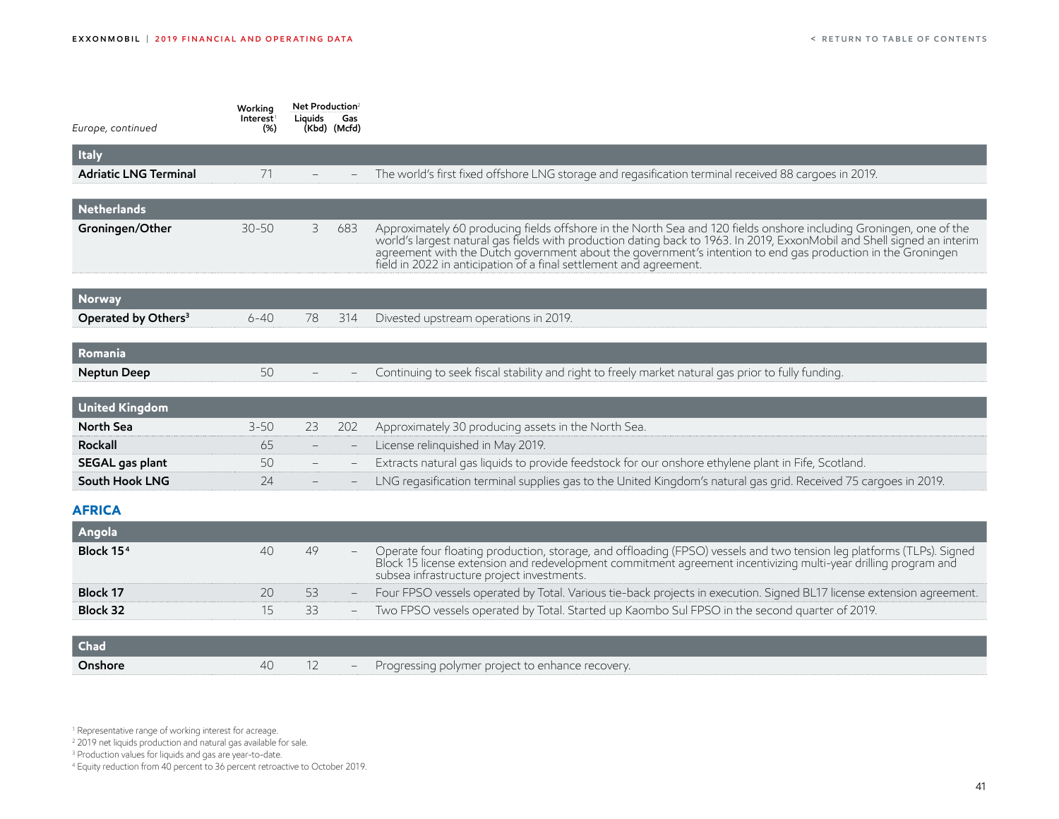<span id="page-41-0"></span>

| Europe, continued               | Working<br>Interest <sup>1</sup><br>$(\%)$ | Net Production <sup>2</sup><br>Liquids | Gas<br>(Kbd) (Mcfd) |                                                                                                                                                                                                                                                                                                                                                                                                                                    |
|---------------------------------|--------------------------------------------|----------------------------------------|---------------------|------------------------------------------------------------------------------------------------------------------------------------------------------------------------------------------------------------------------------------------------------------------------------------------------------------------------------------------------------------------------------------------------------------------------------------|
| <b>Italy</b>                    |                                            |                                        |                     |                                                                                                                                                                                                                                                                                                                                                                                                                                    |
| <b>Adriatic LNG Terminal</b>    | 71                                         |                                        |                     | The world's first fixed offshore LNG storage and regasification terminal received 88 cargoes in 2019.                                                                                                                                                                                                                                                                                                                              |
| <b>Netherlands</b>              |                                            |                                        |                     |                                                                                                                                                                                                                                                                                                                                                                                                                                    |
| Groningen/Other                 | $30 - 50$                                  | 3                                      | 683                 | Approximately 60 producing fields offshore in the North Sea and 120 fields onshore including Groningen, one of the<br>world's largest natural gas fields with production dating back to 1963. In 2019, ExxonMobil and Shell signed an interim<br>agreement with the Dutch government about the government's intention to end gas production in the Groningen<br>field in 2022 in anticipation of a final settlement and agreement. |
| <b>Norway</b>                   |                                            |                                        |                     |                                                                                                                                                                                                                                                                                                                                                                                                                                    |
| Operated by Others <sup>3</sup> | $6 - 40$                                   | 78                                     | 314                 | Divested upstream operations in 2019.                                                                                                                                                                                                                                                                                                                                                                                              |
| Romania                         |                                            |                                        |                     |                                                                                                                                                                                                                                                                                                                                                                                                                                    |
| Neptun Deep                     | 50                                         |                                        |                     | Continuing to seek fiscal stability and right to freely market natural gas prior to fully funding.                                                                                                                                                                                                                                                                                                                                 |
| <b>United Kingdom</b>           |                                            |                                        |                     |                                                                                                                                                                                                                                                                                                                                                                                                                                    |
| North Sea                       | $3 - 50$                                   | 23                                     | 202                 | Approximately 30 producing assets in the North Sea.                                                                                                                                                                                                                                                                                                                                                                                |
| Rockall                         | 65                                         |                                        |                     | License relinquished in May 2019.                                                                                                                                                                                                                                                                                                                                                                                                  |
| SEGAL gas plant                 | 50                                         |                                        |                     | Extracts natural gas liquids to provide feedstock for our onshore ethylene plant in Fife, Scotland.                                                                                                                                                                                                                                                                                                                                |
| South Hook LNG                  | 24                                         |                                        |                     | LNG regasification terminal supplies gas to the United Kingdom's natural gas grid. Received 75 cargoes in 2019.                                                                                                                                                                                                                                                                                                                    |
| <b>AFRICA</b>                   |                                            |                                        |                     |                                                                                                                                                                                                                                                                                                                                                                                                                                    |
| Angola                          |                                            |                                        |                     |                                                                                                                                                                                                                                                                                                                                                                                                                                    |
| Block 15 <sup>4</sup>           | 40                                         | 49                                     |                     | Operate four floating production, storage, and offloading (FPSO) vessels and two tension leg platforms (TLPs). Signed<br>Block 15 license extension and redevelopment commitment agreement incentivizing multi-year drilling program and<br>subsea infrastructure project investments.                                                                                                                                             |
| <b>Block 17</b>                 | 20                                         | 53                                     |                     | Four FPSO vessels operated by Total. Various tie-back projects in execution. Signed BL17 license extension agreement.                                                                                                                                                                                                                                                                                                              |
| <b>Block 32</b>                 | 15                                         | 33                                     |                     | Two FPSO vessels operated by Total. Started up Kaombo Sul FPSO in the second quarter of 2019.                                                                                                                                                                                                                                                                                                                                      |
| <b>Chad</b>                     |                                            |                                        |                     |                                                                                                                                                                                                                                                                                                                                                                                                                                    |

**Onshore** 40 12 – Progressing polymer project to enhance recovery.

1 Representative range of working interest for acreage.

2 2019 net liquids production and natural gas available for sale.

3 Production values for liquids and gas are year-to-date.

4 Equity reduction from 40 percent to 36 percent retroactive to October 2019.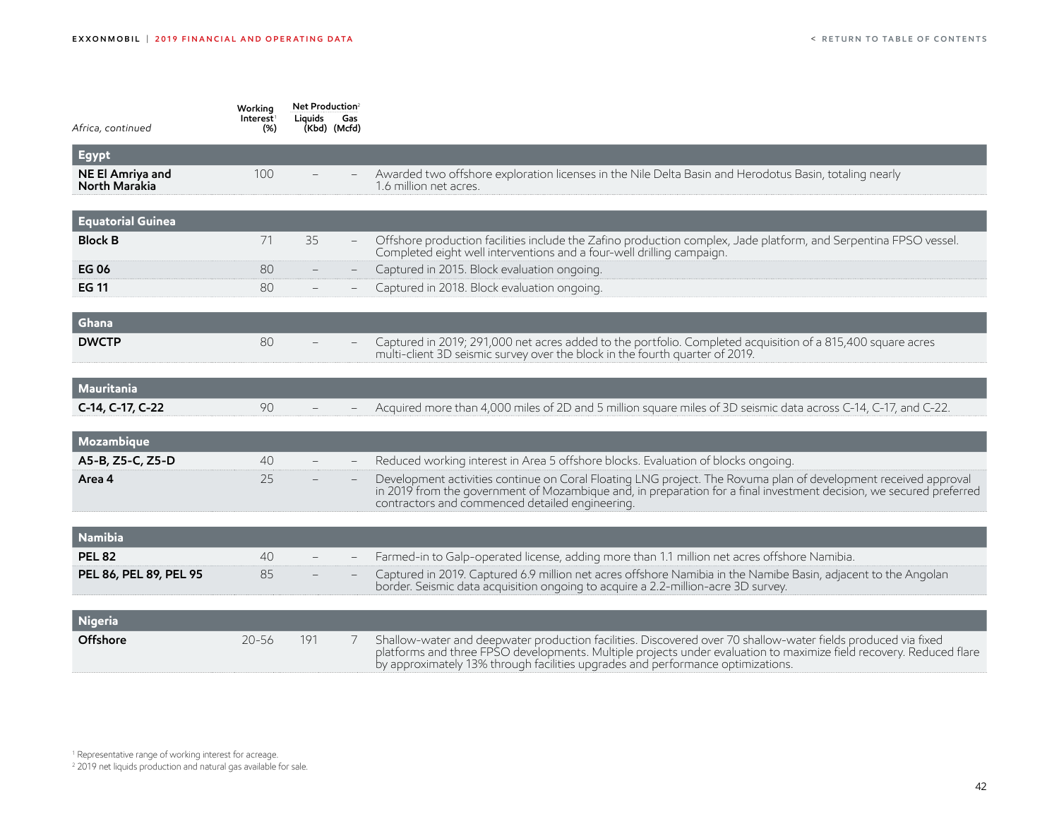| Africa, continued                 | Working<br>Interest <sup>1</sup><br>$(\%)$ | Net Production <sup>2</sup><br>Liguids<br>(Kbd) (Mcfd) | Gas |                                                                                                                                                                                                                                                                                                                         |
|-----------------------------------|--------------------------------------------|--------------------------------------------------------|-----|-------------------------------------------------------------------------------------------------------------------------------------------------------------------------------------------------------------------------------------------------------------------------------------------------------------------------|
| <b>Egypt</b>                      |                                            |                                                        |     |                                                                                                                                                                                                                                                                                                                         |
| NE El Amriya and<br>North Marakia | 100                                        |                                                        |     | Awarded two offshore exploration licenses in the Nile Delta Basin and Herodotus Basin, totaling nearly<br>1.6 million net acres.                                                                                                                                                                                        |
| <b>Equatorial Guinea</b>          |                                            |                                                        |     |                                                                                                                                                                                                                                                                                                                         |
| <b>Block B</b>                    | 71                                         | 35                                                     |     | Offshore production facilities include the Zafino production complex, Jade platform, and Serpentina FPSO vessel.<br>Completed eight well interventions and a four-well drilling campaign.                                                                                                                               |
| <b>EG06</b><br><b>EG 11</b>       | 80<br>80                                   |                                                        |     | Captured in 2015. Block evaluation ongoing.<br>Captured in 2018. Block evaluation ongoing.                                                                                                                                                                                                                              |
| Ghana                             |                                            |                                                        |     |                                                                                                                                                                                                                                                                                                                         |
| <b>DWCTP</b>                      | 80                                         |                                                        |     | Captured in 2019; 291,000 net acres added to the portfolio. Completed acquisition of a 815,400 square acres<br>multi-client 3D seismic survey over the block in the fourth quarter of 2019.                                                                                                                             |
| Mauritania                        |                                            |                                                        |     |                                                                                                                                                                                                                                                                                                                         |
| C-14, C-17, C-22                  | 90                                         |                                                        |     | Acquired more than 4,000 miles of 2D and 5 million square miles of 3D seismic data across C-14, C-17, and C-22.                                                                                                                                                                                                         |
| Mozambique                        |                                            |                                                        |     |                                                                                                                                                                                                                                                                                                                         |
| A5-B, Z5-C, Z5-D                  | 40                                         |                                                        |     | Reduced working interest in Area 5 offshore blocks. Evaluation of blocks ongoing.                                                                                                                                                                                                                                       |
| Area 4                            | 25                                         |                                                        |     | Development activities continue on Coral Floating LNG project. The Rovuma plan of development received approval<br>in 2019 from the government of Mozambique and, in preparation for a final investment decision, we secured preferred<br>contractors and commenced detailed engineering.                               |
| <b>Namibia</b>                    |                                            |                                                        |     |                                                                                                                                                                                                                                                                                                                         |
| <b>PEL 82</b>                     | 40                                         |                                                        |     | Farmed-in to Galp-operated license, adding more than 1.1 million net acres offshore Namibia.                                                                                                                                                                                                                            |
| PEL 86, PEL 89, PEL 95            | 85                                         |                                                        |     | Captured in 2019. Captured 6.9 million net acres offshore Namibia in the Namibe Basin, adjacent to the Angolan<br>border. Seismic data acquisition ongoing to acquire a 2.2-million-acre 3D survey.                                                                                                                     |
| <b>Nigeria</b>                    |                                            |                                                        |     |                                                                                                                                                                                                                                                                                                                         |
| Offshore                          | $20 - 56$                                  | 191                                                    | 7   | Shallow-water and deepwater production facilities. Discovered over 70 shallow-water fields produced via fixed<br>platforms and three FPSO developments. Multiple projects under evaluation to maximize field recovery. Reduced flare<br>by approximately 13% through facilities upgrades and performance optimizations. |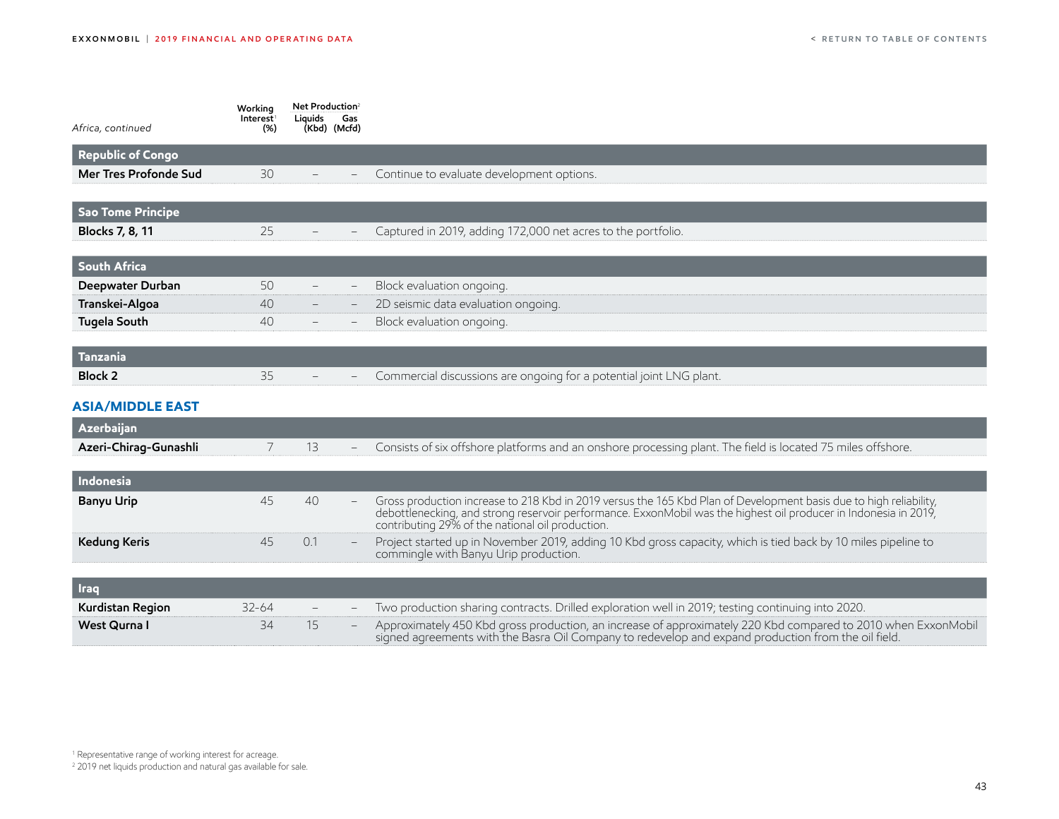<span id="page-43-0"></span>

| Africa, continued        | Working<br>Interest <sup>1</sup><br>$(\%)$ | Net Production <sup>2</sup><br>Liquids<br>Gas<br>(Kbd) (Mcfd) |                                                                                                                                                                                                                                                                                            |
|--------------------------|--------------------------------------------|---------------------------------------------------------------|--------------------------------------------------------------------------------------------------------------------------------------------------------------------------------------------------------------------------------------------------------------------------------------------|
| <b>Republic of Congo</b> |                                            |                                                               |                                                                                                                                                                                                                                                                                            |
| Mer Tres Profonde Sud    | 30                                         |                                                               | Continue to evaluate development options.                                                                                                                                                                                                                                                  |
| <b>Sao Tome Principe</b> |                                            |                                                               |                                                                                                                                                                                                                                                                                            |
| Blocks 7, 8, 11          | 25                                         |                                                               | Captured in 2019, adding 172,000 net acres to the portfolio.                                                                                                                                                                                                                               |
| <b>South Africa</b>      |                                            |                                                               |                                                                                                                                                                                                                                                                                            |
| Deepwater Durban         | 50                                         |                                                               | Block evaluation ongoing.                                                                                                                                                                                                                                                                  |
| Transkei-Algoa           | 40                                         |                                                               | 2D seismic data evaluation ongoing.                                                                                                                                                                                                                                                        |
| <b>Tugela South</b>      | 40                                         |                                                               | Block evaluation ongoing.                                                                                                                                                                                                                                                                  |
| Tanzania                 |                                            |                                                               |                                                                                                                                                                                                                                                                                            |
| <b>Block 2</b>           | 35                                         |                                                               | Commercial discussions are ongoing for a potential joint LNG plant.                                                                                                                                                                                                                        |
| <b>ASIA/MIDDLE EAST</b>  |                                            |                                                               |                                                                                                                                                                                                                                                                                            |
| Azerbaijan               |                                            |                                                               |                                                                                                                                                                                                                                                                                            |
| Azeri-Chirag-Gunashli    | 7                                          | 13                                                            | Consists of six offshore platforms and an onshore processing plant. The field is located 75 miles offshore.                                                                                                                                                                                |
| Indonesia                |                                            |                                                               |                                                                                                                                                                                                                                                                                            |
| <b>Banyu Urip</b>        | 45                                         | 40                                                            | Gross production increase to 218 Kbd in 2019 versus the 165 Kbd Plan of Development basis due to high reliability,<br>debottlenecking, and strong reservoir performance. ExxonMobil was the highest oil producer in Indonesia in 2019,<br>contributing 29% of the national oil production. |
| <b>Kedung Keris</b>      | 45                                         | 0.1                                                           | Project started up in November 2019, adding 10 Kbd gross capacity, which is tied back by 10 miles pipeline to<br>commingle with Banyu Urip production.                                                                                                                                     |
| <b>Iraq</b>              |                                            |                                                               |                                                                                                                                                                                                                                                                                            |
| Kurdistan Region         | $32 - 64$                                  |                                                               | Two production sharing contracts. Drilled exploration well in 2019; testing continuing into 2020.                                                                                                                                                                                          |
| West Qurna I             | 34                                         | 15                                                            | Approximately 450 Kbd gross production, an increase of approximately 220 Kbd compared to 2010 when ExxonMobil<br>signed agreements with the Basra Oil Company to redevelop and expand production from the oil field.                                                                       |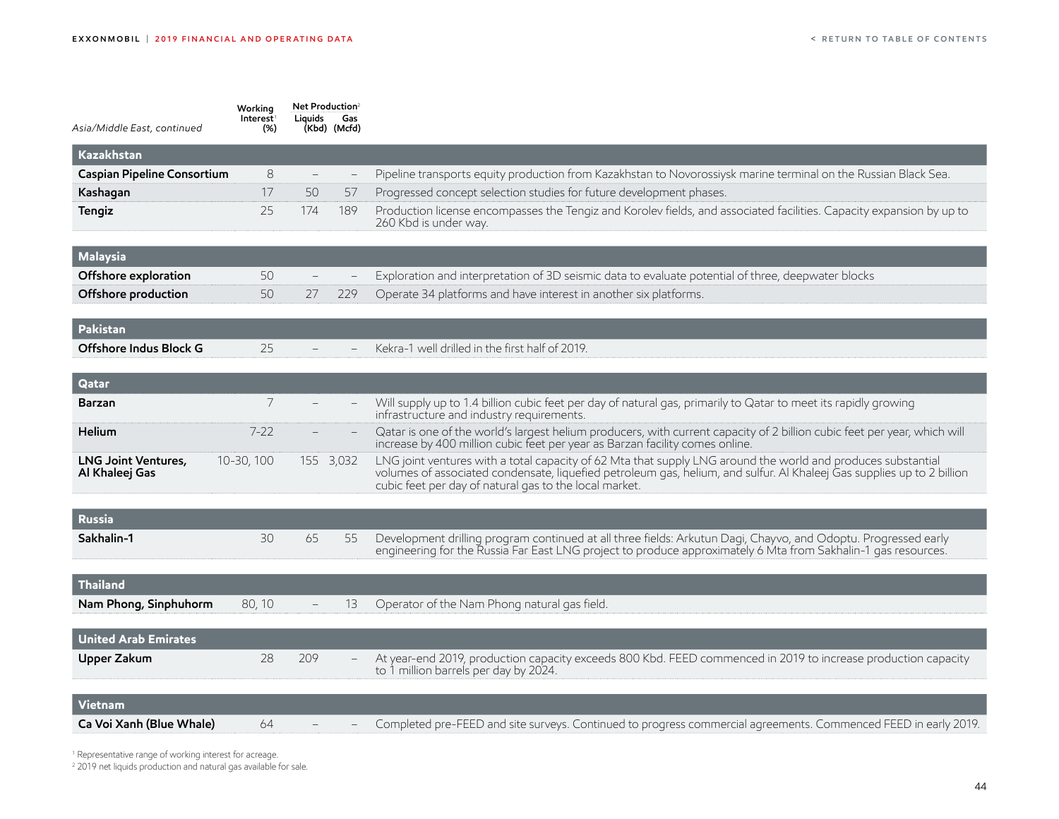| Asia/Middle East, continued                  | Working<br>Interest <sup>1</sup><br>$(\%)$ | Net Production <sup>2</sup><br>Liguids | Gas<br>(Kbd) (Mcfd)             |                                                                                                                                                                                                                                                                                                  |
|----------------------------------------------|--------------------------------------------|----------------------------------------|---------------------------------|--------------------------------------------------------------------------------------------------------------------------------------------------------------------------------------------------------------------------------------------------------------------------------------------------|
| Kazakhstan                                   |                                            |                                        |                                 |                                                                                                                                                                                                                                                                                                  |
| Caspian Pipeline Consortium                  | 8                                          | $\qquad \qquad -$                      | $\hspace{0.1mm}-\hspace{0.1mm}$ | Pipeline transports equity production from Kazakhstan to Novorossiysk marine terminal on the Russian Black Sea.                                                                                                                                                                                  |
| Kashagan                                     | 17                                         | 50                                     | 57                              | Progressed concept selection studies for future development phases.                                                                                                                                                                                                                              |
| Tengiz                                       | 25                                         | 174                                    | 189                             | Production license encompasses the Tengiz and Korolev fields, and associated facilities. Capacity expansion by up to<br>260 Kbd is under way.                                                                                                                                                    |
| <b>Malaysia</b>                              |                                            |                                        |                                 |                                                                                                                                                                                                                                                                                                  |
| Offshore exploration                         | 50                                         |                                        | $\overline{\phantom{a}}$        | Exploration and interpretation of 3D seismic data to evaluate potential of three, deepwater blocks                                                                                                                                                                                               |
| Offshore production                          | 50                                         | 27                                     | 229                             | Operate 34 platforms and have interest in another six platforms.                                                                                                                                                                                                                                 |
| Pakistan                                     |                                            |                                        |                                 |                                                                                                                                                                                                                                                                                                  |
| Offshore Indus Block G                       | 25                                         |                                        |                                 | Kekra-1 well drilled in the first half of 2019.                                                                                                                                                                                                                                                  |
| Qatar                                        |                                            |                                        |                                 |                                                                                                                                                                                                                                                                                                  |
| Barzan                                       | 7                                          |                                        |                                 | Will supply up to 1.4 billion cubic feet per day of natural gas, primarily to Qatar to meet its rapidly growing<br>infrastructure and industry requirements.                                                                                                                                     |
| Helium                                       | $7 - 22$                                   |                                        |                                 | Qatar is one of the world's largest helium producers, with current capacity of 2 billion cubic feet per year, which will<br>increase by 400 million cubic feet per year as Barzan facility comes online.                                                                                         |
| <b>LNG Joint Ventures,</b><br>Al Khaleej Gas | 10-30, 100                                 | 155 3,032                              |                                 | LNG joint ventures with a total capacity of 62 Mta that supply LNG around the world and produces substantial<br>volumes of associated condensate, liquefied petroleum gas, helium, and sulfur. Al Khaleej Gas supplies up to 2 billion<br>cubic feet per day of natural gas to the local market. |
| <b>Russia</b>                                |                                            |                                        |                                 |                                                                                                                                                                                                                                                                                                  |
| Sakhalin-1                                   | 30                                         | 65                                     | 55                              | Development drilling program continued at all three fields: Arkutun Dagi, Chayvo, and Odoptu. Progressed early<br>engineering for the Russia Far East LNG project to produce approximately 6 Mta from Sakhalin-1 gas resources.                                                                  |
| <b>Thailand</b>                              |                                            |                                        |                                 |                                                                                                                                                                                                                                                                                                  |
| Nam Phong, Sinphuhorm                        | 80, 10                                     |                                        | 13                              | Operator of the Nam Phong natural gas field.                                                                                                                                                                                                                                                     |
| <b>United Arab Emirates</b>                  |                                            |                                        |                                 |                                                                                                                                                                                                                                                                                                  |
| Upper Zakum                                  | 28                                         | 209                                    |                                 | At year-end 2019, production capacity exceeds 800 Kbd. FEED commenced in 2019 to increase production capacity<br>to 1 million barrels per day by 2024.                                                                                                                                           |
| Vietnam                                      |                                            |                                        |                                 |                                                                                                                                                                                                                                                                                                  |
| Ca Voi Xanh (Blue Whale)                     | 64                                         |                                        |                                 | Completed pre-FEED and site surveys. Continued to progress commercial agreements. Commenced FEED in early 2019.                                                                                                                                                                                  |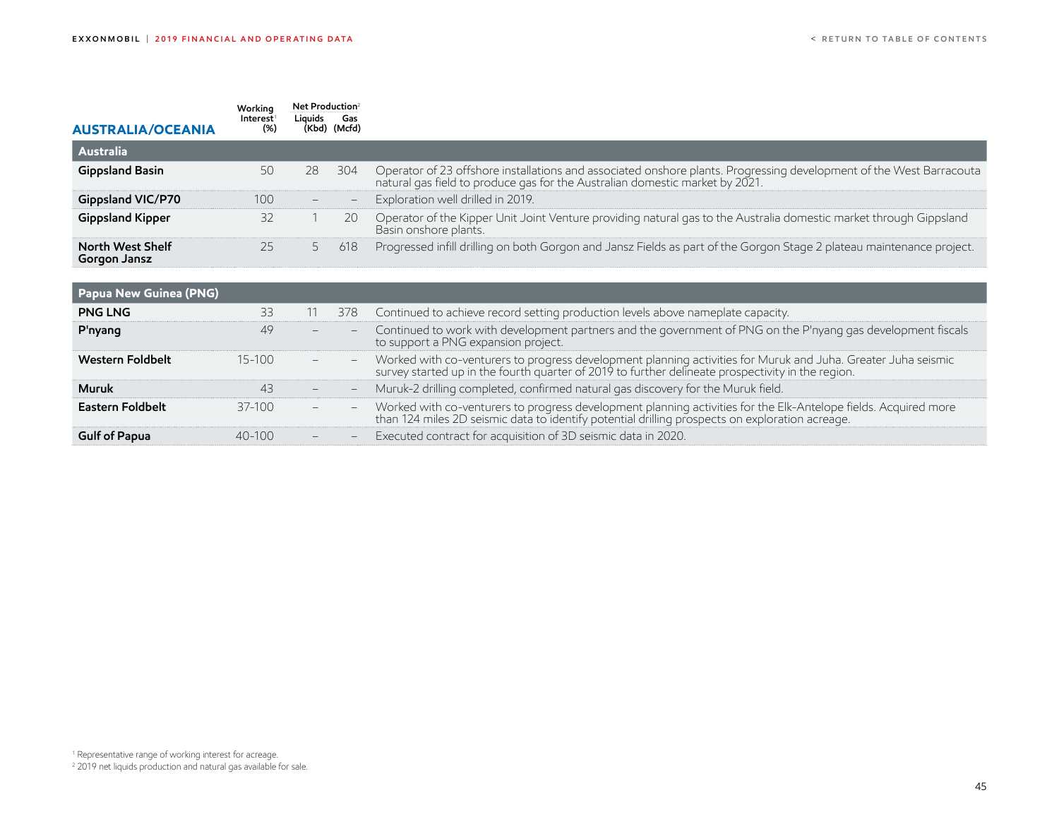<span id="page-45-0"></span>

| <b>AUSTRALIA/OCEANIA</b>                | Working<br>Interest<br>(%) | Net Production <sup>2</sup><br>Liquids Gas | (Kbd) (Mcfd) |                                                                                                                                                                                                     |
|-----------------------------------------|----------------------------|--------------------------------------------|--------------|-----------------------------------------------------------------------------------------------------------------------------------------------------------------------------------------------------|
| <b>Australia</b>                        |                            |                                            |              |                                                                                                                                                                                                     |
| <b>Gippsland Basin</b>                  | 50                         | 28                                         | 304          | Operator of 23 offshore installations and associated onshore plants. Progressing development of the West Barracouta<br>natural gas field to produce gas for the Australian domestic market by 2021. |
| <b>Gippsland VIC/P70</b>                | 100                        | $\qquad \qquad -$                          | н.           | Exploration well drilled in 2019.                                                                                                                                                                   |
| <b>Gippsland Kipper</b>                 | 32                         |                                            | 20           | Operator of the Kipper Unit Joint Venture providing natural gas to the Australia domestic market through Gippsland<br>Basin onshore plants.                                                         |
| <b>North West Shelf</b><br>Gorgon Jansz | 25                         | 5                                          | 618          | Progressed infill drilling on both Gorgon and Jansz Fields as part of the Gorgon Stage 2 plateau maintenance project.                                                                               |

| Papua New Guinea (PNG) |            |                          |     |                                                                                                                                                                                                                    |
|------------------------|------------|--------------------------|-----|--------------------------------------------------------------------------------------------------------------------------------------------------------------------------------------------------------------------|
| <b>PNG LNG</b>         | 33         |                          | 378 | Continued to achieve record setting production levels above nameplate capacity.                                                                                                                                    |
| P'nyang                | 49         | -                        |     | Continued to work with development partners and the government of PNG on the P'nyang gas development fiscals<br>to support a PNG expansion project.                                                                |
| Western Foldbelt       | $15 - 100$ | $\overline{\phantom{0}}$ |     | Worked with co-venturers to progress development planning activities for Muruk and Juha. Greater Juha seismic<br>survey started up in the fourth quarter of 2019 to further delineate prospectivity in the region. |
| <b>Muruk</b>           | 43         |                          |     | Muruk-2 drilling completed, confirmed natural gas discovery for the Muruk field.                                                                                                                                   |
| Eastern Foldbelt       | $37-100$   | $\overline{\phantom{0}}$ |     | Worked with co-venturers to progress development planning activities for the Elk-Antelope fields. Acquired more<br>than 124 miles 2D seismic data to identify potential drilling prospects on exploration acreage. |
| <b>Gulf of Papua</b>   | $40 - 100$ |                          |     | Executed contract for acquisition of 3D seismic data in 2020.                                                                                                                                                      |

<sup>1</sup> Representative range of working interest for acreage. 2 2019 net liquids production and natural gas available for sale.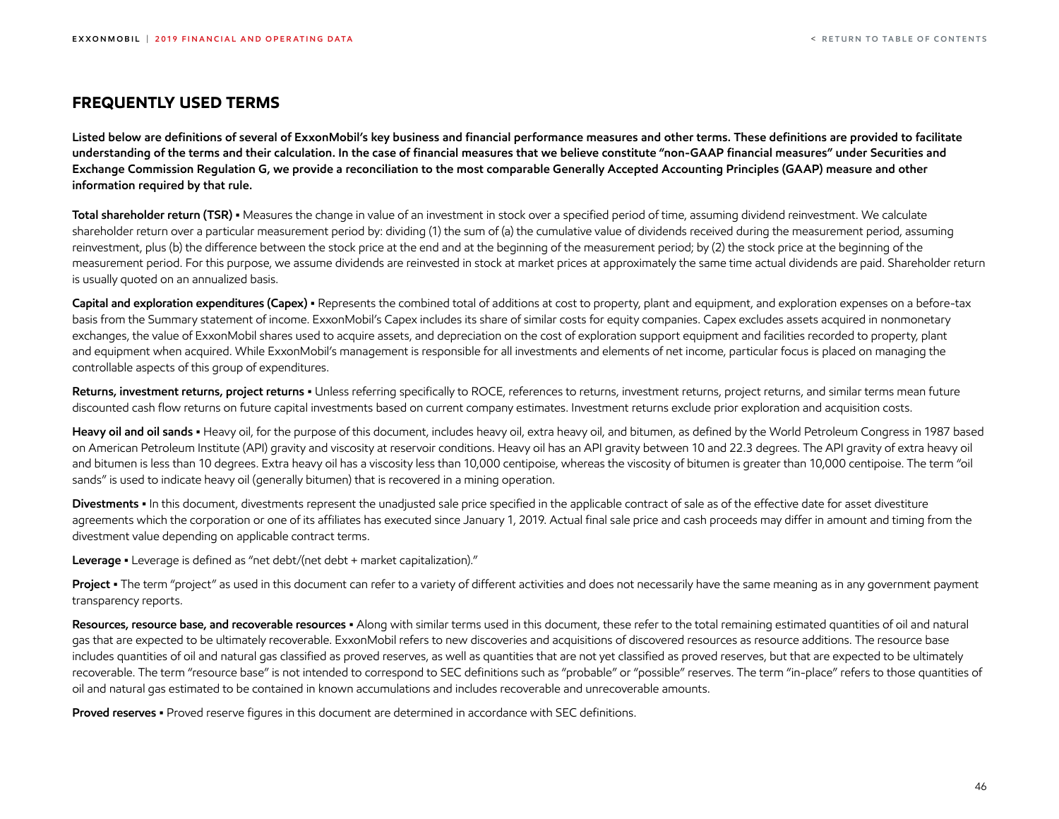#### <span id="page-46-0"></span>**FREQUENTLY USED TERMS**

**Listed below are definitions of several of ExxonMobil's key business and financial performance measures and other terms. These definitions are provided to facilitate understanding of the terms and their calculation. In the case of financial measures that we believe constitute "non-GAAP financial measures" under Securities and Exchange Commission Regulation G, we provide a reconciliation to the most comparable Generally Accepted Accounting Principles (GAAP) measure and other information required by that rule.**

Total shareholder return (TSR) • Measures the change in value of an investment in stock over a specified period of time, assuming dividend reinvestment. We calculate shareholder return over a particular measurement period by: dividing (1) the sum of (a) the cumulative value of dividends received during the measurement period, assuming reinvestment, plus (b) the difference between the stock price at the end and at the beginning of the measurement period; by (2) the stock price at the beginning of the measurement period. For this purpose, we assume dividends are reinvested in stock at market prices at approximately the same time actual dividends are paid. Shareholder return is usually quoted on an annualized basis.

**Capital and exploration expenditures (Capex) •** Represents the combined total of additions at cost to property, plant and equipment, and exploration expenses on a before-tax basis from the Summary statement of income. ExxonMobil's Capex includes its share of similar costs for equity companies. Capex excludes assets acquired in nonmonetary exchanges, the value of ExxonMobil shares used to acquire assets, and depreciation on the cost of exploration support equipment and facilities recorded to property, plant and equipment when acquired. While ExxonMobil's management is responsible for all investments and elements of net income, particular focus is placed on managing the controllable aspects of this group of expenditures.

Returns, investment returns, project returns · Unless referring specifically to ROCE, references to returns, investment returns, project returns, and similar terms mean future discounted cash flow returns on future capital investments based on current company estimates. Investment returns exclude prior exploration and acquisition costs.

Heavy oil and oil sands • Heavy oil, for the purpose of this document, includes heavy oil, extra heavy oil, and bitumen, as defined by the World Petroleum Congress in 1987 based on American Petroleum Institute (API) gravity and viscosity at reservoir conditions. Heavy oil has an API gravity between 10 and 22.3 degrees. The API gravity of extra heavy oil and bitumen is less than 10 degrees. Extra heavy oil has a viscosity less than 10,000 centipoise, whereas the viscosity of bitumen is greater than 10,000 centipoise. The term "oil sands" is used to indicate heavy oil (generally bitumen) that is recovered in a mining operation.

**Divestments •** In this document, divestments represent the unadjusted sale price specified in the applicable contract of sale as of the effective date for asset divestiture agreements which the corporation or one of its affiliates has executed since January 1, 2019. Actual final sale price and cash proceeds may differ in amount and timing from the divestment value depending on applicable contract terms.

**Leverage •** Leverage is defined as "net debt/(net debt + market capitalization)."

**Project •** The term "project" as used in this document can refer to a variety of different activities and does not necessarily have the same meaning as in any government payment transparency reports.

**Resources, resource base, and recoverable resources •** Along with similar terms used in this document, these refer to the total remaining estimated quantities of oil and natural gas that are expected to be ultimately recoverable. ExxonMobil refers to new discoveries and acquisitions of discovered resources as resource additions. The resource base includes quantities of oil and natural gas classified as proved reserves, as well as quantities that are not yet classified as proved reserves, but that are expected to be ultimately recoverable. The term "resource base" is not intended to correspond to SEC definitions such as "probable" or "possible" reserves. The term "in-place" refers to those quantities of oil and natural gas estimated to be contained in known accumulations and includes recoverable and unrecoverable amounts.

**Proved reserves •** Proved reserve figures in this document are determined in accordance with SEC definitions.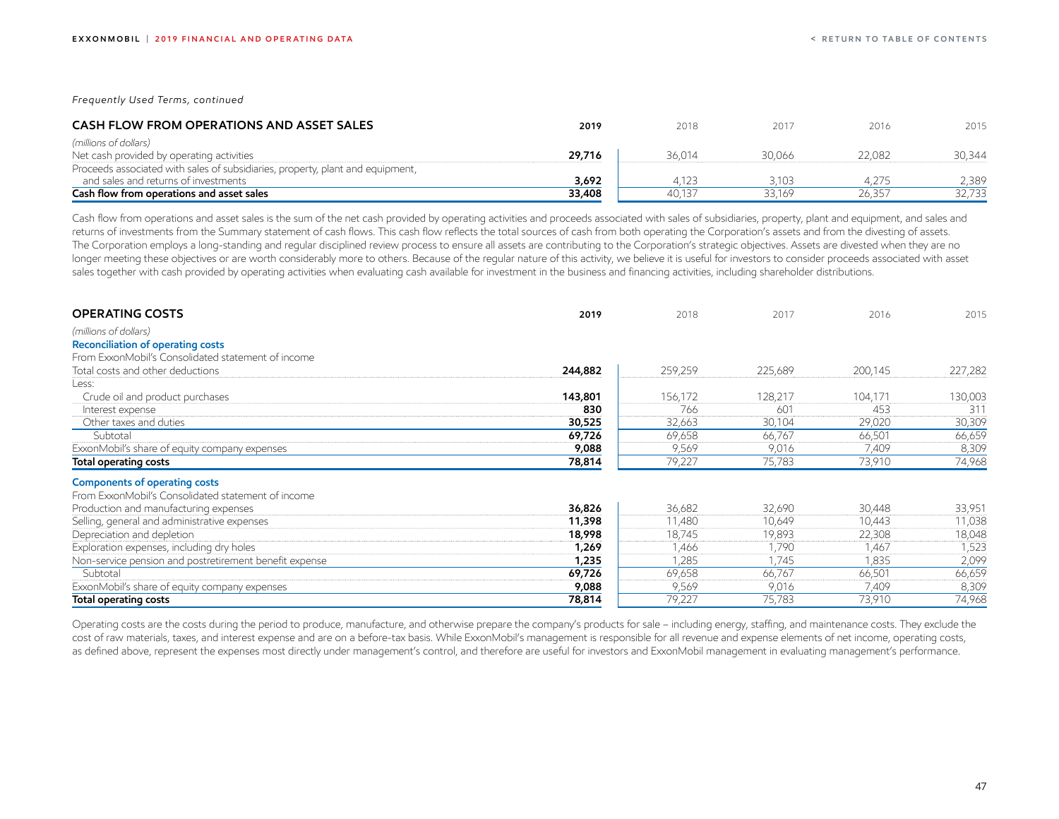*Frequently Used Terms, continued*

| <b>CASH FLOW FROM OPERATIONS AND ASSET SALES</b>                               | 2019   | 2018   | 2017   | 2016   | 2015   |
|--------------------------------------------------------------------------------|--------|--------|--------|--------|--------|
| (millions of dollars)                                                          |        |        |        |        |        |
| Net cash provided by operating activities                                      | 29,716 | 36.014 | 30.066 | 22,082 | 30.344 |
| Proceeds associated with sales of subsidiaries, property, plant and equipment, |        |        |        |        |        |
| and sales and returns of investments                                           | 3,692  | 4.123  | 3,103  | 4.275  | 2.389  |
| Cash flow from operations and asset sales                                      | 33,408 | 40.137 | 33.169 | 26.357 | 32,733 |

Cash flow from operations and asset sales is the sum of the net cash provided by operating activities and proceeds associated with sales of subsidiaries, property, plant and equipment, and sales and returns of investments from the Summary statement of cash flows. This cash flow reflects the total sources of cash from both operating the Corporation's assets and from the divesting of assets. The Corporation employs a long-standing and regular disciplined review process to ensure all assets are contributing to the Corporation's strategic objectives. Assets are divested when they are no longer meeting these objectives or are worth considerably more to others. Because of the regular nature of this activity, we believe it is useful for investors to consider proceeds associated with asset sales together with cash provided by operating activities when evaluating cash available for investment in the business and financing activities, including shareholder distributions.

| <b>OPERATING COSTS</b>                                 | 2019    | 2018    | 2017    | 2016    | 2015    |
|--------------------------------------------------------|---------|---------|---------|---------|---------|
| (millions of dollars)                                  |         |         |         |         |         |
| <b>Reconciliation of operating costs</b>               |         |         |         |         |         |
| From ExxonMobil's Consolidated statement of income     |         |         |         |         |         |
| Total costs and other deductions                       | 244,882 | 259,259 | 225,689 | 200,145 | 227,282 |
| Less:                                                  |         |         |         |         |         |
| Crude oil and product purchases                        | 143,801 | 156,172 | 128,217 | 104,171 | 130,003 |
| Interest expense                                       | 830     | 766     | 601     | 453     | 311     |
| Other taxes and duties                                 | 30,525  | 32,663  | 30,104  | 29,020  | 30,309  |
| Subtotal                                               | 69,726  | 69,658  | 66,767  | 66,501  | 66,659  |
| ExxonMobil's share of equity company expenses          | 9,088   | 9,569   | 9,016   | 7,409   | 8,309   |
| Total operating costs                                  | 78,814  | 79,227  | 75,783  | 73,910  | 74,968  |
| <b>Components of operating costs</b>                   |         |         |         |         |         |
| From ExxonMobil's Consolidated statement of income     |         |         |         |         |         |
| Production and manufacturing expenses                  | 36,826  | 36,682  | 32,690  | 30,448  | 33,951  |
| Selling, general and administrative expenses           | 11,398  | 11,480  | 10,649  | 10,443  | 11,038  |
| Depreciation and depletion                             | 18,998  | 18,745  | 19,893  | 22,308  | 18,048  |
| Exploration expenses, including dry holes              | 1,269   | 1,466   | 1,790   | 1,467   | 1,523   |
| Non-service pension and postretirement benefit expense | 1,235   | 1,285   | 1,745   | 1,835   | 2,099   |
| Subtotal                                               | 69,726  | 69,658  | 66,767  | 66,501  | 66,659  |
| ExxonMobil's share of equity company expenses          | 9,088   | 9,569   | 9,016   | 7,409   | 8,309   |
| Total operating costs                                  | 78,814  | 79,227  | 75,783  | 73,910  | 74,968  |

Operating costs are the costs during the period to produce, manufacture, and otherwise prepare the company's products for sale – including energy, staffing, and maintenance costs. They exclude the cost of raw materials, taxes, and interest expense and are on a before-tax basis. While ExxonMobil's management is responsible for all revenue and expense elements of net income, operating costs, as defined above, represent the expenses most directly under management's control, and therefore are useful for investors and ExxonMobil management in evaluating management's performance.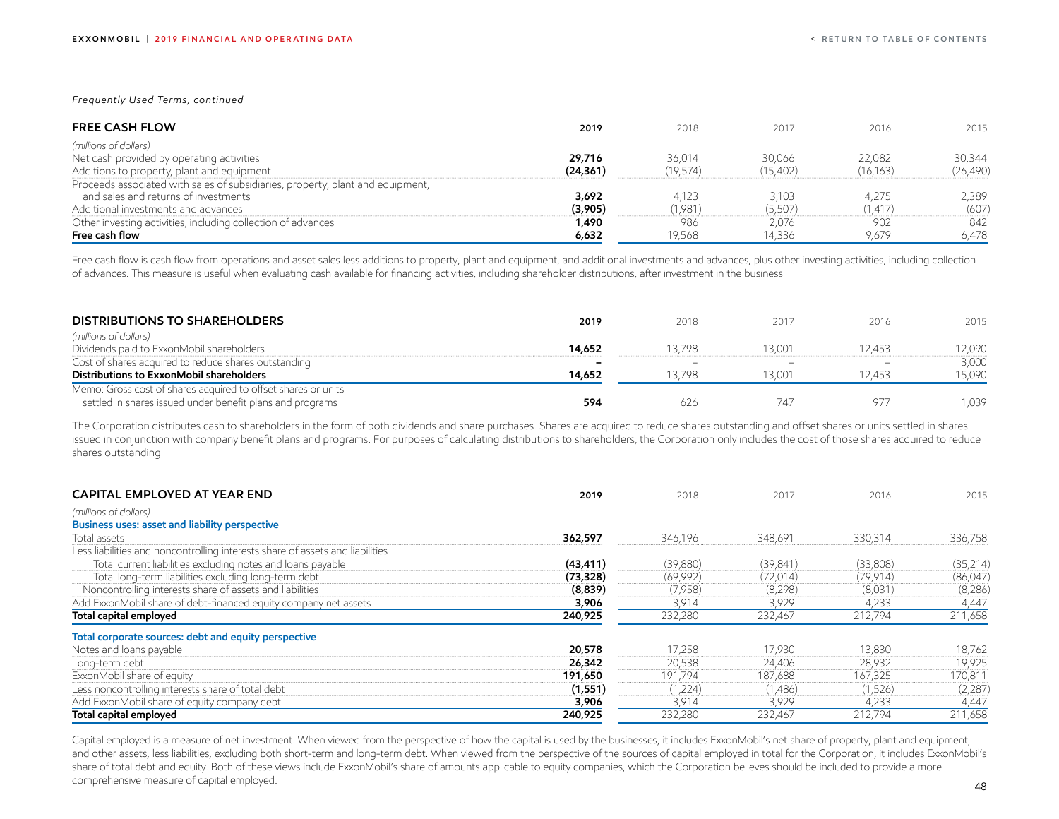*Frequently Used Terms, continued*

| <b>FREE CASH FLOW</b>                                                          | 2019      | 2018     | 2017     | 2016      | 2015      |
|--------------------------------------------------------------------------------|-----------|----------|----------|-----------|-----------|
| (millions of dollars)                                                          |           |          |          |           |           |
| Net cash provided by operating activities                                      | 29,716    | 36.014   | 30,066   | 22,082    | 30,344    |
| Additions to property, plant and equipment                                     | (24, 361) | (19,574) | (15,402) | (16, 163) | (26, 490) |
| Proceeds associated with sales of subsidiaries, property, plant and equipment, |           |          |          |           |           |
| and sales and returns of investments                                           | 3,692     | 4,123    | 3,103    | 4,275     | 2,389     |
| Additional investments and advances                                            | (3,905)   | (1,981)  | (5,507)  | 1.417)    | (607)     |
| Other investing activities, including collection of advances                   | 1,490     | 986      | 2,076    | 902       | 842       |
| Free cash flow                                                                 | 6,632     | 19.568   | 14,336   | 9,679     | 6,478     |

Free cash flow is cash flow from operations and asset sales less additions to property, plant and equipment, and additional investments and advances, plus other investing activities, including collection of advances. This measure is useful when evaluating cash available for financing activities, including shareholder distributions, after investment in the business.

| <b>DISTRIBUTIONS TO SHAREHOLDERS</b>                          | 2019   | 2018  | 2017   | 2016                     | 2015   |
|---------------------------------------------------------------|--------|-------|--------|--------------------------|--------|
| (millions of dollars)                                         |        |       |        |                          |        |
| Dividends paid to ExxonMobil shareholders                     | 14,652 | 3.798 | 13.001 | 2.453                    | 12.090 |
| Cost of shares acquired to reduce shares outstanding          |        |       |        | $\overline{\phantom{0}}$ | 3,000  |
| Distributions to ExxonMobil shareholders                      | 14,652 | 3.798 | 13.001 | 2.453                    | 15.090 |
| Memo: Gross cost of shares acquired to offset shares or units |        |       |        |                          |        |
| settled in shares issued under benefit plans and programs     | 594    | 626   | 747    | 97.                      | .039   |

The Corporation distributes cash to shareholders in the form of both dividends and share purchases. Shares are acquired to reduce shares outstanding and offset shares or units settled in shares issued in conjunction with company benefit plans and programs. For purposes of calculating distributions to shareholders, the Corporation only includes the cost of those shares acquired to reduce shares outstanding.

| <b>CAPITAL EMPLOYED AT YEAR END</b>                                           | 2019      | 2018     | 2017      | 2016     | 2015      |
|-------------------------------------------------------------------------------|-----------|----------|-----------|----------|-----------|
| (millions of dollars)                                                         |           |          |           |          |           |
| Business uses: asset and liability perspective                                |           |          |           |          |           |
| Total assets                                                                  | 362,597   | 346,196  | 348,691   | 330,314  | 336,758   |
| Less liabilities and noncontrolling interests share of assets and liabilities |           |          |           |          |           |
| Total current liabilities excluding notes and loans payable                   | (43, 411) | (39,880) | (39, 841) | (33,808) | (35, 214) |
| Total long-term liabilities excluding long-term debt                          | (73, 328) | (69,992) | (72, 014) | (79,914) | (86,047)  |
| Noncontrolling interests share of assets and liabilities                      | (8,839)   | (7,958)  | (8,298)   | (8,031)  | (8,286)   |
| Add ExxonMobil share of debt-financed equity company net assets               | 3,906     | 3,914    | 3,929     | 4,233    | 4,447     |
| Total capital employed                                                        | 240,925   | 232,280  | 232,467   | 212,794  | 211,658   |
| Total corporate sources: debt and equity perspective                          |           |          |           |          |           |
| Notes and loans payable                                                       | 20,578    | 17,258   | 17.930    | 13,830   | 18,762    |
| Long-term debt                                                                | 26,342    | 20,538   | 24,406    | 28,932   | 19,925    |
| ExxonMobil share of equity                                                    | 191,650   | 191,794  | 187,688   | 167,325  | 170,811   |
| Less noncontrolling interests share of total debt                             | (1, 551)  | (1,224)  | (1,486)   | (1,526)  | (2,287)   |
| Add ExxonMobil share of equity company debt                                   | 3,906     | 3,914    | 3,929     | 4,233    | 4,447     |
| Total capital employed                                                        | 240,925   | 232,280  | 232,467   | 212,794  | 211,658   |

Capital employed is a measure of net investment. When viewed from the perspective of how the capital is used by the businesses, it includes ExxonMobil's net share of property, plant and equipment, and other assets, less liabilities, excluding both short-term and long-term debt. When viewed from the perspective of the sources of capital employed in total for the Corporation, it includes ExxonMobil's share of total debt and equity. Both of these views include ExxonMobil's share of amounts applicable to equity companies, which the Corporation believes should be included to provide a more comprehensive measure of capital employed.